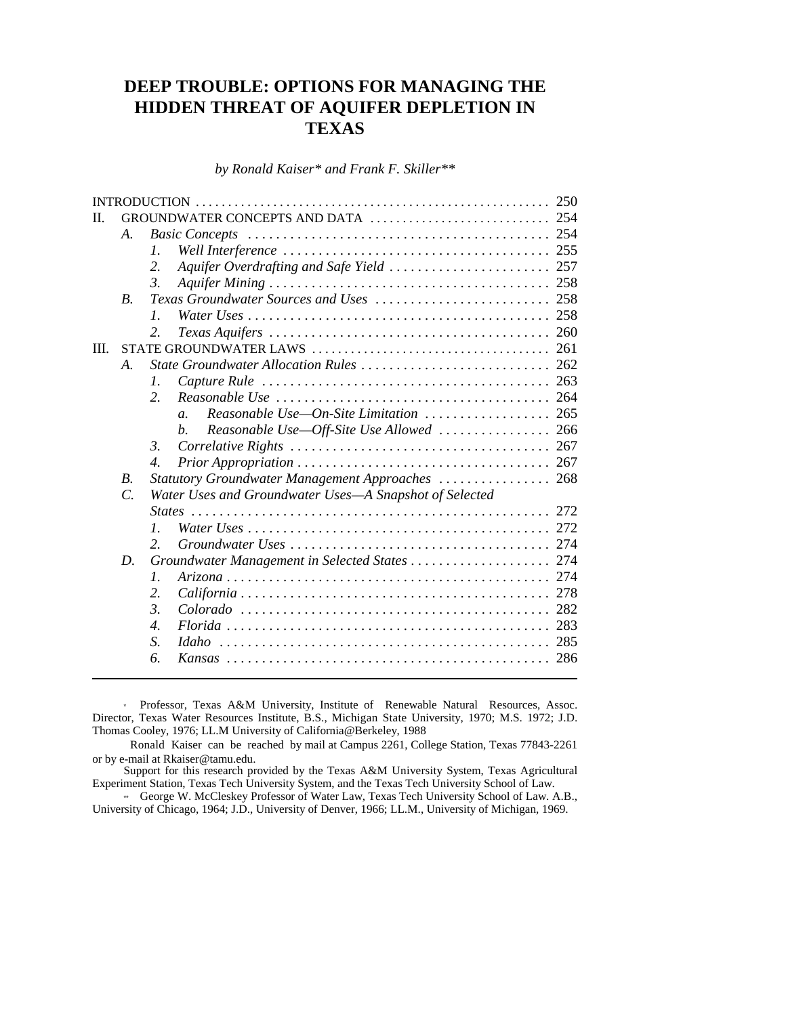# **DEEP TROUBLE: OPTIONS FOR MANAGING THE HIDDEN THREAT OF AQUIFER DEPLETION IN TEXAS**

*by Ronald Kaiser\* and Frank F. Skiller\*\**

|      |                       |                              |                                                                                                                                                                                                                                                                                                                                       | 250 |  |  |
|------|-----------------------|------------------------------|---------------------------------------------------------------------------------------------------------------------------------------------------------------------------------------------------------------------------------------------------------------------------------------------------------------------------------------|-----|--|--|
| Н.   |                       |                              |                                                                                                                                                                                                                                                                                                                                       |     |  |  |
|      | A.                    |                              |                                                                                                                                                                                                                                                                                                                                       |     |  |  |
|      |                       | $\mathcal{I}$ .              |                                                                                                                                                                                                                                                                                                                                       |     |  |  |
|      |                       | 2.                           |                                                                                                                                                                                                                                                                                                                                       |     |  |  |
|      |                       | 3.                           |                                                                                                                                                                                                                                                                                                                                       |     |  |  |
|      | <i>B.</i>             |                              |                                                                                                                                                                                                                                                                                                                                       |     |  |  |
|      |                       | $\mathcal{I}$ .              |                                                                                                                                                                                                                                                                                                                                       |     |  |  |
|      |                       | 2.                           |                                                                                                                                                                                                                                                                                                                                       |     |  |  |
| III. |                       |                              |                                                                                                                                                                                                                                                                                                                                       |     |  |  |
|      | $\mathcal{A}_{\cdot}$ |                              |                                                                                                                                                                                                                                                                                                                                       |     |  |  |
|      |                       | 1.                           |                                                                                                                                                                                                                                                                                                                                       |     |  |  |
|      |                       | 2.                           |                                                                                                                                                                                                                                                                                                                                       |     |  |  |
|      |                       |                              | Reasonable Use-On-Site Limitation  265<br>$\mathfrak{a}$ .                                                                                                                                                                                                                                                                            |     |  |  |
|      |                       |                              | Reasonable Use—Off-Site Use Allowed $\ldots \ldots \ldots \ldots \ldots$ 266<br>b.                                                                                                                                                                                                                                                    |     |  |  |
|      |                       | $\mathcal{E}$                |                                                                                                                                                                                                                                                                                                                                       |     |  |  |
|      |                       | $\boldsymbol{\mathcal{A}}$ . |                                                                                                                                                                                                                                                                                                                                       |     |  |  |
|      | <i>B.</i>             |                              | Statutory Groundwater Management Approaches  268                                                                                                                                                                                                                                                                                      |     |  |  |
|      | $\mathcal{C}$ .       |                              | Water Uses and Groundwater Uses-A Snapshot of Selected                                                                                                                                                                                                                                                                                |     |  |  |
|      |                       |                              |                                                                                                                                                                                                                                                                                                                                       |     |  |  |
|      |                       | $\mathcal{I}$ .              | Water Uses $\ldots$ $\ldots$ $\ldots$ $\ldots$ $\ldots$ $\ldots$ $\ldots$ $\ldots$ $\ldots$ $\ldots$ $\ldots$ $\ldots$ $\ldots$ $\ldots$ $\ldots$ $\ldots$ $\ldots$ $\ldots$ $\ldots$ $\ldots$ $\ldots$ $\ldots$ $\ldots$ $\ldots$ $\ldots$ $\ldots$ $\ldots$ $\ldots$ $\ldots$ $\ldots$ $\ldots$ $\ldots$ $\ldots$ $\ldots$ $\ldots$ |     |  |  |
|      |                       | $\overline{2}$ .             |                                                                                                                                                                                                                                                                                                                                       |     |  |  |
|      | D.                    |                              |                                                                                                                                                                                                                                                                                                                                       |     |  |  |
|      |                       | 1.                           |                                                                                                                                                                                                                                                                                                                                       |     |  |  |
|      |                       | 2.                           |                                                                                                                                                                                                                                                                                                                                       |     |  |  |
|      |                       | 3.                           |                                                                                                                                                                                                                                                                                                                                       |     |  |  |
|      |                       | 4.                           |                                                                                                                                                                                                                                                                                                                                       |     |  |  |
|      |                       | S.                           |                                                                                                                                                                                                                                                                                                                                       |     |  |  |
|      |                       | 6.                           |                                                                                                                                                                                                                                                                                                                                       |     |  |  |
|      |                       |                              |                                                                                                                                                                                                                                                                                                                                       |     |  |  |

\* Professor, Texas A&M University, Institute of Renewable Natural Resources, Assoc. Director, Texas Water Resources Institute, B.S., Michigan State University, 1970; M.S. 1972; J.D. Thomas Cooley, 1976; LL.M University of California@Berkeley, 1988

 Ronald Kaiser can be reached by mail at Campus 2261, College Station, Texas 77843-2261 or by e-mail at Rkaiser@tamu.edu.

Support for this research provided by the Texas A&M University System, Texas Agricultural Experiment Station, Texas Tech University System, and the Texas Tech University School of Law.

\*\* George W. McCleskey Professor of Water Law, Texas Tech University School of Law. A.B., University of Chicago, 1964; J.D., University of Denver, 1966; LL.M., University of Michigan, 1969.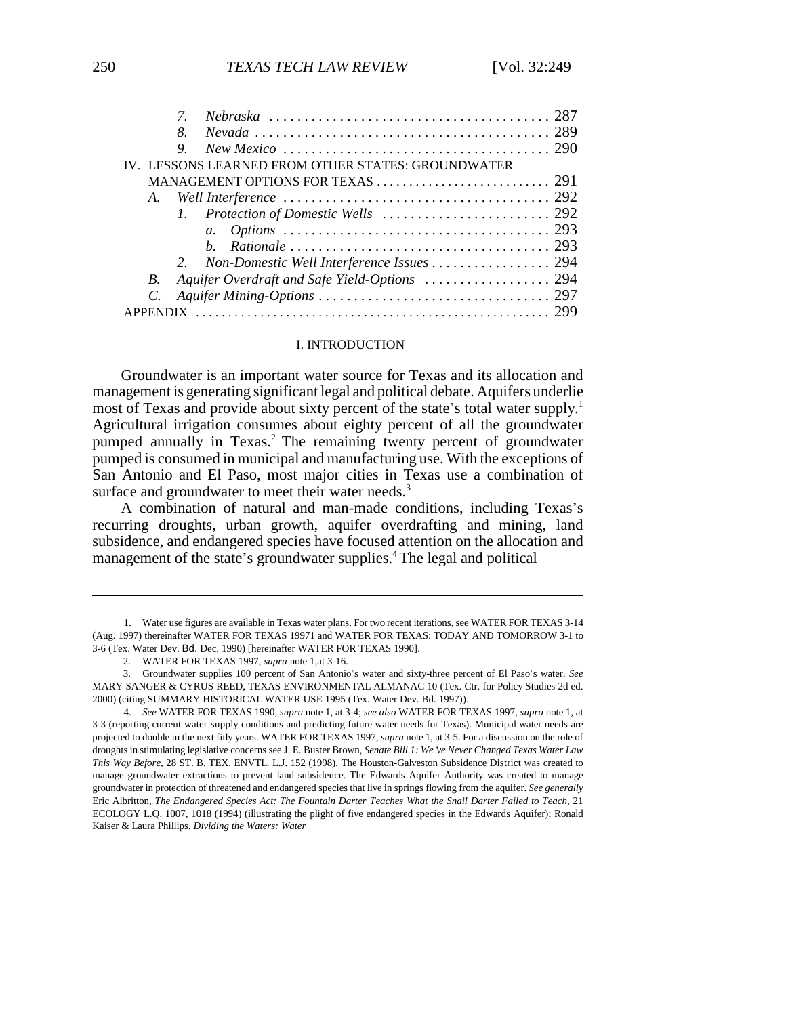| 9  |                                                    |  |
|----|----------------------------------------------------|--|
|    | IV. LESSONS LEARNED FROM OTHER STATES: GROUNDWATER |  |
|    |                                                    |  |
| A. |                                                    |  |
|    |                                                    |  |
|    |                                                    |  |
|    | h                                                  |  |
|    |                                                    |  |
| B. |                                                    |  |
|    |                                                    |  |
|    |                                                    |  |

#### I. INTRODUCTION

Groundwater is an important water source for Texas and its allocation and management is generating significant legal and political debate. Aquifers underlie most of Texas and provide about sixty percent of the state's total water supply.<sup>1</sup> Agricultural irrigation consumes about eighty percent of all the groundwater pumped annually in Texas.2 The remaining twenty percent of groundwater pumped is consumed in municipal and manufacturing use. With the exceptions of San Antonio and El Paso, most major cities in Texas use a combination of surface and groundwater to meet their water needs.<sup>3</sup>

A combination of natural and man-made conditions, including Texas's recurring droughts, urban growth, aquifer overdrafting and mining, land subsidence, and endangered species have focused attention on the allocation and management of the state's groundwater supplies.<sup>4</sup> The legal and political

<sup>1.</sup> Water use figures are available in Texas water plans. For two recent iterations, see WATER FOR TEXAS 3-14 (Aug. 1997) thereinafter WATER FOR TEXAS 19971 and WATER FOR TEXAS: TODAY AND TOMORROW 3-1 to 3-6 (Tex. Water Dev. Bd. Dec. 1990) [hereinafter WATER FOR TEXAS 1990].

<sup>2.</sup> WATER FOR TEXAS 1997, *supra* note 1,at 3-16.

<sup>3.</sup> Groundwater supplies 100 percent of San Antonio's water and sixty-three percent of El Paso's water. See MARY SANGER & CYRUS REED, TEXAS ENVIRONMENTAL ALMANAC 10 (Tex. Ctr. for Policy Studies 2d ed. 2000) (citing SUMMARY HISTORICAL WATER USE 1995 (Tex. Water Dev. Bd. 1997)).

<sup>4.</sup> *See* WATER FOR TEXAS 1990, *supra* note 1, at 3-4; *see also* WATER FOR TEXAS 1997, *supra* note 1, at 3-3 (reporting current water supply conditions and predicting future water needs for Texas). Municipal water needs are projected to double in the next fitly years. WATER FOR TEXAS 1997, *supra* note 1, at 3-5. For a discussion on the role of droughts in stimulating legislative concerns see J. E. Buster Brown, *Senate Bill 1: We've Never Changed Texas Water Law This Way Before,* 28 ST. B. TEX. ENVTL. L.J. 152 (1998). The Houston-Galveston Subsidence District was created to manage groundwater extractions to prevent land subsidence. The Edwards Aquifer Authority was created to manage groundwater in protection of threatened and endangered species that live in springs flowing from the aquifer. *See generally* Eric Albritton, *The Endangered Species Act: The Fountain Darter Teaches What the Snail Darter Failed to Teach,* 21 ECOLOGY L.Q. 1007, 1018 (1994) (illustrating the plight of five endangered species in the Edwards Aquifer); Ronald Kaiser & Laura Phillips, *Dividing the Waters: Water*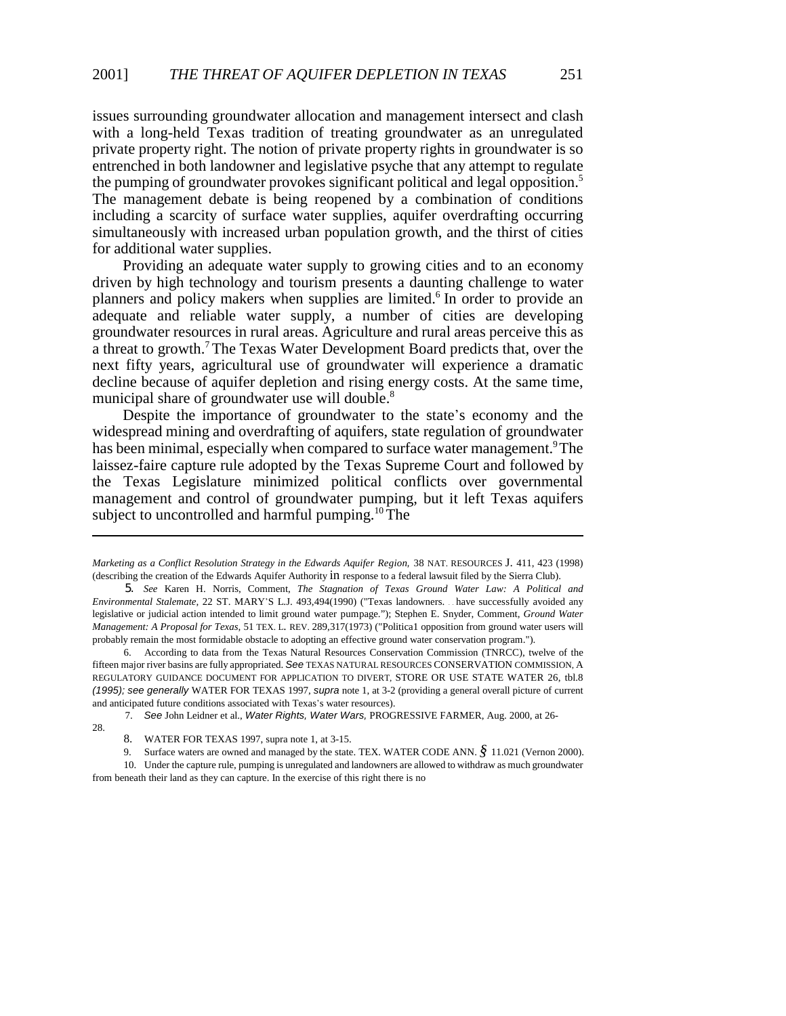issues surrounding groundwater allocation and management intersect and clash with a long-held Texas tradition of treating groundwater as an unregulated private property right. The notion of private property rights in groundwater is so entrenched in both landowner and legislative psyche that any attempt to regulate the pumping of groundwater provokes significant political and legal opposition.<sup>5</sup> The management debate is being reopened by a combination of conditions including a scarcity of surface water supplies, aquifer overdrafting occurring simultaneously with increased urban population growth, and the thirst of cities for additional water supplies.

Providing an adequate water supply to growing cities and to an economy driven by high technology and tourism presents a daunting challenge to water planners and policy makers when supplies are limited.<sup>6</sup> In order to provide an adequate and reliable water supply, a number of cities are developing groundwater resources in rural areas. Agriculture and rural areas perceive this as a threat to growth.7 The Texas Water Development Board predicts that, over the next fifty years, agricultural use of groundwater will experience a dramatic decline because of aquifer depletion and rising energy costs. At the same time, municipal share of groundwater use will double.<sup>8</sup>

Despite the importance of groundwater to the state's economy and the widespread mining and overdrafting of aquifers, state regulation of groundwater has been minimal, especially when compared to surface water management.<sup>9</sup> The laissez-faire capture rule adopted by the Texas Supreme Court and followed by the Texas Legislature minimized political conflicts over governmental management and control of groundwater pumping, but it left Texas aquifers subject to uncontrolled and harmful pumping.<sup>10</sup> The

7. *See* John Leidner et al., *Water Rights, Water Wars,* PROGRESSIVE FARMER, Aug. 2000, at 26-

28.

*Marketing as a Conflict Resolution Strategy in the Edwards Aquifer Region,* 38 NAT. RESOURCES J. 411, 423 (1998) (describing the creation of the Edwards Aquifer Authority in response to a federal lawsuit filed by the Sierra Club).

<sup>5.</sup> *See* Karen H. Norris, Comment, *The Stagnation of Texas Ground Water Law: A Political and Environmental Stalemate,* 22 ST. MARY\*S L.J. 493,494(1990) ("Texas landowners. . . have successfully avoided any legislative or judicial action intended to limit ground water pumpage."); Stephen E. Snyder, Comment, *Ground Water Management: A Proposal for Texas,* 51 TEX. L. REV. 289,317(1973) ("Politica1 opposition from ground water users will probably remain the most formidable obstacle to adopting an effective ground water conservation program.").

<sup>6.</sup> According to data from the Texas Natural Resources Conservation Commission (TNRCC), twelve of the fifteen major river basins are fully appropriated. *See* TEXAS NATURAL RESOURCES CONSERVATION COMMISSION, A REGULATORY GUIDANCE DOCUMENT FOR APPLICATION TO DIVERT, STORE OR USE STATE WATER 26, tbl.8 *(1995); see generally* WATER FOR TEXAS 1997, *supra* note 1, at 3-2 (providing a general overall picture of current and anticipated future conditions associated with Texas's water resources).

<sup>8.</sup> WATER FOR TEXAS 1997, supra note 1, at 3-15.

<sup>9.</sup> Surface waters are owned and managed by the state. TEX. WATER CODE ANN. *§* 11.021 (Vernon 2000).

<sup>10.</sup> Under the capture rule, pumping is unregulated and landowners are allowed to withdraw as much groundwater from beneath their land as they can capture. In the exercise of this right there is no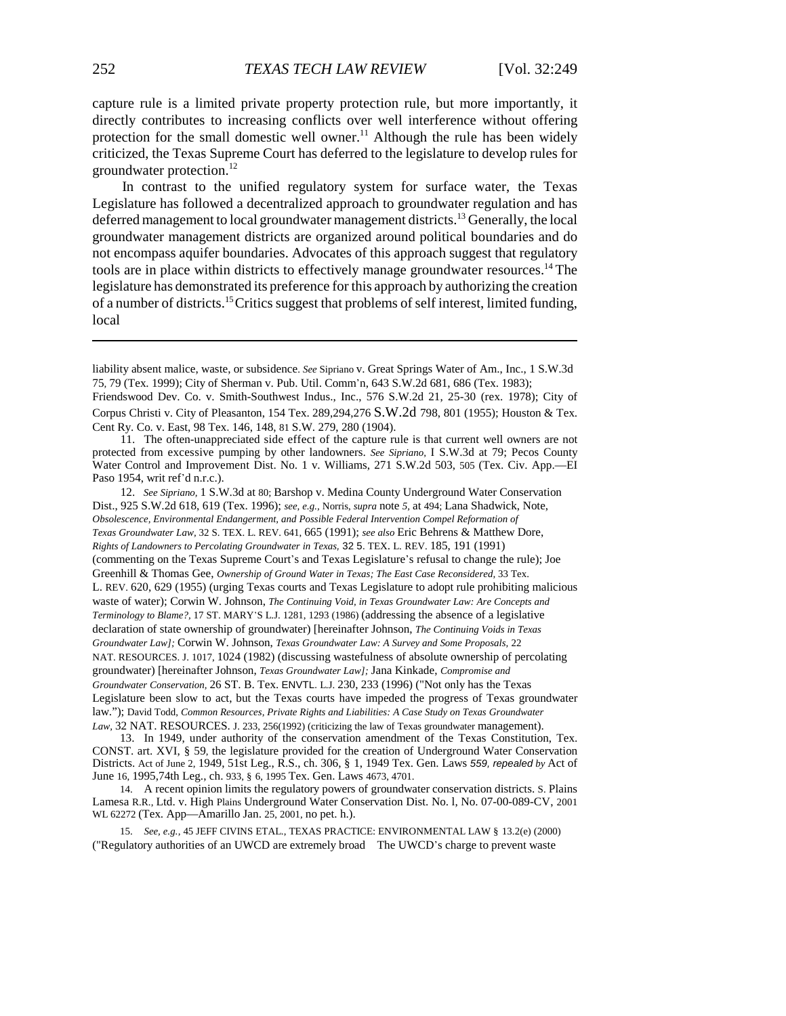capture rule is a limited private property protection rule, but more importantly, it directly contributes to increasing conflicts over well interference without offering protection for the small domestic well owner.<sup>11</sup> Although the rule has been widely criticized, the Texas Supreme Court has deferred to the legislature to develop rules for groundwater protection.12

In contrast to the unified regulatory system for surface water, the Texas Legislature has followed a decentralized approach to groundwater regulation and has deferred management to local groundwater management districts.13 Generally, the local groundwater management districts are organized around political boundaries and do not encompass aquifer boundaries. Advocates of this approach suggest that regulatory tools are in place within districts to effectively manage groundwater resources.14 The legislature has demonstrated its preference for this approach by authorizing the creation of a number of districts.15 Critics suggest that problems of self interest, limited funding, local

12. *See Sipriano,* 1 S.W.3d at 80; Barshop v. Medina County Underground Water Conservation Dist., 925 S.W.2d 618, 619 (Tex. 1996); *see, e.g.,* Norris, *supra* note *5,* at 494; Lana Shadwick, Note, *Obsolescence, Environmental Endangerment, and Possible Federal Intervention Compel Reformation of Texas Groundwater Law,* 32 S. TEX. L. REV. 641, 665 (1991); *see also* Eric Behrens & Matthew Dore, *Rights of Landowners to Percolating Groundwater in Texas,* 32 5. TEX. L. REV. 185, 191 (1991) (commenting on the Texas Supreme Court\*s and Texas Legislature\*s refusal to change the rule); Joe Greenhill & Thomas Gee, *Ownership of Ground Water in Texas; The East Case Reconsidered,* 33 Tex. L. REV. 620, 629 (1955) (urging Texas courts and Texas Legislature to adopt rule prohibiting malicious waste of water); Corwin W. Johnson, *The Continuing Void, in Texas Groundwater Law: Are Concepts and Terminology to Blame?,* 17 ST. MARY\*S L.J. 1281, 1293 (1986) (addressing the absence of a legislative declaration of state ownership of groundwater) [hereinafter Johnson, *The Continuing Voids in Texas Groundwater Law];* Corwin W. Johnson, *Texas Groundwater Law: A Survey and Some Proposals,* 22 NAT. RESOURCES. J. 1017, 1024 (1982) (discussing wastefulness of absolute ownership of percolating groundwater) [hereinafter Johnson, *Texas Groundwater Law];* Jana Kinkade, *Compromise and Groundwater Conservation,* 26 ST. B. Tex. ENVTL. L.J. 230, 233 (1996) ("Not only has the Texas Legislature been slow to act, but the Texas courts have impeded the progress of Texas groundwater law."); David Todd, *Common Resources, Private Rights and Liabilities: A Case Study on Texas Groundwater* Law, 32 NAT. RESOURCES. J. 233, 256(1992) (criticizing the law of Texas groundwater management).

13. In 1949, under authority of the conservation amendment of the Texas Constitution, Tex. CONST. art. XVI, § 59, the legislature provided for the creation of Underground Water Conservation Districts. Act of June 2, 1949, 51st Leg., R.S., ch. 306, § 1, 1949 Tex. Gen. Laws *559, repealed by* Act of June 16, 1995,74th Leg., ch. 933, § 6, 1995 Tex. Gen. Laws 4673, 4701.

14. A recent opinion limits the regulatory powers of groundwater conservation districts. S. Plains Lamesa R.R., Ltd. v. High Plains Underground Water Conservation Dist. No. l, No. 07-00-089-CV, 2001 WL 62272 (Tex. App—Amarillo Jan. 25, 2001, no pet. h.).

15. *See, e.g.,* 45 JEFF CIVINS ETAL., TEXAS PRACTICE: ENVIRONMENTAL LAW § 13.2(e) (2000) ("Regulatory authorities of an UWCD are extremely broad The UWCD\*s charge to prevent waste

liability absent malice, waste, or subsidence. *See* Sipriano v. Great Springs Water of Am., Inc., 1 S.W.3d 75, 79 (Tex. 1999); City of Sherman v. Pub. Util. Comm'n, 643 S.W.2d 681, 686 (Tex. 1983);

Friendswood Dev. Co. v. Smith-Southwest Indus., Inc., 576 S.W.2d 21, 25-30 (rex. 1978); City of Corpus Christi v. City of Pleasanton, 154 Tex. 289,294,276 S.W.2d 798, 801 (1955); Houston & Tex. Cent Ry. Co. v. East, 98 Tex. 146, 148, 81 S.W. 279, 280 (1904).

<sup>11.</sup> The often-unappreciated side effect of the capture rule is that current well owners are not protected from excessive pumping by other landowners. *See Sipriano,* I S.W.3d at 79; Pecos County Water Control and Improvement Dist. No. 1 v. Williams, 271 S.W.2d 503, 505 (Tex. Civ. App.—EI Paso 1954, writ ref'd n.r.c.).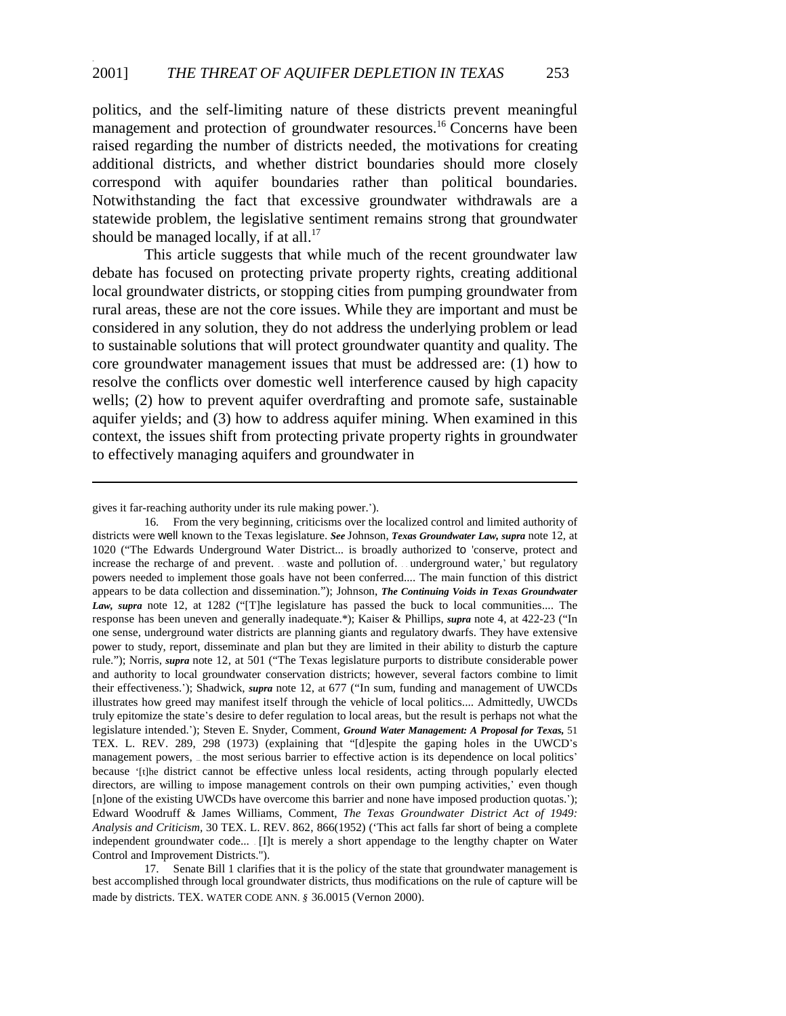politics, and the self-limiting nature of these districts prevent meaningful management and protection of groundwater resources.<sup>16</sup> Concerns have been raised regarding the number of districts needed, the motivations for creating additional districts, and whether district boundaries should more closely correspond with aquifer boundaries rather than political boundaries. Notwithstanding the fact that excessive groundwater withdrawals are a statewide problem, the legislative sentiment remains strong that groundwater should be managed locally, if at all.<sup>17</sup>

This article suggests that while much of the recent groundwater law debate has focused on protecting private property rights, creating additional local groundwater districts, or stopping cities from pumping groundwater from rural areas, these are not the core issues. While they are important and must be considered in any solution, they do not address the underlying problem or lead to sustainable solutions that will protect groundwater quantity and quality. The core groundwater management issues that must be addressed are: (1) how to resolve the conflicts over domestic well interference caused by high capacity wells; (2) how to prevent aquifer overdrafting and promote safe, sustainable aquifer yields; and (3) how to address aquifer mining. When examined in this context, the issues shift from protecting private property rights in groundwater to effectively managing aquifers and groundwater in

-

gives it far-reaching authority under its rule making power.').

<sup>16.</sup> From the very beginning, criticisms over the localized control and limited authority of districts were well known to the Texas legislature. *See* Johnson, *Texas Groundwater Law, supra* note 12, at 1020 ("The Edwards Underground Water District... is broadly authorized to 'conserve, protect and increase the recharge of and prevent. . . waste and pollution of. . . underground water,' but regulatory powers needed to implement those goals have not been conferred.... The main function of this district appears to be data collection and dissemination."); Johnson, *The Continuing Voids in Texas Groundwater* Law, supra note 12, at 1282 ("[T]he legislature has passed the buck to local communities.... The response has been uneven and generally inadequate.\*); Kaiser & Phillips, *supra* note 4, at 422-23 ("In one sense, underground water districts are planning giants and regulatory dwarfs. They have extensive power to study, report, disseminate and plan but they are limited in their ability to disturb the capture rule."); Norris, *supra* note 12, at 501 ("The Texas legislature purports to distribute considerable power and authority to local groundwater conservation districts; however, several factors combine to limit their effectiveness.'); Shadwick, *supra* note 12, at 677 ("In sum, funding and management of UWCDs illustrates how greed may manifest itself through the vehicle of local politics.... Admittedly, UWCDs truly epitomize the state's desire to defer regulation to local areas, but the result is perhaps not what the legislature intended.\*); Steven E. Snyder, Comment, *Ground Water Management: A Proposal for Texas,* 51 TEX. L. REV. 289, 298 (1973) (explaining that "[d]espite the gaping holes in the UWCD's management powers, ... the most serious barrier to effective action is its dependence on local politics' because '[t]he district cannot be effective unless local residents, acting through popularly elected directors, are willing to impose management controls on their own pumping activities,' even though [n]one of the existing UWCDs have overcome this barrier and none have imposed production quotas.'); Edward Woodruff & James Williams, Comment, *The Texas Groundwater District Act of 1949: Analysis and Criticism,* 30 TEX. L. REV. 862, 866(1952) ('This act falls far short of being a complete independent groundwater code... . [I]t is merely a short appendage to the lengthy chapter on Water Control and Improvement Districts.").

<sup>17.</sup> Senate Bill 1 clarifies that it is the policy of the state that groundwater management is best accomplished through local groundwater districts, thus modifications on the rule of capture will be made by districts. TEX. WATER CODE ANN. *§* 36.0015 (Vernon 2000).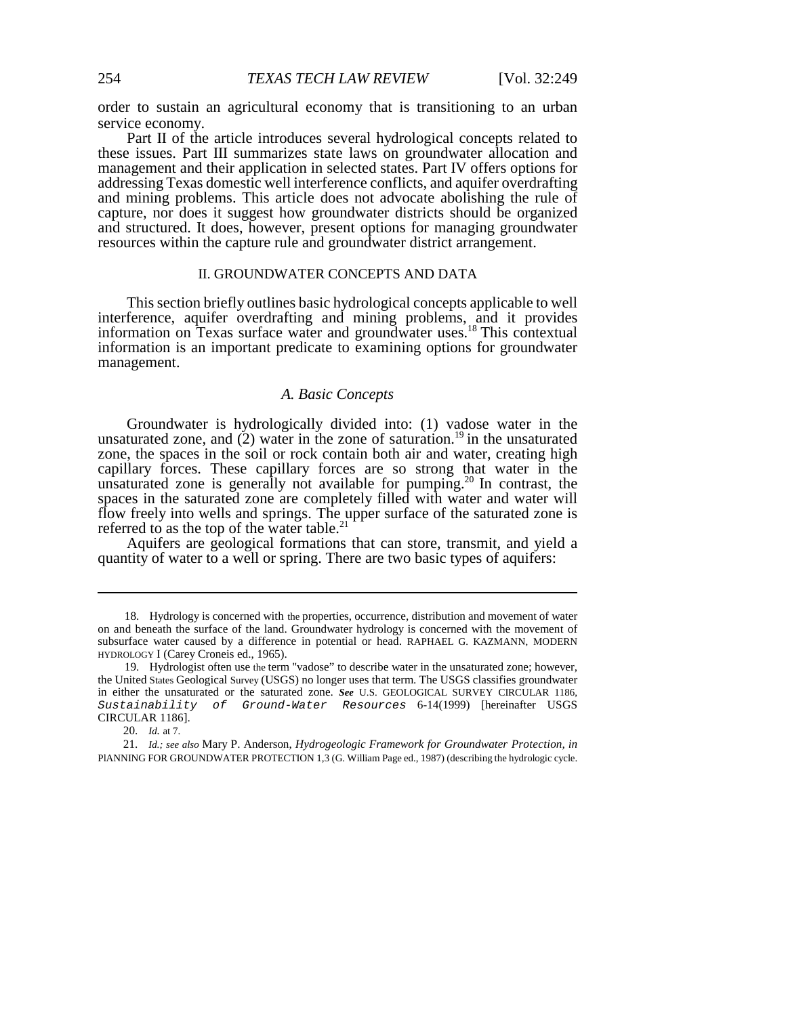order to sustain an agricultural economy that is transitioning to an urban service economy.

Part II of the article introduces several hydrological concepts related to these issues. Part III summarizes state laws on groundwater allocation and management and their application in selected states. Part IV offers options for addressing Texas domestic well interference conflicts, and aquifer overdrafting and mining problems. This article does not advocate abolishing the rule of capture, nor does it suggest how groundwater districts should be organized and structured. It does, however, present options for managing groundwater resources within the capture rule and groundwater district arrangement.

#### II. GROUNDWATER CONCEPTS AND DATA

This section briefly outlines basic hydrological concepts applicable to well interference, aquifer overdrafting and mining problems, and it provides information on Texas surface water and groundwater uses.<sup>18</sup> This contextual information is an important predicate to examining options for groundwater management.

# *A. Basic Concepts*

Groundwater is hydrologically divided into: (1) vadose water in the unsaturated zone, and  $(2)$  water in the zone of saturation.<sup>19</sup> in the unsaturated zone, the spaces in the soil or rock contain both air and water, creating high capillary forces. These capillary forces are so strong that water in the unsaturated zone is generally not available for pumping.<sup>20</sup> In contrast, the spaces in the saturated zone are completely filled with water and water will flow freely into wells and springs. The upper surface of the saturated zone is referred to as the top of the water table.<sup>2</sup>

Aquifers are geological formations that can store, transmit, and yield a quantity of water to a well or spring. There are two basic types of aquifers:

<sup>18.</sup> Hydrology is concerned with the properties, occurrence, distribution and movement of water on and beneath the surface of the land. Groundwater hydrology is concerned with the movement of subsurface water caused by a difference in potential or head. RAPHAEL G. KAZMANN, MODERN HYDROLOGY I (Carey Croneis ed., 1965).

<sup>19.</sup> Hydrologist often use the term "vadose" to describe water in the unsaturated zone; however, the United States Geological Survey (USGS) no longer uses that term. The USGS classifies groundwater in either the unsaturated or the saturated zone. *See* U.S. GEOLOGICAL SURVEY CIRCULAR 1186, Sustainability of Ground-Water Resources 6-14(1999) [hereinafter USGS CIRCULAR 1186].

<sup>20.</sup> *Id.* at 7.

<sup>21.</sup> *Id.; see also* Mary P. Anderson, *Hydrogeologic Framework for Groundwater Protection, in* PlANNING FOR GROUNDWATER PROTECTION 1,3 (G. William Page ed., 1987) (describing the hydrologic cycle.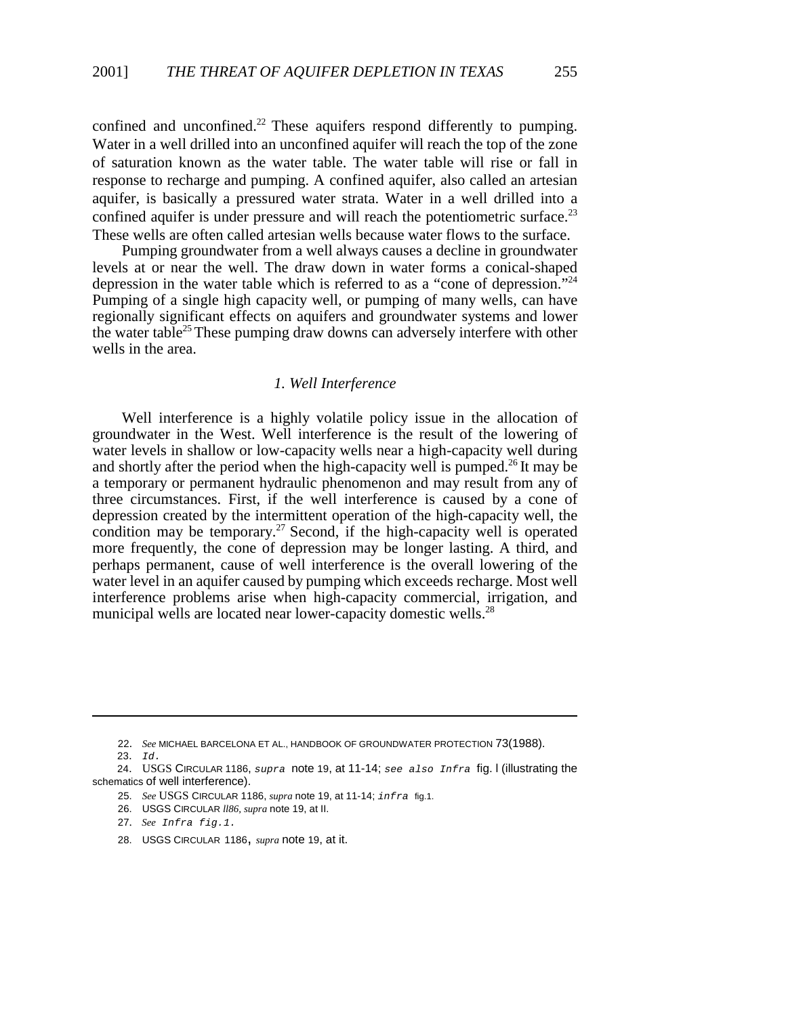confined and unconfined.<sup>22</sup> These aquifers respond differently to pumping. Water in a well drilled into an unconfined aquifer will reach the top of the zone of saturation known as the water table. The water table will rise or fall in response to recharge and pumping. A confined aquifer, also called an artesian aquifer, is basically a pressured water strata. Water in a well drilled into a confined aquifer is under pressure and will reach the potentiometric surface.<sup>23</sup> These wells are often called artesian wells because water flows to the surface.

Pumping groundwater from a well always causes a decline in groundwater levels at or near the well. The draw down in water forms a conical-shaped depression in the water table which is referred to as a "cone of depression."24 Pumping of a single high capacity well, or pumping of many wells, can have regionally significant effects on aquifers and groundwater systems and lower the water table<sup>25</sup> These pumping draw downs can adversely interfere with other wells in the area.

# *1. Well Interference*

Well interference is a highly volatile policy issue in the allocation of groundwater in the West. Well interference is the result of the lowering of water levels in shallow or low-capacity wells near a high-capacity well during and shortly after the period when the high-capacity well is pumped.<sup>26</sup> It may be a temporary or permanent hydraulic phenomenon and may result from any of three circumstances. First, if the well interference is caused by a cone of depression created by the intermittent operation of the high-capacity well, the condition may be temporary.<sup>27</sup> Second, if the high-capacity well is operated more frequently, the cone of depression may be longer lasting. A third, and perhaps permanent, cause of well interference is the overall lowering of the water level in an aquifer caused by pumping which exceeds recharge. Most well interference problems arise when high-capacity commercial, irrigation, and municipal wells are located near lower-capacity domestic wells.<sup>28</sup>

- 25. *See* USGS CIRCULAR 1186, *supra* note 19, at 11-14; infra fig.1.
- 26. USGS CIRCULAR *ll86, supra* note 19, at II.
- 27. *See* Infra fig.1.
- 28. USGS CIRCULAR 1186, *supra* note 19, at it.

<sup>22.</sup> *See* MICHAEL BARCELONA ET AL., HANDBOOK OF GROUNDWATER PROTECTION 73(1988).

<sup>23.</sup> Id.

<sup>24.</sup> USGS CIRCULAR 1186, supra note 19, at 11-14; see also Infra fig. I (illustrating the schematics of well interference).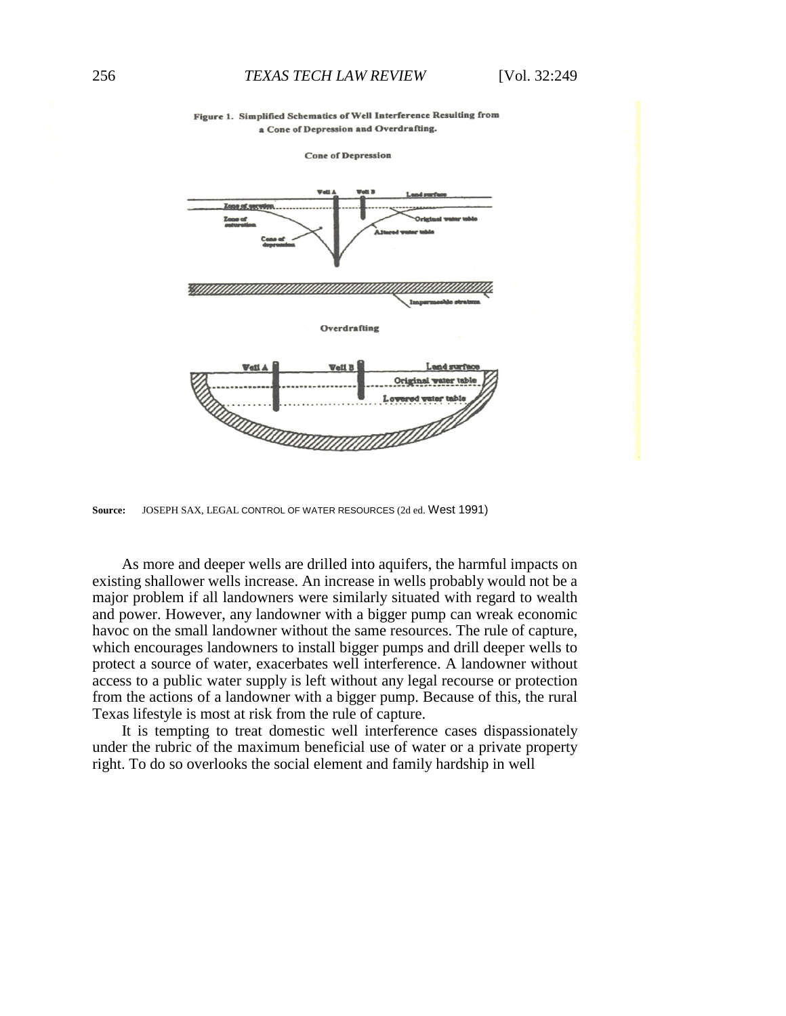

**Source:** JOSEPH SAX, LEGAL CONTROL OF WATER RESOURCES (2d ed. West 1991)

As more and deeper wells are drilled into aquifers, the harmful impacts on existing shallower wells increase. An increase in wells probably would not be a major problem if all landowners were similarly situated with regard to wealth and power. However, any landowner with a bigger pump can wreak economic havoc on the small landowner without the same resources. The rule of capture, which encourages landowners to install bigger pumps and drill deeper wells to protect a source of water, exacerbates well interference. A landowner without access to a public water supply is left without any legal recourse or protection from the actions of a landowner with a bigger pump. Because of this, the rural Texas lifestyle is most at risk from the rule of capture.

It is tempting to treat domestic well interference cases dispassionately under the rubric of the maximum beneficial use of water or a private property right. To do so overlooks the social element and family hardship in well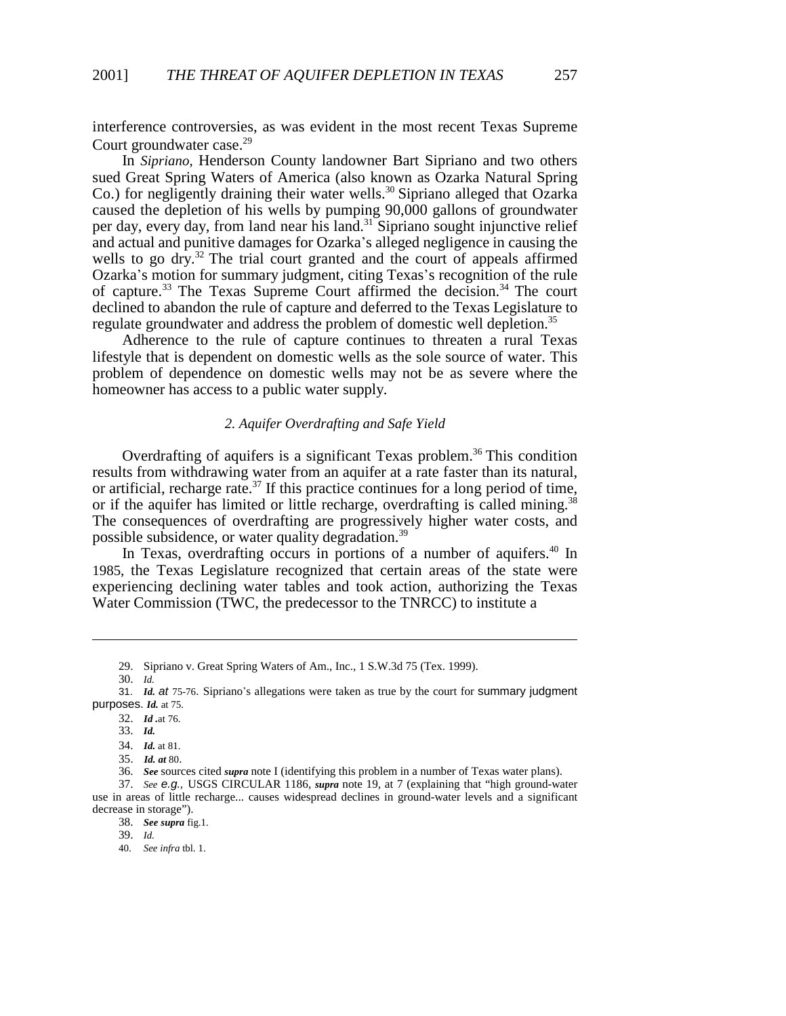interference controversies, as was evident in the most recent Texas Supreme Court groundwater case.<sup>29</sup>

In *Sipriano,* Henderson County landowner Bart Sipriano and two others sued Great Spring Waters of America (also known as Ozarka Natural Spring Co.) for negligently draining their water wells.<sup>30</sup> Sipriano alleged that Ozarka caused the depletion of his wells by pumping 90,000 gallons of groundwater per day, every day, from land near his land.31 Sipriano sought injunctive relief and actual and punitive damages for Ozarka's alleged negligence in causing the wells to go dry.<sup>32</sup> The trial court granted and the court of appeals affirmed Ozarka's motion for summary judgment, citing Texas's recognition of the rule of capture.<sup>33</sup> The Texas Supreme Court affirmed the decision.<sup>34</sup> The court declined to abandon the rule of capture and deferred to the Texas Legislature to regulate groundwater and address the problem of domestic well depletion.<sup>35</sup>

Adherence to the rule of capture continues to threaten a rural Texas lifestyle that is dependent on domestic wells as the sole source of water. This problem of dependence on domestic wells may not be as severe where the homeowner has access to a public water supply.

### *2. Aquifer Overdrafting and Safe Yield*

Overdrafting of aquifers is a significant Texas problem.<sup>36</sup> This condition results from withdrawing water from an aquifer at a rate faster than its natural, or artificial, recharge rate.<sup>37</sup> If this practice continues for a long period of time, or if the aquifer has limited or little recharge, overdrafting is called mining.<sup>38</sup> The consequences of overdrafting are progressively higher water costs, and possible subsidence, or water quality degradation.<sup>39</sup>

In Texas, overdrafting occurs in portions of a number of aquifers.<sup>40</sup> In 1985, the Texas Legislature recognized that certain areas of the state were experiencing declining water tables and took action, authorizing the Texas Water Commission (TWC, the predecessor to the TNRCC) to institute a

<sup>29.</sup> Sipriano v. Great Spring Waters of Am., Inc., 1 S.W.3d 75 (Tex. 1999).

<sup>30.</sup> *Id.*

<sup>31.</sup> *Id. at* 75-76. Sipriano's allegations were taken as true by the court for summary judgment purposes. *Id.* at 75.

<sup>32.</sup> *Id .*at 76.

<sup>33.</sup> *Id.*

<sup>34.</sup> *Id.* at 81.

<sup>35</sup>. *Id. at* 80.

<sup>36.</sup> *See* sources cited *supra* note I (identifying this problem in a number of Texas water plans).

<sup>37.</sup> *See e.g.,* USGS CIRCULAR 1186, *supra* note 19, at 7 (explaining that "high ground-water use in areas of little recharge... causes widespread declines in ground-water levels and a significant decrease in storage").

<sup>38.</sup> *See supra* fig.1.

<sup>39.</sup> *Id.*

<sup>40.</sup> *See infra* tbl. 1.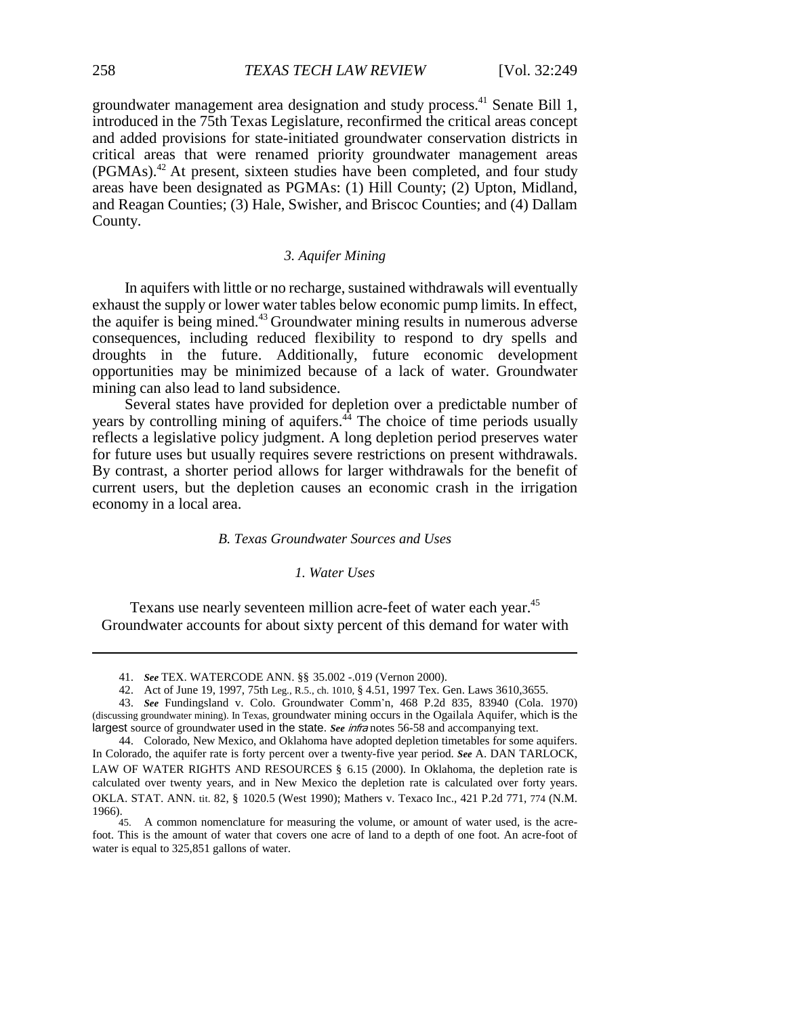groundwater management area designation and study process.<sup>41</sup> Senate Bill 1, introduced in the 75th Texas Legislature, reconfirmed the critical areas concept and added provisions for state-initiated groundwater conservation districts in critical areas that were renamed priority groundwater management areas (PGMAs).42 At present, sixteen studies have been completed, and four study areas have been designated as PGMAs: (1) Hill County; (2) Upton, Midland, and Reagan Counties; (3) Hale, Swisher, and Briscoc Counties; and (4) Dallam County.

### *3. Aquifer Mining*

In aquifers with little or no recharge, sustained withdrawals will eventually exhaust the supply or lower water tables below economic pump limits. In effect, the aquifer is being mined.43 Groundwater mining results in numerous adverse consequences, including reduced flexibility to respond to dry spells and droughts in the future. Additionally, future economic development opportunities may be minimized because of a lack of water. Groundwater mining can also lead to land subsidence.

Several states have provided for depletion over a predictable number of years by controlling mining of aquifers. $44$  The choice of time periods usually reflects a legislative policy judgment. A long depletion period preserves water for future uses but usually requires severe restrictions on present withdrawals. By contrast, a shorter period allows for larger withdrawals for the benefit of current users, but the depletion causes an economic crash in the irrigation economy in a local area.

#### *B. Texas Groundwater Sources and Uses*

# *1. Water Uses*

Texans use nearly seventeen million acre-feet of water each year.<sup>45</sup> Groundwater accounts for about sixty percent of this demand for water with

<sup>41.</sup> *See* TEX. WATERCODE ANN. §§ 35.002 -.019 (Vernon 2000).

<sup>42.</sup> Act of June 19, 1997, 75th Leg., R.5., ch. 1010, § 4.51, 1997 Tex. Gen. Laws 3610,3655.

<sup>43.</sup> *See* Fundingsland v. Colo. Groundwater Comm\*n, 468 P.2d 835, 83940 (Cola. 1970) (discussing groundwater mining). In Texas, groundwater mining occurs in the Ogailala Aquifer, which is the largest source of groundwater used in the state. *See* infra notes 56-58 and accompanying text.

<sup>44.</sup> Colorado, New Mexico, and Oklahoma have adopted depletion timetables for some aquifers. In Colorado, the aquifer rate is forty percent over a twenty-five year period. *See* A. DAN TARLOCK, LAW OF WATER RIGHTS AND RESOURCES § 6.15 (2000). In Oklahoma, the depletion rate is calculated over twenty years, and in New Mexico the depletion rate is calculated over forty years. OKLA. STAT. ANN. tit. 82, § 1020.5 (West 1990); Mathers v. Texaco Inc., 421 P.2d 771, 774 (N.M. 1966).<br>45.

<sup>45.</sup> A common nomenclature for measuring the volume, or amount of water used, is the acrefoot. This is the amount of water that covers one acre of land to a depth of one foot. An acre-foot of water is equal to 325,851 gallons of water.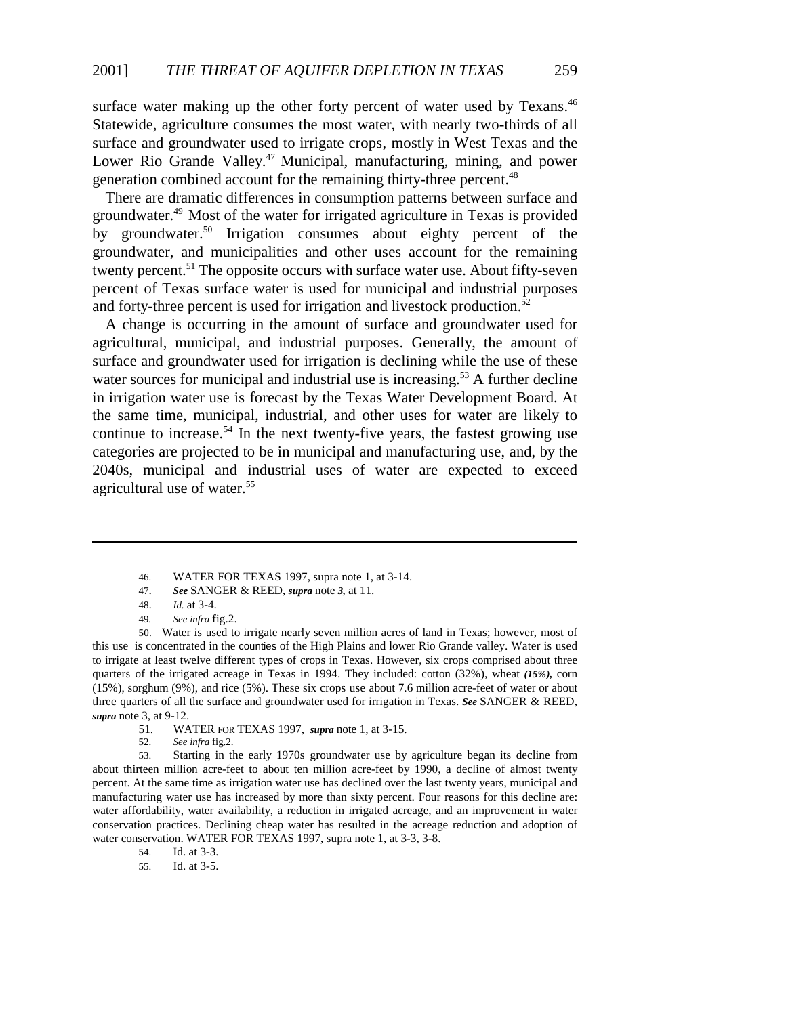surface water making up the other forty percent of water used by Texans.<sup>46</sup> Statewide, agriculture consumes the most water, with nearly two-thirds of all surface and groundwater used to irrigate crops, mostly in West Texas and the Lower Rio Grande Valley.<sup>47</sup> Municipal, manufacturing, mining, and power generation combined account for the remaining thirty-three percent.<sup>48</sup>

There are dramatic differences in consumption patterns between surface and groundwater.49 Most of the water for irrigated agriculture in Texas is provided by groundwater.<sup>50</sup> Irrigation consumes about eighty percent of the groundwater, and municipalities and other uses account for the remaining twenty percent.<sup>51</sup> The opposite occurs with surface water use. About fifty-seven percent of Texas surface water is used for municipal and industrial purposes and forty-three percent is used for irrigation and livestock production.<sup>52</sup>

A change is occurring in the amount of surface and groundwater used for agricultural, municipal, and industrial purposes. Generally, the amount of surface and groundwater used for irrigation is declining while the use of these water sources for municipal and industrial use is increasing.<sup>53</sup> A further decline in irrigation water use is forecast by the Texas Water Development Board. At the same time, municipal, industrial, and other uses for water are likely to continue to increase.<sup>54</sup> In the next twenty-five years, the fastest growing use categories are projected to be in municipal and manufacturing use, and, by the 2040s, municipal and industrial uses of water are expected to exceed agricultural use of water.<sup>55</sup>

50. Water is used to irrigate nearly seven million acres of land in Texas; however, most of this use is concentrated in the counties of the High Plains and lower Rio Grande valley. Water is used to irrigate at least twelve different types of crops in Texas. However, six crops comprised about three quarters of the irrigated acreage in Texas in 1994. They included: cotton (32%), wheat *(15%),* corn (15%), sorghum (9%), and rice (5%). These six crops use about 7.6 million acre-feet of water or about three quarters of all the surface and groundwater used for irrigation in Texas. *See* SANGER & REED, *supra* note 3, at 9-12.

- 51. WATER FOR TEXAS 1997, *supra* note 1, at 3-15.
- 52. *See infra* fig.2.

53. Starting in the early 1970s groundwater use by agriculture began its decline from about thirteen million acre-feet to about ten million acre-feet by 1990, a decline of almost twenty percent. At the same time as irrigation water use has declined over the last twenty years, municipal and manufacturing water use has increased by more than sixty percent. Four reasons for this decline are: water affordability, water availability, a reduction in irrigated acreage, and an improvement in water conservation practices. Declining cheap water has resulted in the acreage reduction and adoption of water conservation. WATER FOR TEXAS 1997, supra note 1, at 3-3, 3-8.

54. Id. at 3-3.

55. Id. at 3-5.

<sup>46.</sup> WATER FOR TEXAS 1997, supra note 1, at 3-14.

<sup>47.</sup> *See* SANGER & REED, *supra* note *3,* at 11.

<sup>48.</sup> *Id.* at 3-4.

<sup>49</sup>*. See infra* fig.2.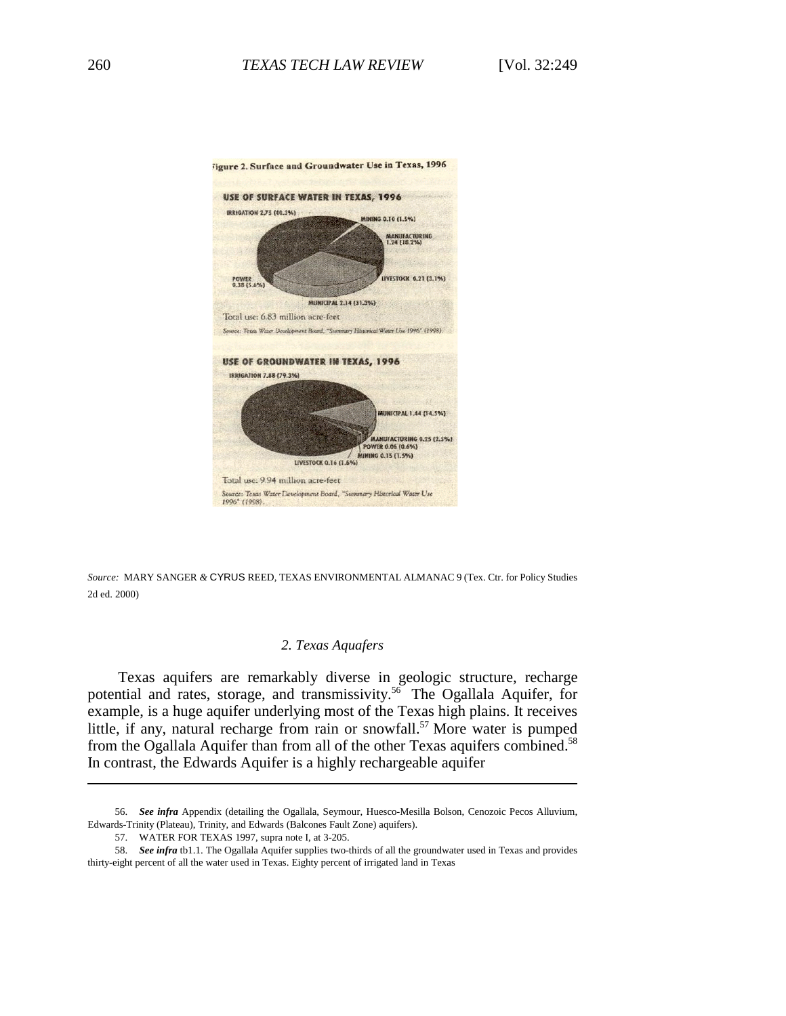

*Source:* MARY SANGER *&* CYRUS REED, TEXAS ENVIRONMENTAL ALMANAC 9 (Tex. Ctr. for Policy Studies 2d ed. 2000)

### *2. Texas Aquafers*

Texas aquifers are remarkably diverse in geologic structure, recharge potential and rates, storage, and transmissivity.<sup>56</sup> The Ogallala Aquifer, for example, is a huge aquifer underlying most of the Texas high plains. It receives little, if any, natural recharge from rain or snowfall.<sup>57</sup> More water is pumped from the Ogallala Aquifer than from all of the other Texas aquifers combined.<sup>58</sup> In contrast, the Edwards Aquifer is a highly rechargeable aquifer

<sup>56.</sup> *See infra* Appendix (detailing the Ogallala, Seymour, Huesco-Mesilla Bolson, Cenozoic Pecos Alluvium, Edwards-Trinity (Plateau), Trinity, and Edwards (Balcones Fault Zone) aquifers).

<sup>57.</sup> WATER FOR TEXAS 1997, supra note I, at 3-205.

<sup>58.</sup> *See infra* tb1.1. The Ogallala Aquifer supplies two-thirds of all the groundwater used in Texas and provides thirty-eight percent of all the water used in Texas. Eighty percent of irrigated land in Texas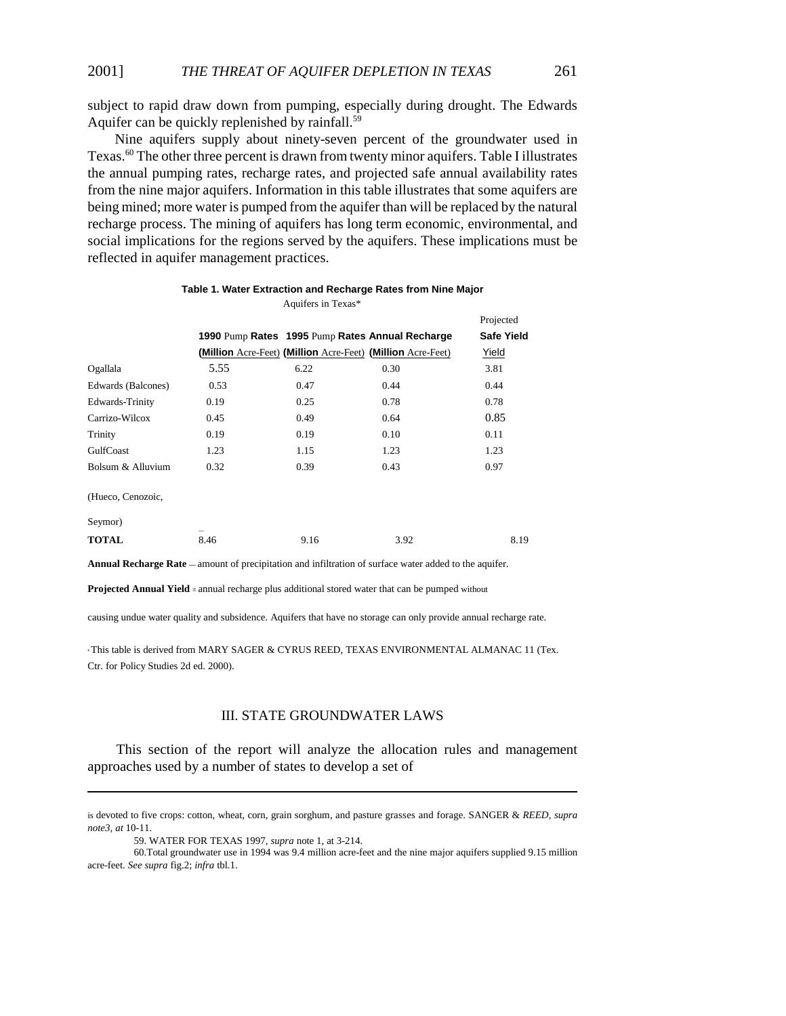subject to rapid draw down from pumping, especially during drought. The Edwards Aquifer can be quickly replenished by rainfall.<sup>59</sup>

Nine aquifers supply about ninety-seven percent of the groundwater used in Texas.60 The other three percent is drawn from twenty minor aquifers. Table I illustrates the annual pumping rates, recharge rates, and projected safe annual availability rates from the nine major aquifers. Information in this table illustrates that some aquifers are being mined; more water is pumped from the aquifer than will be replaced by the natural recharge process. The mining of aquifers has long term economic, environmental, and social implications for the regions served by the aquifers. These implications must be reflected in aquifer management practices.

|                    |      |      |                                                             | Projected         |
|--------------------|------|------|-------------------------------------------------------------|-------------------|
|                    |      |      | 1990 Pump Rates 1995 Pump Rates Annual Recharge             | <b>Safe Yield</b> |
|                    |      |      | (Million Acre-Feet) (Million Acre-Feet) (Million Acre-Feet) | Yield             |
| Ogallala           | 5.55 | 6.22 | 0.30                                                        | 3.81              |
| Edwards (Balcones) | 0.53 | 0.47 | 0.44                                                        | 0.44              |
| Edwards-Trinity    | 0.19 | 0.25 | 0.78                                                        | 0.78              |
| Carrizo-Wilcox     | 0.45 | 0.49 | 0.64                                                        | 0.85              |
| Trinity            | 0.19 | 0.19 | 0.10                                                        | 0.11              |
| GulfCoast          | 1.23 | 1.15 | 1.23                                                        | 1.23              |
| Bolsum & Alluvium  | 0.32 | 0.39 | 0.43                                                        | 0.97              |
| (Hueco, Cenozoic,  |      |      |                                                             |                   |
| Seymor)            |      |      |                                                             |                   |
| <b>TOTAL</b>       | 8.46 | 9.16 | 3.92                                                        | 8.19              |

#### **Table 1. Water Extraction and Recharge Rates from Nine Major** Aquifers in Texas\*

**Annual Recharge Rate** — amount of precipitation and infiltration of surface water added to the aquifer.

**Projected Annual Yield** = annual recharge plus additional stored water that can be pumped without

causing undue water quality and subsidence. Aquifers that have no storage can only provide annual recharge rate.

\* This table is derived from MARY SAGER & CYRUS REED, TEXAS ENVIRONMENTAL ALMANAC 11 (Tex. Ctr. for Policy Studies 2d ed. 2000).

#### III. STATE GROUNDWATER LAWS

This section of the report will analyze the allocation rules and management approaches used by a number of states to develop a set of

is devoted to five crops: cotton, wheat, corn, grain sorghum, and pasture grasses and forage. SANGER & *REED, supra note3, at* 10-11.

<sup>59.</sup> WATER FOR TEXAS 1997, *supra* note 1, at 3-214.

<sup>60.</sup>Total groundwater use in 1994 was 9.4 million acre-feet and the nine major aquifers supplied 9.15 million acre-feet. *See supra* fig.2; *infra* tbl.1.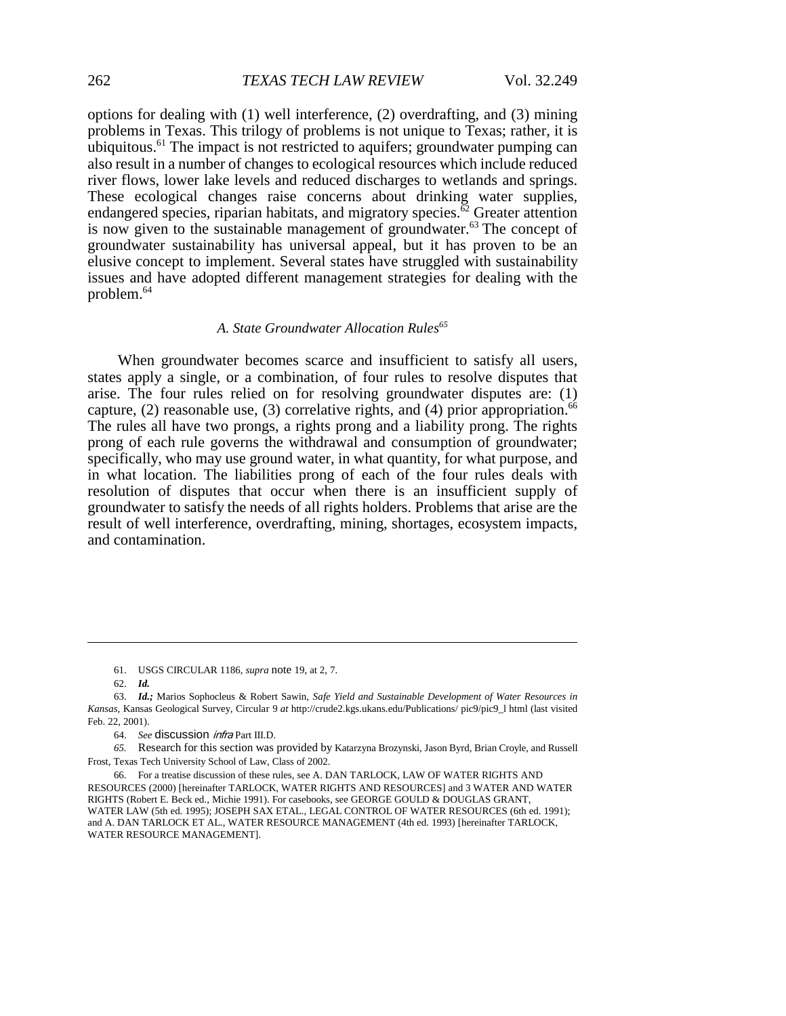options for dealing with (1) well interference, (2) overdrafting, and (3) mining problems in Texas. This trilogy of problems is not unique to Texas; rather, it is ubiquitous.<sup>61</sup> The impact is not restricted to aquifers; groundwater pumping can also result in a number of changes to ecological resources which include reduced river flows, lower lake levels and reduced discharges to wetlands and springs. These ecological changes raise concerns about drinking water supplies, endangered species, riparian habitats, and migratory species. $\overline{62}$  Greater attention is now given to the sustainable management of groundwater.<sup>63</sup> The concept of groundwater sustainability has universal appeal, but it has proven to be an elusive concept to implement. Several states have struggled with sustainability issues and have adopted different management strategies for dealing with the problem.<sup>64</sup>

#### A. State Groundwater Allocation Rules<sup>65</sup>

When groundwater becomes scarce and insufficient to satisfy all users, states apply a single, or a combination, of four rules to resolve disputes that arise. The four rules relied on for resolving groundwater disputes are: (1) capture, (2) reasonable use, (3) correlative rights, and (4) prior appropriation.<sup>66</sup> The rules all have two prongs, a rights prong and a liability prong. The rights prong of each rule governs the withdrawal and consumption of groundwater; specifically, who may use ground water, in what quantity, for what purpose, and in what location. The liabilities prong of each of the four rules deals with resolution of disputes that occur when there is an insufficient supply of groundwater to satisfy the needs of all rights holders. Problems that arise are the result of well interference, overdrafting, mining, shortages, ecosystem impacts, and contamination.

<sup>61.</sup> USGS CIRCULAR 1186, *supra* note 19, at 2, 7.

<sup>62.</sup> *Id.*

<sup>63.</sup> *Id.;* Marios Sophocleus & Robert Sawin, *Safe Yield and Sustainable Development of Water Resources in Kansas,* Kansas Geological Survey, Circular 9 *at* http://crude2.kgs.ukans.edu/Publications/ pic9/pic9\_l html (last visited Feb. 22, 2001).

<sup>64.</sup> *See* discussion infra Part III.D.

*<sup>65.</sup>* Research for this section was provided by Katarzyna Brozynski, Jason Byrd, Brian Croyle, and Russell Frost, Texas Tech University School of Law, Class of 2002.

<sup>66.</sup> For a treatise discussion of these rules, see A. DAN TARLOCK, LAW OF WATER RIGHTS AND RESOURCES (2000) [hereinafter TARLOCK, WATER RIGHTS AND RESOURCES] and 3 WATER AND WATER RIGHTS (Robert E. Beck ed., Michie 1991). For casebooks, see GEORGE GOULD & DOUGLAS GRANT, WATER LAW (5th ed. 1995); JOSEPH SAX ETAL., LEGAL CONTROL OF WATER RESOURCES (6th ed. 1991); and A. DAN TARLOCK ET AL., WATER RESOURCE MANAGEMENT (4th ed. 1993) [hereinafter TARLOCK, WATER RESOURCE MANAGEMENT].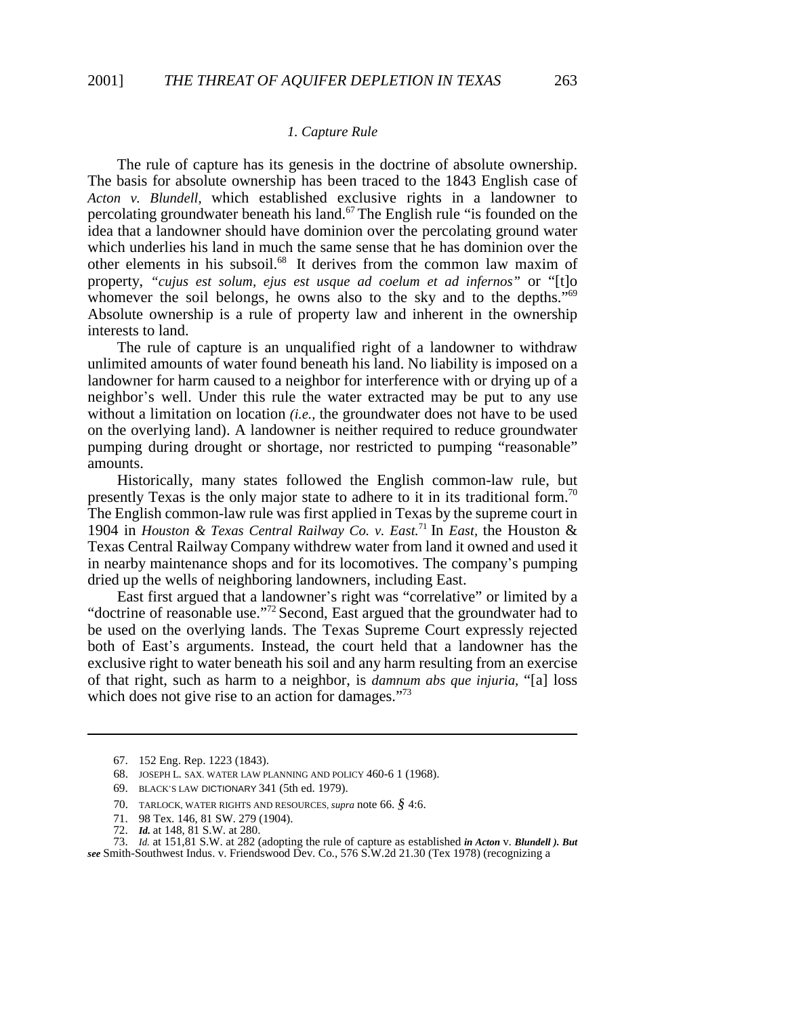#### *1. Capture Rule*

The rule of capture has its genesis in the doctrine of absolute ownership. The basis for absolute ownership has been traced to the 1843 English case of *Acton v. Blundell,* which established exclusive rights in a landowner to percolating groundwater beneath his land.<sup>67</sup> The English rule "is founded on the idea that a landowner should have dominion over the percolating ground water which underlies his land in much the same sense that he has dominion over the other elements in his subsoil.68 It derives from the common law maxim of property, *"cujus est solum, ejus est usque ad coelum et ad infernos"* or "[t]o whomever the soil belongs, he owns also to the sky and to the depths."<sup>69</sup> Absolute ownership is a rule of property law and inherent in the ownership interests to land.

The rule of capture is an unqualified right of a landowner to withdraw unlimited amounts of water found beneath his land. No liability is imposed on a landowner for harm caused to a neighbor for interference with or drying up of a neighbor\*s well. Under this rule the water extracted may be put to any use without a limitation on location *(i.e.,* the groundwater does not have to be used on the overlying land). A landowner is neither required to reduce groundwater pumping during drought or shortage, nor restricted to pumping "reasonable" amounts.

Historically, many states followed the English common-law rule, but presently Texas is the only major state to adhere to it in its traditional form.<sup>70</sup> The English common-law rule was first applied in Texas by the supreme court in 1904 in *Houston & Texas Central Railway Co. v. East.*<sup>71</sup> In *East,* the Houston & Texas Central Railway Company withdrew water from land it owned and used it in nearby maintenance shops and for its locomotives. The company's pumping dried up the wells of neighboring landowners, including East.

East first argued that a landowner's right was "correlative" or limited by a "doctrine of reasonable use."72 Second, East argued that the groundwater had to be used on the overlying lands. The Texas Supreme Court expressly rejected both of East's arguments. Instead, the court held that a landowner has the exclusive right to water beneath his soil and any harm resulting from an exercise of that right, such as harm to a neighbor, is *damnum abs que injuria,* "[a] loss which does not give rise to an action for damages."<sup>73</sup>

71. 98 Tex. 146, 81 SW. 279 (1904).

73. *Id.* at 151,81 S.W. at 282 (adopting the rule of capture as established *in Acton* v. *Blundell ). But see* Smith-Southwest Indus. v. Friendswood Dev. Co., 576 S.W.2d 21.30 (Tex 1978) (recognizing a

<sup>67. 152</sup> Eng. Rep. 1223 (1843).

<sup>68.</sup> JOSEPH L. SAX. WATER LAW PLANNING AND POLICY 460-6 1 (1968).

<sup>69.</sup> BLACK\*S LAW DICTIONARY 341 (5th ed. 1979).

<sup>70.</sup> TARLOCK, WATER RIGHTS AND RESOURCES, *supra* note 66. *§* 4:6.

<sup>72.</sup> *Id.* at 148, 81 S.W. at 280.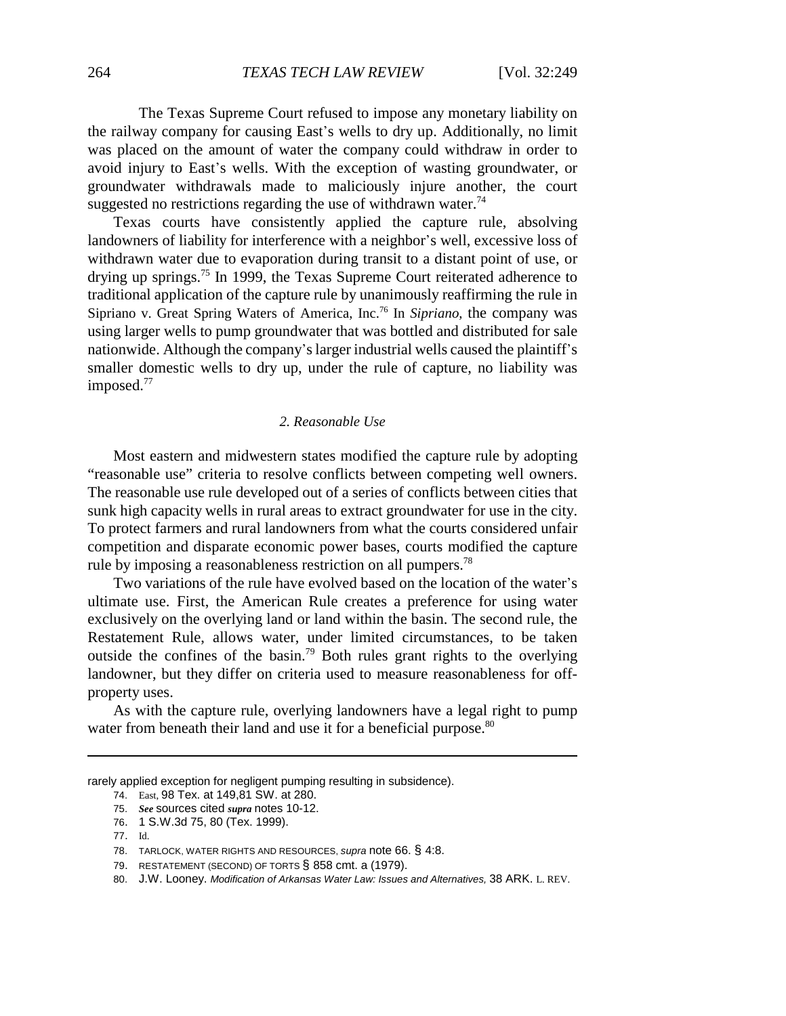The Texas Supreme Court refused to impose any monetary liability on the railway company for causing East's wells to dry up. Additionally, no limit was placed on the amount of water the company could withdraw in order to avoid injury to East's wells. With the exception of wasting groundwater, or groundwater withdrawals made to maliciously injure another, the court suggested no restrictions regarding the use of withdrawn water.<sup>74</sup>

Texas courts have consistently applied the capture rule, absolving landowners of liability for interference with a neighbor's well, excessive loss of withdrawn water due to evaporation during transit to a distant point of use, or drying up springs.75 In 1999, the Texas Supreme Court reiterated adherence to traditional application of the capture rule by unanimously reaffirming the rule in Sipriano v. Great Spring Waters of America, Inc.76 In *Sipriano,* the company was using larger wells to pump groundwater that was bottled and distributed for sale nationwide. Although the company's larger industrial wells caused the plaintiff's smaller domestic wells to dry up, under the rule of capture, no liability was imposed.<sup>77</sup>

### *2. Reasonable Use*

Most eastern and midwestern states modified the capture rule by adopting "reasonable use" criteria to resolve conflicts between competing well owners. The reasonable use rule developed out of a series of conflicts between cities that sunk high capacity wells in rural areas to extract groundwater for use in the city. To protect farmers and rural landowners from what the courts considered unfair competition and disparate economic power bases, courts modified the capture rule by imposing a reasonableness restriction on all pumpers.<sup>78</sup>

Two variations of the rule have evolved based on the location of the water's ultimate use. First, the American Rule creates a preference for using water exclusively on the overlying land or land within the basin. The second rule, the Restatement Rule, allows water, under limited circumstances, to be taken outside the confines of the basin.<sup>79</sup> Both rules grant rights to the overlying landowner, but they differ on criteria used to measure reasonableness for offproperty uses.

As with the capture rule, overlying landowners have a legal right to pump water from beneath their land and use it for a beneficial purpose.<sup>80</sup>

rarely applied exception for negligent pumping resulting in subsidence).

<sup>74.</sup> East, 98 Tex. at 149,81 SW. at 280.

<sup>75.</sup> *See* sources cited *supra* notes 10-12.

<sup>76. 1</sup> S.W.3d 75, 80 (Tex. 1999).

<sup>77.</sup> Id.

<sup>78.</sup> TARLOCK, WATER RIGHTS AND RESOURCES, *supra* note 66. § 4:8.

<sup>79.</sup> RESTATEMENT (SECOND) OF TORTS § 858 cmt. a (1979).

<sup>80.</sup> J.W. Looney. *Modification of Arkansas Water Law: Issues and Alternatives,* 38 ARK. L. REV.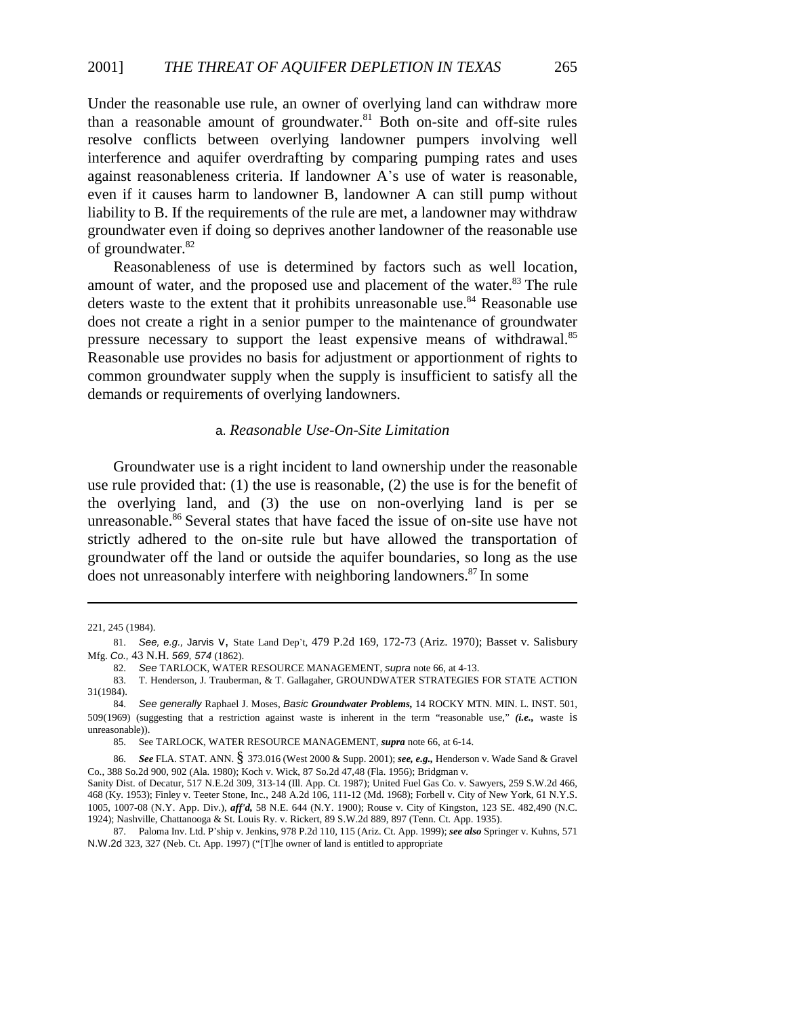Under the reasonable use rule, an owner of overlying land can withdraw more than a reasonable amount of groundwater. $81$  Both on-site and off-site rules resolve conflicts between overlying landowner pumpers involving well interference and aquifer overdrafting by comparing pumping rates and uses against reasonableness criteria. If landowner A\*s use of water is reasonable, even if it causes harm to landowner B, landowner A can still pump without liability to B. If the requirements of the rule are met, a landowner may withdraw groundwater even if doing so deprives another landowner of the reasonable use of groundwater.<sup>82</sup>

Reasonableness of use is determined by factors such as well location, amount of water, and the proposed use and placement of the water.<sup>83</sup> The rule deters waste to the extent that it prohibits unreasonable use.<sup>84</sup> Reasonable use does not create a right in a senior pumper to the maintenance of groundwater pressure necessary to support the least expensive means of withdrawal.<sup>85</sup> Reasonable use provides no basis for adjustment or apportionment of rights to common groundwater supply when the supply is insufficient to satisfy all the demands or requirements of overlying landowners.

# a. *Reasonable Use-On-Site Limitation*

Groundwater use is a right incident to land ownership under the reasonable use rule provided that: (1) the use is reasonable, (2) the use is for the benefit of the overlying land, and (3) the use on non-overlying land is per se unreasonable.<sup>86</sup> Several states that have faced the issue of on-site use have not strictly adhered to the on-site rule but have allowed the transportation of groundwater off the land or outside the aquifer boundaries, so long as the use does not unreasonably interfere with neighboring landowners.<sup>87</sup> In some

<sup>221, 245 (1984).</sup>

<sup>81.</sup> See, e.g., Jarvis V, State Land Dep't, 479 P.2d 169, 172-73 (Ariz. 1970); Basset v. Salisbury Mfg. *Co.,* 43 N.H. *569, 574* (1862).

<sup>82.</sup> *See* TARLOCK, WATER RESOURCE MANAGEMENT, *supra* note 66, at 4-13.

<sup>83.</sup> T. Henderson, J. Trauberman, & T. Gallagaher, GROUNDWATER STRATEGIES FOR STATE ACTION 31(1984).

<sup>84.</sup> *See generally* Raphael J. Moses, *Basic Groundwater Problems,* 14 ROCKY MTN. MIN. L. INST. 501, 509(1969) (suggesting that a restriction against waste is inherent in the term "reasonable use," *(i.e.,* waste is unreasonable)).

<sup>85.</sup> See TARLOCK, WATER RESOURCE MANAGEMENT, *supra* note 66, at 6-14.

<sup>86.</sup> *See* FLA. STAT. ANN. § 373.016 (West 2000 & Supp. 2001); *see, e.g.,* Henderson v. Wade Sand & Gravel Co., 388 So.2d 900, 902 (Ala. 1980); Koch v. Wick, 87 So.2d 47,48 (Fla. 1956); Bridgman v.

Sanity Dist. of Decatur, 517 N.E.2d 309, 313-14 (Ill. App. Ct. 1987); United Fuel Gas Co. v. Sawyers, 259 S.W.2d 466, 468 (Ky. 1953); Finley v. Teeter Stone, Inc., 248 A.2d 106, 111-12 (Md. 1968); Forbell v. City of New York, 61 N.Y.S. 1005, 1007-08 (N.Y. App. Div.), *aff'd,* 58 N.E. 644 (N.Y. 1900); Rouse v. City of Kingston, 123 SE. 482,490 (N.C. 1924); Nashville, Chattanooga & St. Louis Ry. v. Rickert, 89 S.W.2d 889, 897 (Tenn. Ct. App. 1935).

<sup>87.</sup> Paloma Inv. Ltd. P\*ship v. Jenkins, 978 P.2d 110, 115 (Ariz. Ct. App. 1999); *see also* Springer v. Kuhns, 571 N.W.2d 323, 327 (Neb. Ct. App. 1997) ("[T]he owner of land is entitled to appropriate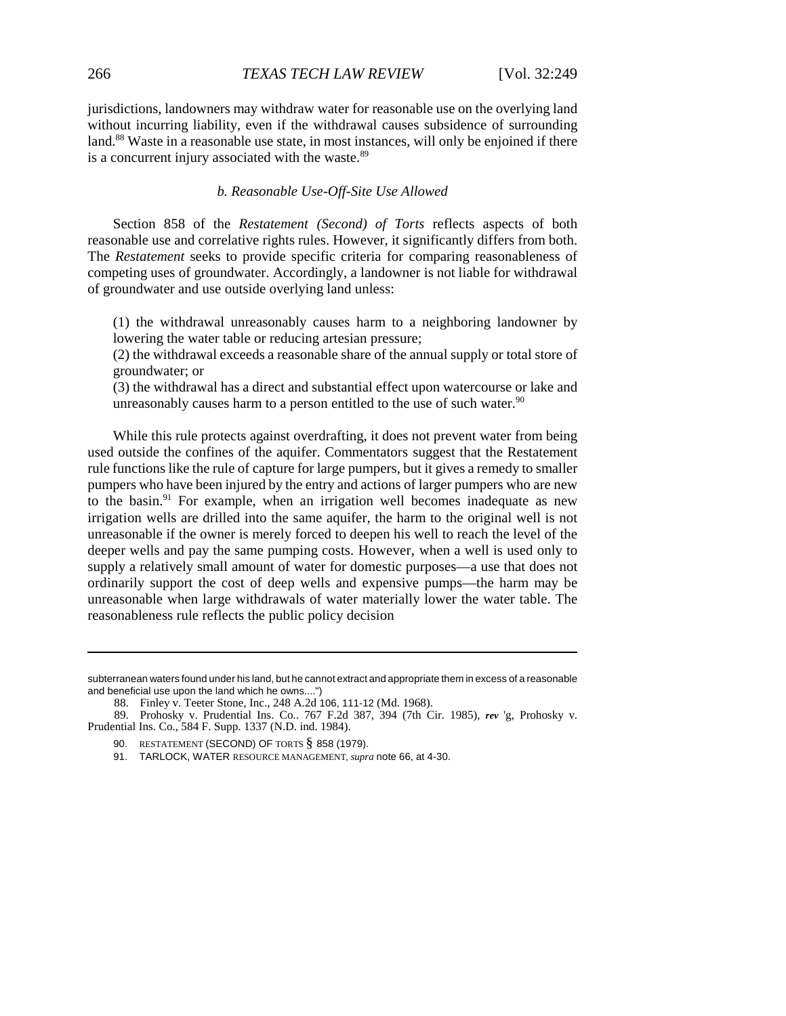jurisdictions, landowners may withdraw water for reasonable use on the overlying land without incurring liability, even if the withdrawal causes subsidence of surrounding land.<sup>88</sup> Waste in a reasonable use state, in most instances, will only be enjoined if there is a concurrent injury associated with the waste.<sup>89</sup>

#### *b. Reasonable Use-Off-Site Use Allowed*

Section 858 of the *Restatement (Second) of Torts* reflects aspects of both reasonable use and correlative rights rules. However, it significantly differs from both. The *Restatement* seeks to provide specific criteria for comparing reasonableness of competing uses of groundwater. Accordingly, a landowner is not liable for withdrawal of groundwater and use outside overlying land unless:

(1) the withdrawal unreasonably causes harm to a neighboring landowner by lowering the water table or reducing artesian pressure;

(2) the withdrawal exceeds a reasonable share of the annual supply or total store of groundwater; or

(3) the withdrawal has a direct and substantial effect upon watercourse or lake and unreasonably causes harm to a person entitled to the use of such water. $90$ 

While this rule protects against overdrafting, it does not prevent water from being used outside the confines of the aquifer. Commentators suggest that the Restatement rule functions like the rule of capture for large pumpers, but it gives a remedy to smaller pumpers who have been injured by the entry and actions of larger pumpers who are new to the basin.<sup>91</sup> For example, when an irrigation well becomes inadequate as new irrigation wells are drilled into the same aquifer, the harm to the original well is not unreasonable if the owner is merely forced to deepen his well to reach the level of the deeper wells and pay the same pumping costs. However, when a well is used only to supply a relatively small amount of water for domestic purposes—a use that does not ordinarily support the cost of deep wells and expensive pumps—the harm may be unreasonable when large withdrawals of water materially lower the water table. The reasonableness rule reflects the public policy decision

subterranean waters found under his land, but he cannot extract and appropriate them in excess of a reasonable and beneficial use upon the land which he owns....")

<sup>88.</sup> Finley v. Teeter Stone, Inc., 248 A.2d 106, 111-12 (Md. 1968).

<sup>89.</sup> Prohosky v. Prudential Ins. Co.. 767 F.2d 387, 394 (7th Cir. 1985), *rev* 'g, Prohosky v. Prudential Ins. Co., 584 F. Supp. 1337 (N.D. ind. 1984).

<sup>90.</sup> RESTATEMENT (SECOND) OF TORTS § 858 (1979).

<sup>91.</sup> TARLOCK, WATER RESOURCE MANAGEMENT, *supra* note 66, at 4-30.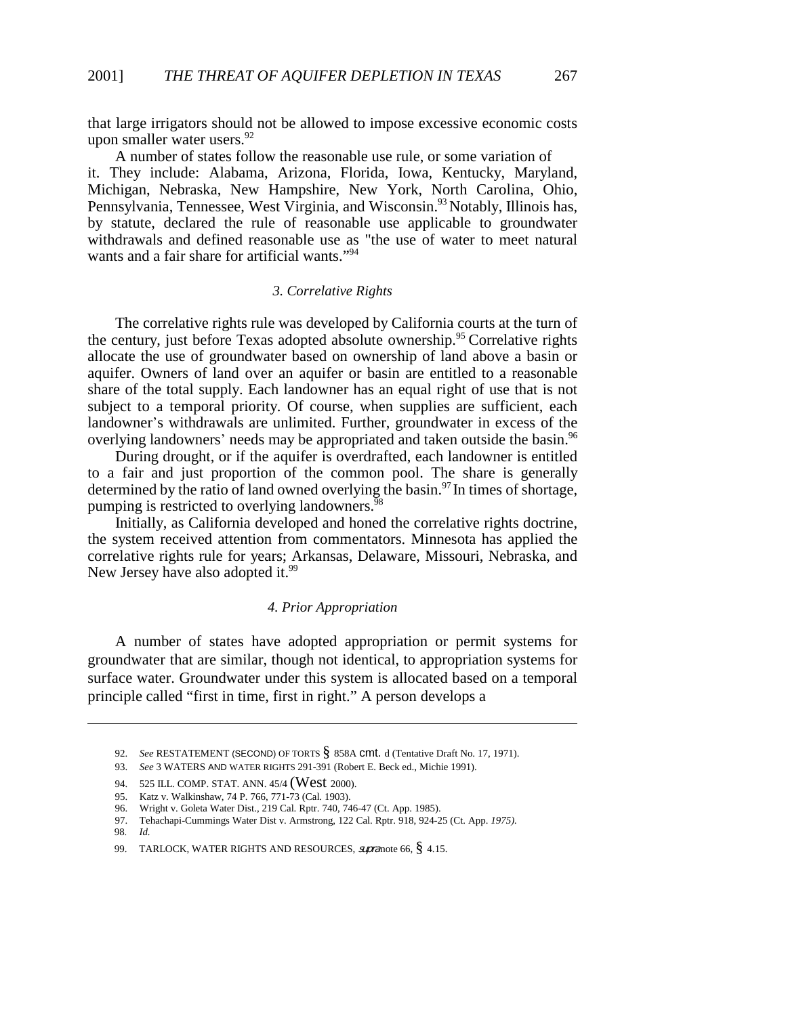that large irrigators should not be allowed to impose excessive economic costs upon smaller water users. $92$ 

A number of states follow the reasonable use rule, or some variation of it. They include: Alabama, Arizona, Florida, Iowa, Kentucky, Maryland, Michigan, Nebraska, New Hampshire, New York, North Carolina, Ohio, Pennsylvania, Tennessee, West Virginia, and Wisconsin.93 Notably, Illinois has, by statute, declared the rule of reasonable use applicable to groundwater withdrawals and defined reasonable use as "the use of water to meet natural wants and a fair share for artificial wants."<sup>94</sup>

### *3. Correlative Rights*

The correlative rights rule was developed by California courts at the turn of the century, just before Texas adopted absolute ownership.<sup>95</sup> Correlative rights allocate the use of groundwater based on ownership of land above a basin or aquifer. Owners of land over an aquifer or basin are entitled to a reasonable share of the total supply. Each landowner has an equal right of use that is not subject to a temporal priority. Of course, when supplies are sufficient, each landowner's withdrawals are unlimited. Further, groundwater in excess of the overlying landowners' needs may be appropriated and taken outside the basin.<sup>96</sup>

During drought, or if the aquifer is overdrafted, each landowner is entitled to a fair and just proportion of the common pool. The share is generally determined by the ratio of land owned overlying the basin.<sup>97</sup> In times of shortage, pumping is restricted to overlying landowners.<sup>98</sup>

Initially, as California developed and honed the correlative rights doctrine, the system received attention from commentators. Minnesota has applied the correlative rights rule for years; Arkansas, Delaware, Missouri, Nebraska, and New Jersey have also adopted it.<sup>99</sup>

### *4. Prior Appropriation*

A number of states have adopted appropriation or permit systems for groundwater that are similar, though not identical, to appropriation systems for surface water. Groundwater under this system is allocated based on a temporal principle called "first in time, first in right." A person develops a

<sup>92.</sup> *See* RESTATEMENT (SECOND) OF TORTS § 858A cmt. d (Tentative Draft No. 17, 1971).

<sup>93.</sup> *See* 3 WATERS AND WATER RIGHTS 291-391 (Robert E. Beck ed., Michie 1991).

<sup>94. 525</sup> ILL. COMP. STAT. ANN. 45/4 (West 2000).

<sup>95.</sup> Katz v. Walkinshaw, 74 P. 766, 771-73 (Cal. 1903).

<sup>96.</sup> Wright v. Goleta Water Dist., 219 Cal. Rptr. 740, 746-47 (Ct. App. 1985).

<sup>97.</sup> Tehachapi-Cummings Water Dist v. Armstrong, 122 Cal. Rptr. 918, 924-25 (Ct. App. *1975).*

<sup>98.</sup> *Id.*

<sup>99.</sup> TARLOCK, WATER RIGHTS AND RESOURCES, supra note 66, § 4.15.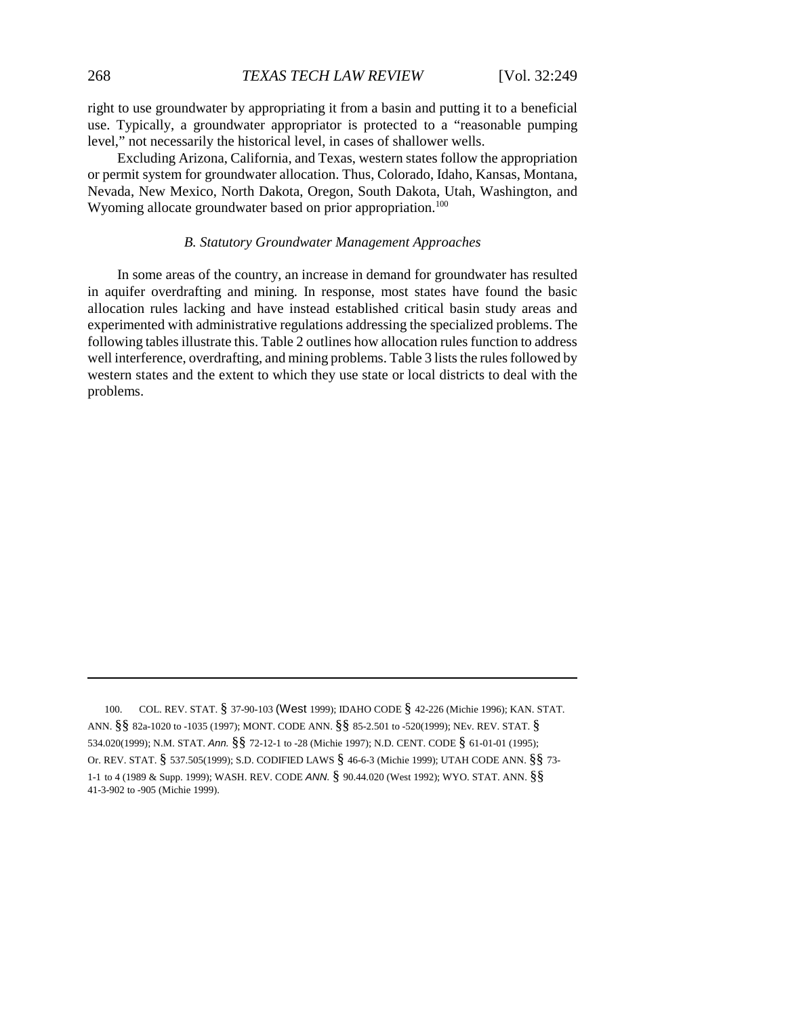right to use groundwater by appropriating it from a basin and putting it to a beneficial use. Typically, a groundwater appropriator is protected to a "reasonable pumping level," not necessarily the historical level, in cases of shallower wells.

Excluding Arizona, California, and Texas, western states follow the appropriation or permit system for groundwater allocation. Thus, Colorado, Idaho, Kansas, Montana, Nevada, New Mexico, North Dakota, Oregon, South Dakota, Utah, Washington, and Wyoming allocate groundwater based on prior appropriation.<sup>100</sup>

#### *B. Statutory Groundwater Management Approaches*

In some areas of the country, an increase in demand for groundwater has resulted in aquifer overdrafting and mining. In response, most states have found the basic allocation rules lacking and have instead established critical basin study areas and experimented with administrative regulations addressing the specialized problems. The following tables illustrate this. Table 2 outlines how allocation rules function to address well interference, overdrafting, and mining problems. Table 3 lists the rules followed by western states and the extent to which they use state or local districts to deal with the problems.

100. COL. REV. STAT. § 37-90-103 (West 1999); IDAHO CODE § 42-226 (Michie 1996); KAN. STAT. ANN. §§ 82a-1020 to -1035 (1997); MONT. CODE ANN. §§ 85-2.501 to -520(1999); NEv. REV. STAT. § 534.020(1999); N.M. STAT. *Ann.* §§ 72-12-1 to -28 (Michie 1997); N.D. CENT. CODE § 61-01-01 (1995); Or. REV. STAT. § 537.505(1999); S.D. CODIFIED LAWS § 46-6-3 (Michie 1999); UTAH CODE ANN. §§ 73- 1-1 to 4 (1989 & Supp. 1999); WASH. REV. CODE *ANN.* § 90.44.020 (West 1992); WYO. STAT. ANN. §§ 41-3-902 to -905 (Michie 1999).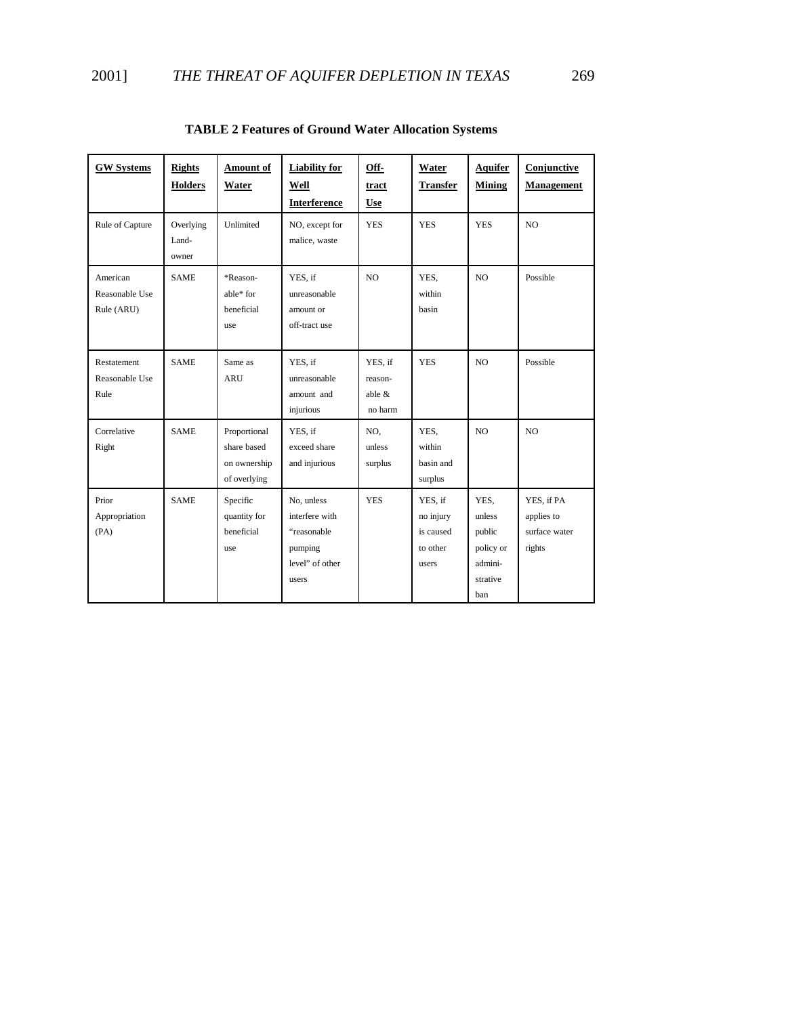| <b>GW Systems</b>                        | <b>Rights</b><br><b>Holders</b> | Amount of<br>Water                                          | <b>Liability for</b><br>Well<br>Interference                                       | Off-<br>tract<br><b>Use</b>                | Water<br><b>Transfer</b>                               | <b>Aquifer</b><br><b>Mining</b>                                     | Conjunctive<br><b>Management</b>                    |
|------------------------------------------|---------------------------------|-------------------------------------------------------------|------------------------------------------------------------------------------------|--------------------------------------------|--------------------------------------------------------|---------------------------------------------------------------------|-----------------------------------------------------|
| Rule of Capture                          | Overlying<br>Land-<br>owner     | Unlimited                                                   | NO, except for<br>malice, waste                                                    | <b>YES</b>                                 | <b>YES</b>                                             | <b>YES</b>                                                          | NO                                                  |
| American<br>Reasonable Use<br>Rule (ARU) | <b>SAME</b>                     | *Reason-<br>able* for<br>beneficial<br>use                  | YES, if<br>unreasonable<br>amount or<br>off-tract use                              | N <sub>O</sub>                             | YES,<br>within<br><b>basin</b>                         | N <sub>O</sub>                                                      | Possible                                            |
| Restatement<br>Reasonable Use<br>Rule    | <b>SAME</b>                     | Same as<br><b>ARU</b>                                       | YES, if<br>unreasonable<br>amount and<br>injurious                                 | YES, if<br>reason-<br>able $\&$<br>no harm | <b>YES</b>                                             | N <sub>O</sub>                                                      | Possible                                            |
| Correlative<br>Right                     | <b>SAME</b>                     | Proportional<br>share based<br>on ownership<br>of overlying | YES, if<br>exceed share<br>and injurious                                           | NO.<br>unless<br>surplus                   | YES.<br>within<br>basin and<br>surplus                 | NO.                                                                 | NO.                                                 |
| Prior<br>Appropriation<br>(PA)           | <b>SAME</b>                     | Specific<br>quantity for<br>beneficial<br>use               | No, unless<br>interfere with<br>"reasonable<br>pumping<br>level" of other<br>users | <b>YES</b>                                 | YES, if<br>no injury<br>is caused<br>to other<br>users | YES.<br>unless<br>public<br>policy or<br>admini-<br>strative<br>ban | YES, if PA<br>applies to<br>surface water<br>rights |

**TABLE 2 Features of Ground Water Allocation Systems**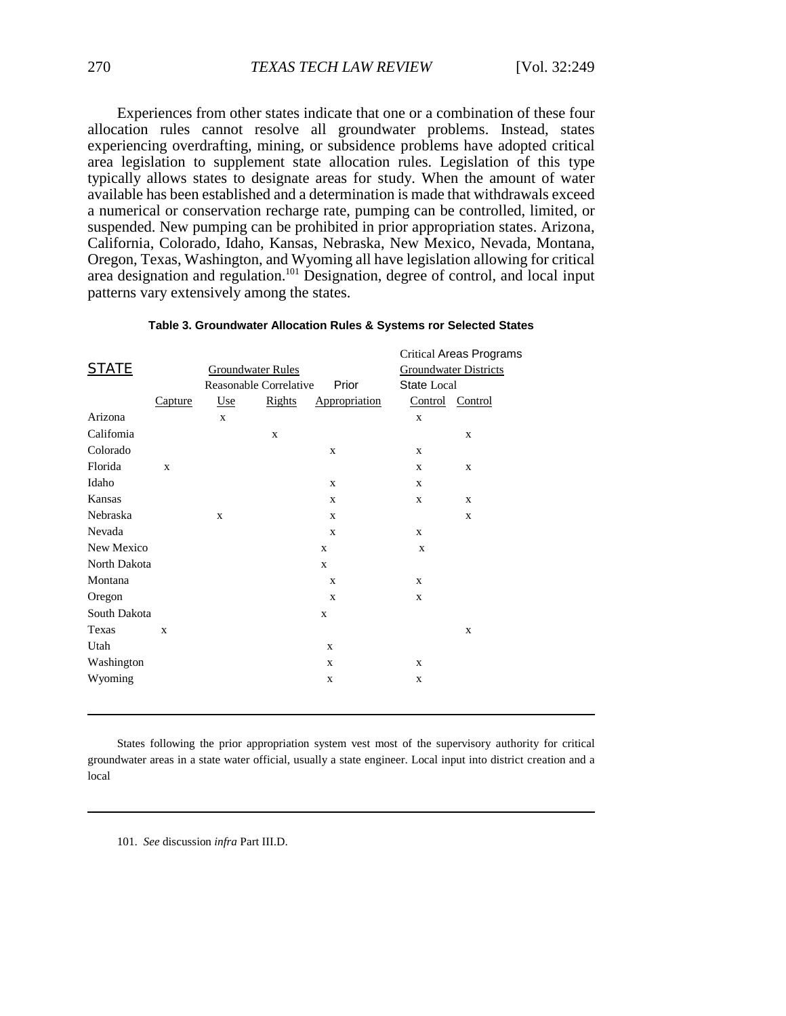Experiences from other states indicate that one or a combination of these four allocation rules cannot resolve all groundwater problems. Instead, states experiencing overdrafting, mining, or subsidence problems have adopted critical area legislation to supplement state allocation rules. Legislation of this type typically allows states to designate areas for study. When the amount of water available has been established and a determination is made that withdrawals exceed a numerical or conservation recharge rate, pumping can be controlled, limited, or suspended. New pumping can be prohibited in prior appropriation states. Arizona, California, Colorado, Idaho, Kansas, Nebraska, New Mexico, Nevada, Montana, Oregon, Texas, Washington, and Wyoming all have legislation allowing for critical area designation and regulation.<sup>101</sup> Designation, degree of control, and local input patterns vary extensively among the states.

| <b>STATE</b> |             | <b>Groundwater Rules</b><br><b>Reasonable Correlative</b> |        | Prior         | State Local     | <b>Critical Areas Programs</b><br><b>Groundwater Districts</b> |
|--------------|-------------|-----------------------------------------------------------|--------|---------------|-----------------|----------------------------------------------------------------|
|              | Capture     | Use                                                       | Rights | Appropriation | Control Control |                                                                |
| Arizona      |             | $\mathbf X$                                               |        |               | $\mathbf X$     |                                                                |
| Califomia    |             |                                                           | X      |               |                 | X                                                              |
| Colorado     |             |                                                           |        | $\mathbf X$   | X               |                                                                |
| Florida      | $\mathbf x$ |                                                           |        |               | X               | X                                                              |
| Idaho        |             |                                                           |        | X             | X               |                                                                |
| Kansas       |             |                                                           |        | $\mathbf{X}$  | $\mathbf{X}$    | $\mathbf X$                                                    |
| Nebraska     |             | X                                                         |        | X             |                 | X                                                              |
| Nevada       |             |                                                           |        | $\mathbf X$   | X               |                                                                |
| New Mexico   |             |                                                           |        | $\mathbf X$   | $\mathbf X$     |                                                                |
| North Dakota |             |                                                           |        | $\mathbf X$   |                 |                                                                |
| Montana      |             |                                                           |        | $\mathbf X$   | X               |                                                                |
| Oregon       |             |                                                           |        | X             | X               |                                                                |
| South Dakota |             |                                                           |        | X             |                 |                                                                |
| Texas        | $\mathbf x$ |                                                           |        |               |                 | $\mathbf X$                                                    |
| Utah         |             |                                                           |        | $\mathbf{X}$  |                 |                                                                |
| Washington   |             |                                                           |        | X             | X               |                                                                |
| Wyoming      |             |                                                           |        | $\mathbf X$   | X               |                                                                |
|              |             |                                                           |        |               |                 |                                                                |

#### **Table 3. Groundwater Allocation Rules & Systems ror Selected States**

States following the prior appropriation system vest most of the supervisory authority for critical groundwater areas in a state water official, usually a state engineer. Local input into district creation and a local

101. *See* discussion *infra* Part III.D.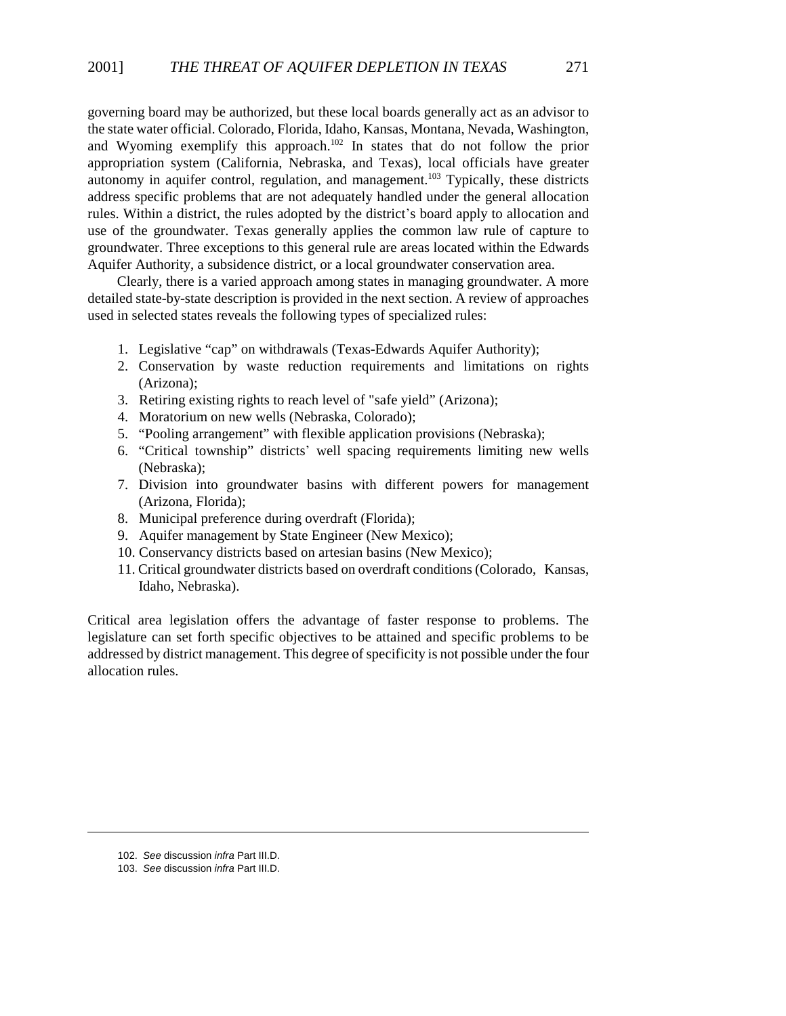governing board may be authorized, but these local boards generally act as an advisor to the state water official. Colorado, Florida, Idaho, Kansas, Montana, Nevada, Washington, and Wyoming exemplify this approach.<sup>102</sup> In states that do not follow the prior appropriation system (California, Nebraska, and Texas), local officials have greater autonomy in aquifer control, regulation, and management.<sup>103</sup> Typically, these districts address specific problems that are not adequately handled under the general allocation rules. Within a district, the rules adopted by the district\*s board apply to allocation and use of the groundwater. Texas generally applies the common law rule of capture to groundwater. Three exceptions to this general rule are areas located within the Edwards Aquifer Authority, a subsidence district, or a local groundwater conservation area.

Clearly, there is a varied approach among states in managing groundwater. A more detailed state-by-state description is provided in the next section. A review of approaches used in selected states reveals the following types of specialized rules:

- 1. Legislative "cap" on withdrawals (Texas-Edwards Aquifer Authority);
- 2. Conservation by waste reduction requirements and limitations on rights (Arizona);
- 3. Retiring existing rights to reach level of "safe yield" (Arizona);
- 4. Moratorium on new wells (Nebraska, Colorado);
- 5. "Pooling arrangement" with flexible application provisions (Nebraska);
- 6. "Critical township" districts' well spacing requirements limiting new wells (Nebraska);
- 7. Division into groundwater basins with different powers for management (Arizona, Florida);
- 8. Municipal preference during overdraft (Florida);
- 9. Aquifer management by State Engineer (New Mexico);
- 10. Conservancy districts based on artesian basins (New Mexico);
- 11. Critical groundwater districts based on overdraft conditions (Colorado, Kansas, Idaho, Nebraska).

Critical area legislation offers the advantage of faster response to problems. The legislature can set forth specific objectives to be attained and specific problems to be addressed by district management. This degree of specificity is not possible under the four allocation rules.

<sup>102.</sup> *See* discussion *infra* Part III.D.

<sup>103.</sup> *See* discussion *infra* Part III.D.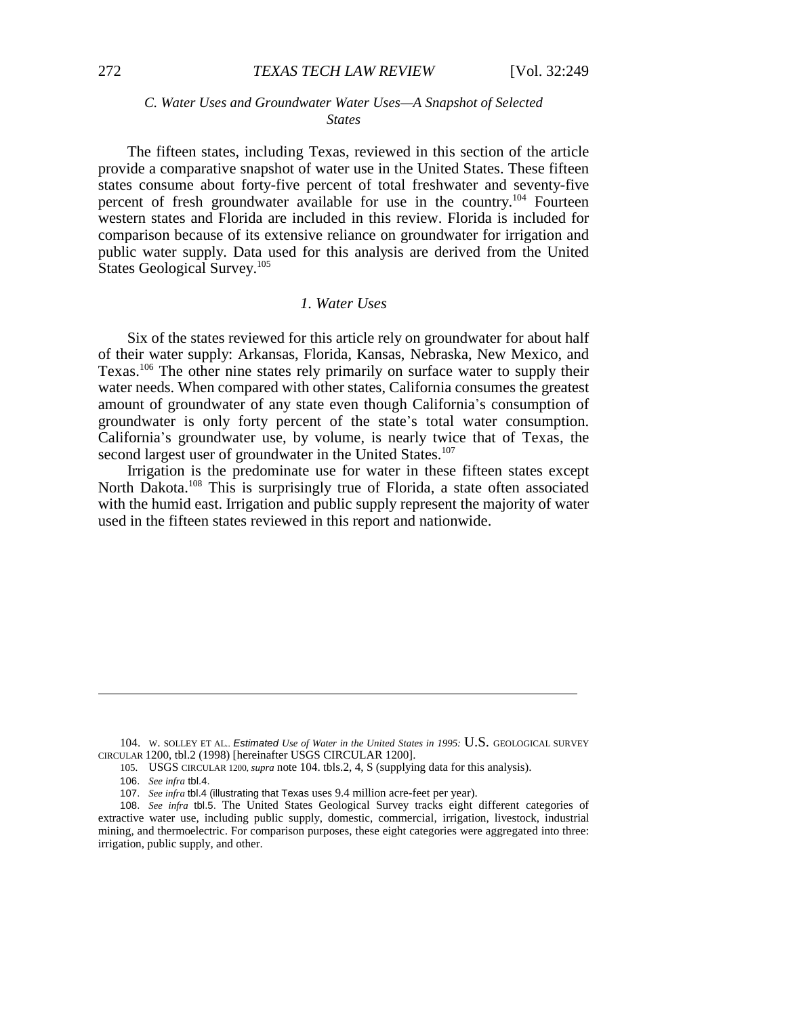### *C. Water Uses and Groundwater Water Uses—A Snapshot of Selected States*

The fifteen states, including Texas, reviewed in this section of the article provide a comparative snapshot of water use in the United States. These fifteen states consume about forty-five percent of total freshwater and seventy-five percent of fresh groundwater available for use in the country.104 Fourteen western states and Florida are included in this review. Florida is included for comparison because of its extensive reliance on groundwater for irrigation and public water supply. Data used for this analysis are derived from the United States Geological Survey.<sup>105</sup>

# *1. Water Uses*

Six of the states reviewed for this article rely on groundwater for about half of their water supply: Arkansas, Florida, Kansas, Nebraska, New Mexico, and Texas.106 The other nine states rely primarily on surface water to supply their water needs. When compared with other states, California consumes the greatest amount of groundwater of any state even though California's consumption of groundwater is only forty percent of the state's total water consumption. California\*s groundwater use, by volume, is nearly twice that of Texas, the second largest user of groundwater in the United States.<sup>107</sup>

Irrigation is the predominate use for water in these fifteen states except North Dakota.<sup>108</sup> This is surprisingly true of Florida, a state often associated with the humid east. Irrigation and public supply represent the majority of water used in the fifteen states reviewed in this report and nationwide.

<sup>104.</sup> W. SOLLEY ET AL.. *Estimated Use of Water in the United States in 1995:* U.S. GEOLOGICAL SURVEY CIRCULAR 1200, tbl.2 (1998) [hereinafter USGS CIRCULAR 1200].

<sup>105.</sup> USGS CIRCULAR 1200, *supra* note 104. tbls.2, 4, S (supplying data for this analysis).

<sup>106.</sup> *See infra* tbl.4.

<sup>107.</sup> *See infra* tbl.4 (illustrating that Texas uses 9.4 million acre-feet per year).

<sup>108.</sup> *See infra* tbl.5. The United States Geological Survey tracks eight different categories of extractive water use, including public supply, domestic, commercial, irrigation, livestock, industrial mining, and thermoelectric. For comparison purposes, these eight categories were aggregated into three: irrigation, public supply, and other.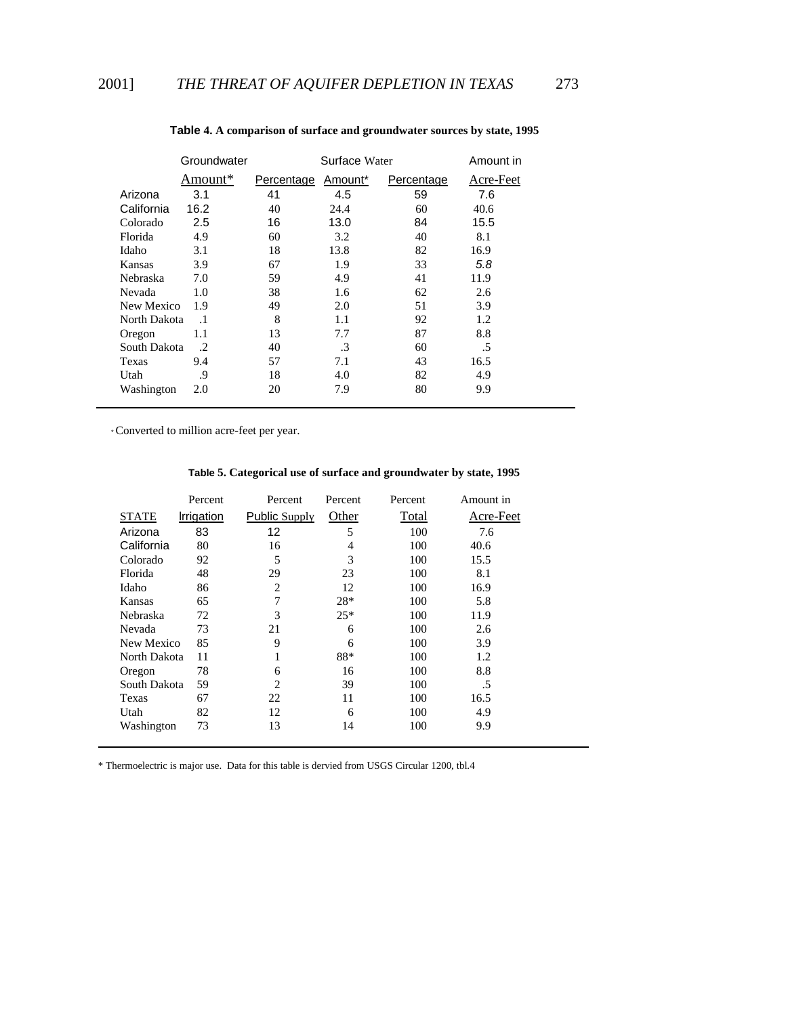|              | Groundwater |            | Surface Water |            | Amount in |
|--------------|-------------|------------|---------------|------------|-----------|
|              | Amount*     | Percentage | Amount*       | Percentage | Acre-Feet |
| Arizona      | 3.1         | 41         | 4.5           | 59         | 7.6       |
| California   | 16.2        | 40         | 24.4          | 60         | 40.6      |
| Colorado     | 2.5         | 16         | 13.0          | 84         | 15.5      |
| Florida      | 4.9         | 60         | 3.2           | 40         | 8.1       |
| Idaho        | 3.1         | 18         | 13.8          | 82         | 16.9      |
| Kansas       | 3.9         | 67         | 1.9           | 33         | 5.8       |
| Nebraska     | 7.0         | 59         | 4.9           | 41         | 11.9      |
| Nevada       | 1.0         | 38         | 1.6           | 62         | 2.6       |
| New Mexico   | 1.9         | 49         | 2.0           | 51         | 3.9       |
| North Dakota | $\cdot$ 1   | 8          | 1.1           | 92         | 1.2       |
| Oregon       | 1.1         | 13         | 7.7           | 87         | 8.8       |
| South Dakota | .2          | 40         | .3            | 60         | .5        |
| Texas        | 9.4         | 57         | 7.1           | 43         | 16.5      |
| Utah         | .9          | 18         | 4.0           | 82         | 4.9       |
| Washington   | 2.0         | 20         | 7.9           | 80         | 9.9       |

### **Table 4. A comparison of surface and groundwater sources by state, 1995**

\* Converted to million acre-feet per year.

# **Table 5. Categorical use of surface and groundwater by state, 1995**

|              | Percent    | Percent        | Percent | Percent | Amount in |
|--------------|------------|----------------|---------|---------|-----------|
| <b>STATE</b> | Irrigation | Public Supply  | Other   | Total   | Acre-Feet |
| Arizona      | 83         | 12             | 5       | 100     | 7.6       |
| California   | 80         | 16             | 4       | 100     | 40.6      |
| Colorado     | 92         | 5              | 3       | 100     | 15.5      |
| Florida      | 48         | 29             | 23      | 100     | 8.1       |
| Idaho        | 86         | $\overline{c}$ | 12      | 100     | 16.9      |
| Kansas       | 65         | 7              | 28*     | 100     | 5.8       |
| Nebraska     | 72         | 3              | $25*$   | 100     | 11.9      |
| Nevada       | 73         | 21             | 6       | 100     | 2.6       |
| New Mexico   | 85         | 9              | 6       | 100     | 3.9       |
| North Dakota | 11         | 1              | 88*     | 100     | 1.2       |
| Oregon       | 78         | 6              | 16      | 100     | 8.8       |
| South Dakota | 59         | $\overline{c}$ | 39      | 100     | .5        |
| Texas        | 67         | 22             | 11      | 100     | 16.5      |
| Utah         | 82         | 12             | 6       | 100     | 4.9       |
| Washington   | 73         | 13             | 14      | 100     | 9.9       |

\* Thermoelectric is major use. Data for this table is dervied from USGS Circular 1200, tbl.4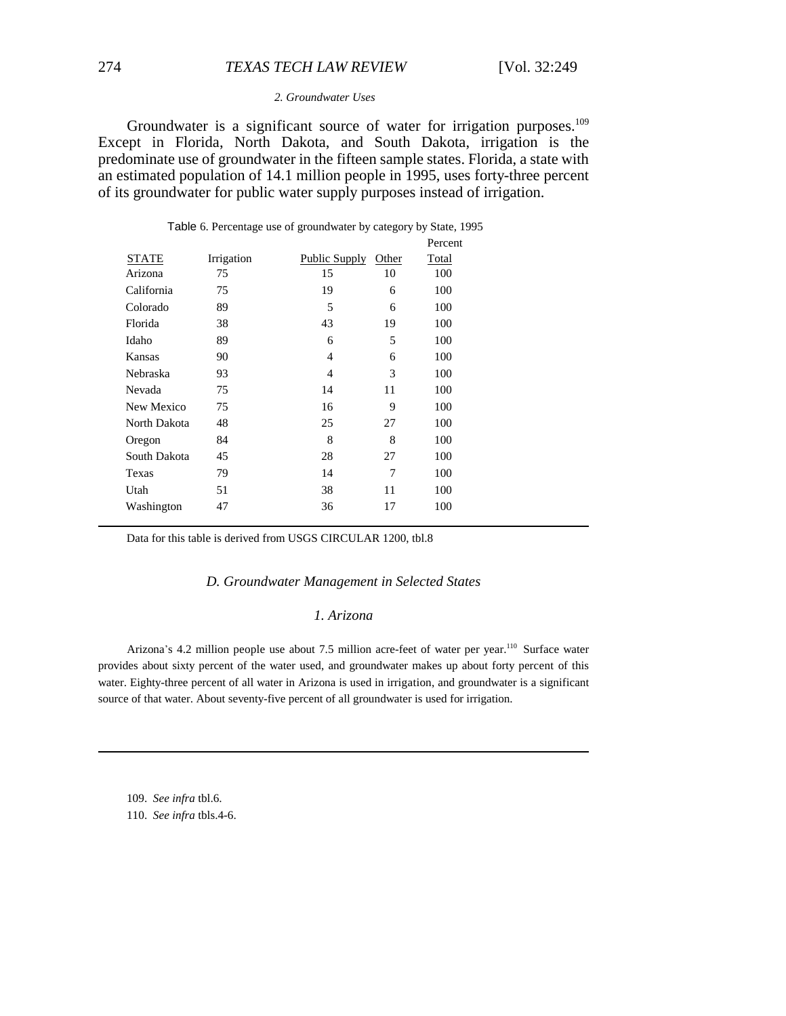# 274 *TEXAS TECH LAW REVIEW* [Vol. 32:249

#### *2. Groundwater Uses*

Groundwater is a significant source of water for irrigation purposes.<sup>109</sup> Except in Florida, North Dakota, and South Dakota, irrigation is the predominate use of groundwater in the fifteen sample states. Florida, a state with an estimated population of 14.1 million people in 1995, uses forty-three percent of its groundwater for public water supply purposes instead of irrigation.

|              |            |                      |       | Percent |
|--------------|------------|----------------------|-------|---------|
| STATE        | Irrigation | <b>Public Supply</b> | Other | Total   |
| Arizona      | 75         | 15                   | 10    | 100     |
| California   | 75         | 19                   | 6     | 100     |
| Colorado     | 89         | 5                    | 6     | 100     |
| Florida      | 38         | 43                   | 19    | 100     |
| Idaho        | 89         | 6                    | 5     | 100     |
| Kansas       | 90         | 4                    | 6     | 100     |
| Nebraska     | 93         | 4                    | 3     | 100     |
| Nevada       | 75         | 14                   | 11    | 100     |
| New Mexico   | 75         | 16                   | 9     | 100     |
| North Dakota | 48         | 25                   | 27    | 100     |
| Oregon       | 84         | 8                    | 8     | 100     |
| South Dakota | 45         | 28                   | 27    | 100     |
| Texas        | 79         | 14                   | 7     | 100     |
| Utah         | 51         | 38                   | 11    | 100     |
| Washington   | 47         | 36                   | 17    | 100     |
|              |            |                      |       |         |

Table 6. Percentage use of groundwater by category by State, 1995

Data for this table is derived from USGS CIRCULAR 1200, tbl.8

#### *D. Groundwater Management in Selected States*

#### *1. Arizona*

Arizona's 4.2 million people use about 7.5 million acre-feet of water per year.<sup>110</sup> Surface water provides about sixty percent of the water used, and groundwater makes up about forty percent of this water. Eighty-three percent of all water in Arizona is used in irrigation, and groundwater is a significant source of that water. About seventy-five percent of all groundwater is used for irrigation.

109. *See infra* tbl.6. 110. *See infra* tbls.4-6.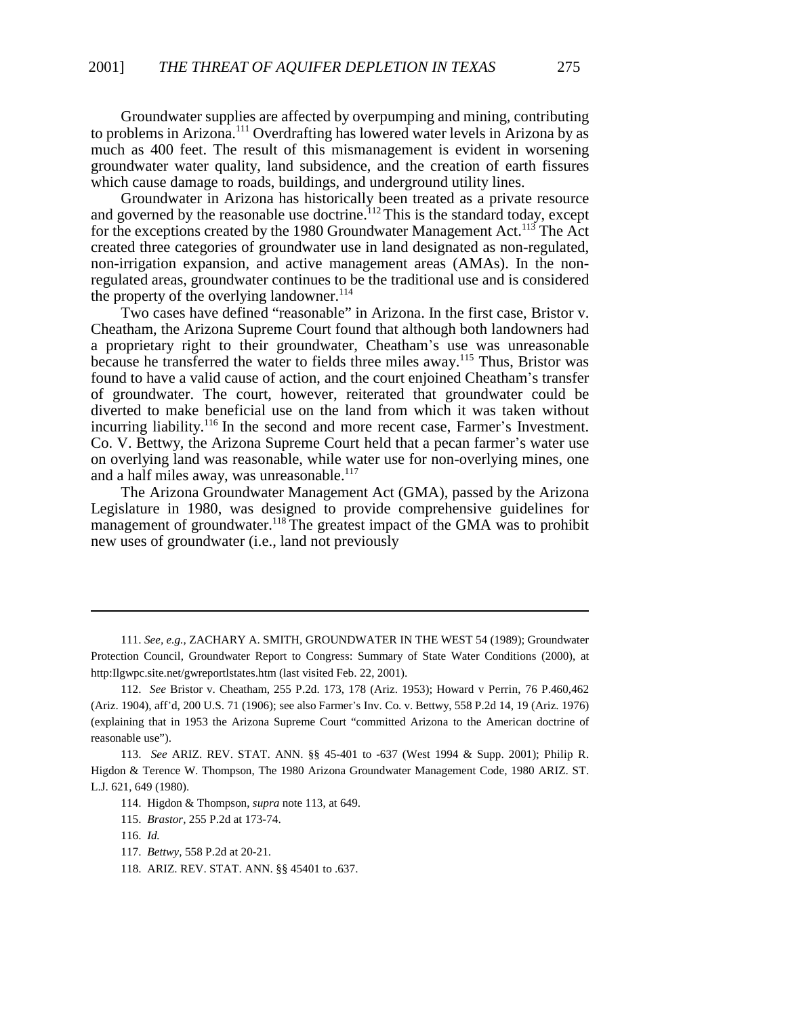Groundwater supplies are affected by overpumping and mining, contributing to problems in Arizona.111 Overdrafting has lowered water levels in Arizona by as much as 400 feet. The result of this mismanagement is evident in worsening groundwater water quality, land subsidence, and the creation of earth fissures which cause damage to roads, buildings, and underground utility lines.

Groundwater in Arizona has historically been treated as a private resource and governed by the reasonable use doctrine.<sup>112</sup> This is the standard today, except for the exceptions created by the 1980 Groundwater Management Act.<sup>113</sup> The Act created three categories of groundwater use in land designated as non-regulated, non-irrigation expansion, and active management areas (AMAs). In the nonregulated areas, groundwater continues to be the traditional use and is considered the property of the overlying landowner.<sup>114</sup>

Two cases have defined "reasonable" in Arizona. In the first case, Bristor v. Cheatham, the Arizona Supreme Court found that although both landowners had a proprietary right to their groundwater, Cheatham's use was unreasonable because he transferred the water to fields three miles away.<sup>115</sup> Thus, Bristor was found to have a valid cause of action, and the court enjoined Cheatham's transfer of groundwater. The court, however, reiterated that groundwater could be diverted to make beneficial use on the land from which it was taken without incurring liability.<sup>116</sup> In the second and more recent case, Farmer's Investment. Co. V. Bettwy, the Arizona Supreme Court held that a pecan farmer's water use on overlying land was reasonable, while water use for non-overlying mines, one and a half miles away, was unreasonable.<sup>117</sup>

The Arizona Groundwater Management Act (GMA), passed by the Arizona Legislature in 1980, was designed to provide comprehensive guidelines for management of groundwater.<sup>118</sup> The greatest impact of the GMA was to prohibit new uses of groundwater (i.e., land not previously

 <sup>111.</sup> *See, e.g.,* ZACHARY A. SMITH, GROUNDWATER IN THE WEST 54 (1989); Groundwater Protection Council, Groundwater Report to Congress: Summary of State Water Conditions (2000), at http:Ilgwpc.site.net/gwreportlstates.htm (last visited Feb. 22, 2001).

<sup>112.</sup> *See* Bristor v. Cheatham, 255 P.2d. 173, 178 (Ariz. 1953); Howard v Perrin, 76 P.460,462 (Ariz. 1904), aff\*d, 200 U.S. 71 (1906); see also Farmer\*s Inv. Co. v. Bettwy, 558 P.2d 14, 19 (Ariz. 1976) (explaining that in 1953 the Arizona Supreme Court "committed Arizona to the American doctrine of reasonable use").

<sup>113.</sup> *See* ARIZ. REV. STAT. ANN. §§ 45-401 to -637 (West 1994 & Supp. 2001); Philip R. Higdon & Terence W. Thompson, The 1980 Arizona Groundwater Management Code, 1980 ARIZ. ST. L.J. 621, 649 (1980).

<sup>114.</sup> Higdon & Thompson, *supra* note 113, at 649.

<sup>115.</sup> *Brastor,* 255 P.2d at 173-74.

<sup>116.</sup> *Id.*

<sup>117.</sup> *Bettwy,* 558 P.2d at 20-21.

<sup>118.</sup> ARIZ. REV. STAT. ANN. §§ 45401 to .637.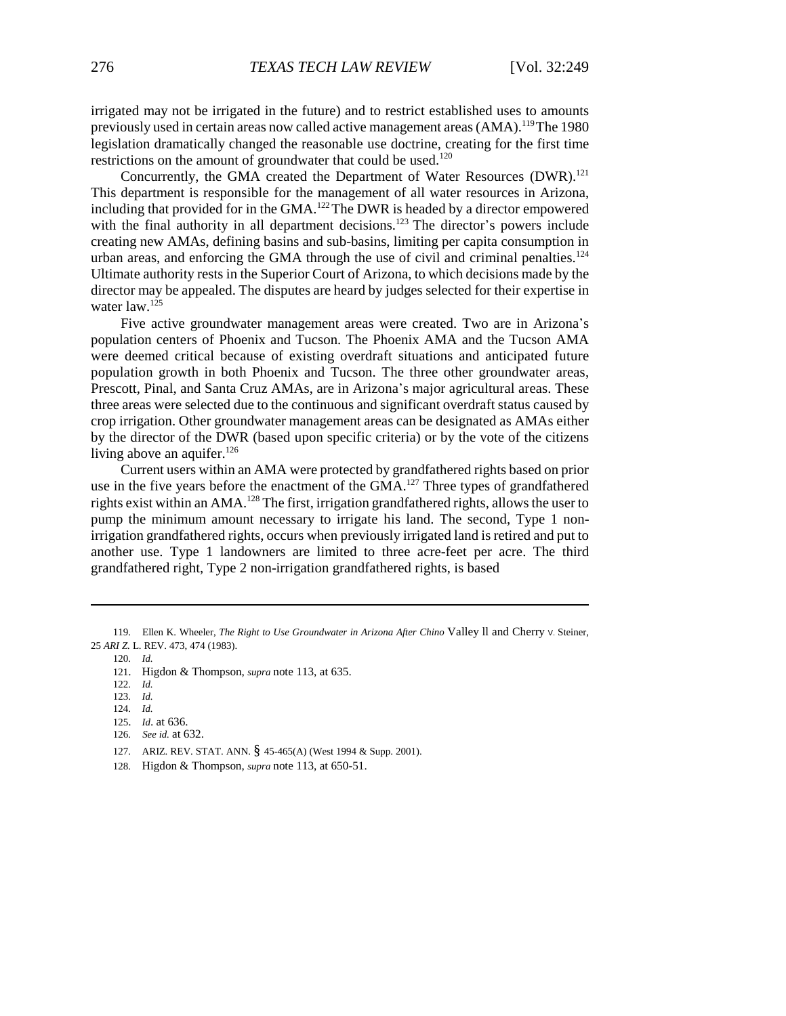irrigated may not be irrigated in the future) and to restrict established uses to amounts previously used in certain areas now called active management areas (AMA).<sup>119</sup> The 1980 legislation dramatically changed the reasonable use doctrine, creating for the first time restrictions on the amount of groundwater that could be used.<sup>120</sup>

Concurrently, the GMA created the Department of Water Resources (DWR).<sup>121</sup> This department is responsible for the management of all water resources in Arizona, including that provided for in the GMA.<sup>122</sup> The DWR is headed by a director empowered with the final authority in all department decisions.<sup>123</sup> The director's powers include creating new AMAs, defining basins and sub-basins, limiting per capita consumption in urban areas, and enforcing the GMA through the use of civil and criminal penalties.<sup>124</sup> Ultimate authority rests in the Superior Court of Arizona, to which decisions made by the director may be appealed. The disputes are heard by judges selected for their expertise in water  $law.<sup>125</sup>$ 

Five active groundwater management areas were created. Two are in Arizona's population centers of Phoenix and Tucson. The Phoenix AMA and the Tucson AMA were deemed critical because of existing overdraft situations and anticipated future population growth in both Phoenix and Tucson. The three other groundwater areas, Prescott, Pinal, and Santa Cruz AMAs, are in Arizona's major agricultural areas. These three areas were selected due to the continuous and significant overdraft status caused by crop irrigation. Other groundwater management areas can be designated as AMAs either by the director of the DWR (based upon specific criteria) or by the vote of the citizens living above an aquifer. $126$ 

Current users within an AMA were protected by grandfathered rights based on prior use in the five years before the enactment of the GMA.<sup>127</sup> Three types of grandfathered rights exist within an AMA.<sup>128</sup> The first, irrigation grandfathered rights, allows the user to pump the minimum amount necessary to irrigate his land. The second, Type 1 nonirrigation grandfathered rights, occurs when previously irrigated land is retired and put to another use. Type 1 landowners are limited to three acre-feet per acre. The third grandfathered right, Type 2 non-irrigation grandfathered rights, is based

123. *Id.*

- 125. *Id*. at 636.
- 126. *See id.* at 632.
- 127. ARIZ. REV. STAT. ANN. § 45-465(A) (West 1994 & Supp. 2001).
- 128. Higdon & Thompson, *supra* note 113, at 650-51.

<sup>119.</sup> Ellen K. Wheeler, *The Right to Use Groundwater in Arizona After Chino* Valley ll and Cherry V. Steiner, 25 *ARI Z.* L. REV. 473, 474 (1983).

<sup>120.</sup> *Id.*

<sup>121.</sup> Higdon & Thompson, *supra* note 113, at 635.

<sup>122.</sup> *Id.*

<sup>124.</sup> *Id.*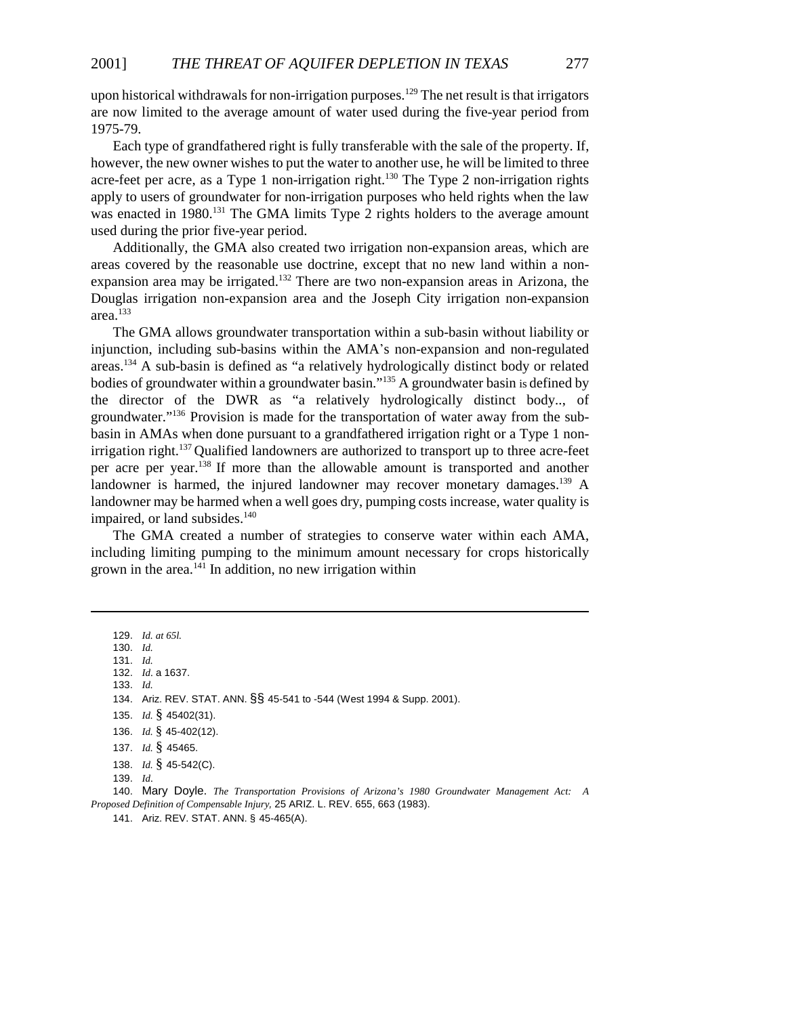upon historical withdrawals for non-irrigation purposes.<sup>129</sup> The net result is that irrigators are now limited to the average amount of water used during the five-year period from 1975-79.

Each type of grandfathered right is fully transferable with the sale of the property. If, however, the new owner wishes to put the water to another use, he will be limited to three acre-feet per acre, as a Type 1 non-irrigation right.<sup>130</sup> The Type 2 non-irrigation rights apply to users of groundwater for non-irrigation purposes who held rights when the law was enacted in 1980.<sup>131</sup> The GMA limits Type 2 rights holders to the average amount used during the prior five-year period.

Additionally, the GMA also created two irrigation non-expansion areas, which are areas covered by the reasonable use doctrine, except that no new land within a nonexpansion area may be irrigated.<sup>132</sup> There are two non-expansion areas in Arizona, the Douglas irrigation non-expansion area and the Joseph City irrigation non-expansion area.<sup>133</sup>

The GMA allows groundwater transportation within a sub-basin without liability or injunction, including sub-basins within the AMA\*s non-expansion and non-regulated areas.134 A sub-basin is defined as "a relatively hydrologically distinct body or related bodies of groundwater within a groundwater basin."135 A groundwater basin is defined by the director of the DWR as "a relatively hydrologically distinct body.., of groundwater."136 Provision is made for the transportation of water away from the subbasin in AMAs when done pursuant to a grandfathered irrigation right or a Type 1 nonirrigation right.<sup>137</sup> Qualified landowners are authorized to transport up to three acre-feet per acre per year.138 If more than the allowable amount is transported and another landowner is harmed, the injured landowner may recover monetary damages.<sup>139</sup> A landowner may be harmed when a well goes dry, pumping costs increase, water quality is impaired, or land subsides. $140$ 

The GMA created a number of strategies to conserve water within each AMA, including limiting pumping to the minimum amount necessary for crops historically grown in the area. $^{141}$  In addition, no new irrigation within

129. *Id. at 65l.* 130. *Id.* 131. *Id.* 132. *Id*. a 1637. 133. *Id.* 134. Ariz. REV. STAT. ANN. §§ 45-541 to -544 (West 1994 & Supp. 2001). 135. *Id.* § 45402(31). 136. *Id.* § 45-402(12). 137. *Id.* § 45465. 138. *Id.* § 45-542(C). 139. *Id*. 140. Mary Doyle. *The Transportation Provisions of Arizona's 1980 Groundwater Management Act: A*

*Proposed Definition of Compensable Injury,* 25 ARIZ. L. REV. 655, 663 (1983).

141. Ariz. REV. STAT. ANN. § 45-465(A).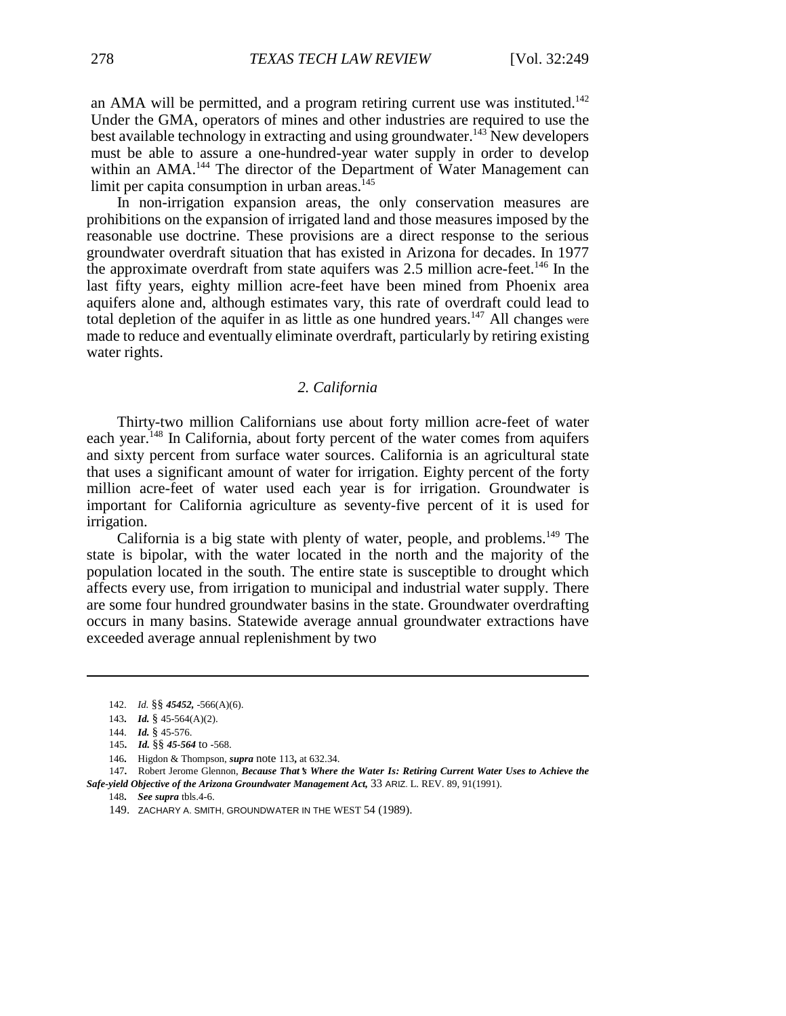an AMA will be permitted, and a program retiring current use was instituted.<sup>142</sup> Under the GMA, operators of mines and other industries are required to use the best available technology in extracting and using groundwater.<sup>143</sup> New developers must be able to assure a one-hundred-year water supply in order to develop within an AMA.<sup>144</sup> The director of the Department of Water Management can limit per capita consumption in urban areas.<sup>145</sup>

In non-irrigation expansion areas, the only conservation measures are prohibitions on the expansion of irrigated land and those measures imposed by the reasonable use doctrine. These provisions are a direct response to the serious groundwater overdraft situation that has existed in Arizona for decades. In 1977 the approximate overdraft from state aquifers was 2.5 million acre-feet.<sup>146</sup> In the last fifty years, eighty million acre-feet have been mined from Phoenix area aquifers alone and, although estimates vary, this rate of overdraft could lead to total depletion of the aquifer in as little as one hundred years.<sup>147</sup> All changes were made to reduce and eventually eliminate overdraft, particularly by retiring existing water rights.

# *2. California*

Thirty-two million Californians use about forty million acre-feet of water each year.<sup>148</sup> In California, about forty percent of the water comes from aquifers and sixty percent from surface water sources. California is an agricultural state that uses a significant amount of water for irrigation. Eighty percent of the forty million acre-feet of water used each year is for irrigation. Groundwater is important for California agriculture as seventy-five percent of it is used for irrigation.

California is a big state with plenty of water, people, and problems.<sup>149</sup> The state is bipolar, with the water located in the north and the majority of the population located in the south. The entire state is susceptible to drought which affects every use, from irrigation to municipal and industrial water supply. There are some four hundred groundwater basins in the state. Groundwater overdrafting occurs in many basins. Statewide average annual groundwater extractions have exceeded average annual replenishment by two

<sup>142.</sup> *Id.* §§ *45452,* -566(A)(6).

<sup>143</sup>**.** *Id.* § 45-564(A)(2).

<sup>144.</sup> *Id.* § 45-576.

<sup>145</sup>**.** *Id.* §§ *45-564* to **-**568.

<sup>146</sup>**.** Higdon & Thompson, *supra* note 113**,** at 632.34.

<sup>147</sup>**.** Robert Jerome Glennon, *Because That*\**s Where the Water Is: Retiring Current Water Uses to Achieve the Safe-yield Objective of the Arizona Groundwater Management Act,* 33 ARIZ. L. REV. 89, 91(1991).

<sup>148</sup>**.** *See supra* tbls.4-6.

<sup>149.</sup> ZACHARY A. SMITH, GROUNDWATER IN THE WEST 54 (1989).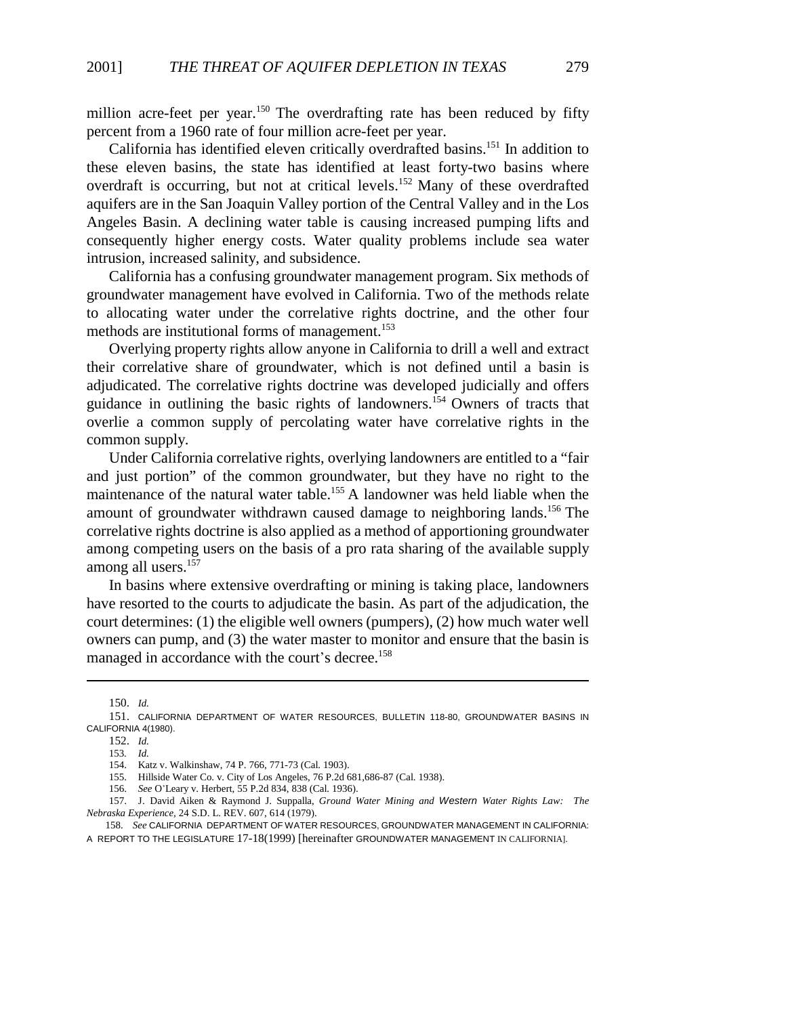million acre-feet per year.<sup>150</sup> The overdrafting rate has been reduced by fifty percent from a 1960 rate of four million acre-feet per year.

California has identified eleven critically overdrafted basins.151 In addition to these eleven basins, the state has identified at least forty-two basins where overdraft is occurring, but not at critical levels.<sup>152</sup> Many of these overdrafted aquifers are in the San Joaquin Valley portion of the Central Valley and in the Los Angeles Basin. A declining water table is causing increased pumping lifts and consequently higher energy costs. Water quality problems include sea water intrusion, increased salinity, and subsidence.

California has a confusing groundwater management program. Six methods of groundwater management have evolved in California. Two of the methods relate to allocating water under the correlative rights doctrine, and the other four methods are institutional forms of management.<sup>153</sup>

Overlying property rights allow anyone in California to drill a well and extract their correlative share of groundwater, which is not defined until a basin is adjudicated. The correlative rights doctrine was developed judicially and offers guidance in outlining the basic rights of landowners.154 Owners of tracts that overlie a common supply of percolating water have correlative rights in the common supply.

Under California correlative rights, overlying landowners are entitled to a "fair and just portion" of the common groundwater, but they have no right to the maintenance of the natural water table.<sup>155</sup> A landowner was held liable when the amount of groundwater withdrawn caused damage to neighboring lands.<sup>156</sup> The correlative rights doctrine is also applied as a method of apportioning groundwater among competing users on the basis of a pro rata sharing of the available supply among all users.<sup>157</sup>

In basins where extensive overdrafting or mining is taking place, landowners have resorted to the courts to adjudicate the basin. As part of the adjudication, the court determines: (1) the eligible well owners (pumpers), (2) how much water well owners can pump, and (3) the water master to monitor and ensure that the basin is managed in accordance with the court's decree.<sup>158</sup>

<sup>150.</sup> *Id.*

<sup>151.</sup> CALIFORNIA DEPARTMENT OF WATER RESOURCES, BULLETIN 118-80, GROUNDWATER BASINS IN CALIFORNIA 4(1980).

<sup>152.</sup> *Id.*

<sup>153</sup>*. Id.*

<sup>154.</sup> Katz v. Walkinshaw, 74 P. 766, 771-73 (Cal. 1903).

<sup>155.</sup> Hillside Water Co. v. City of Los Angeles, 76 P.2d 681,686-87 (Cal. 1938).

<sup>156.</sup> *See* O\*Leary v. Herbert, 55 P.2d 834, 838 (Cal. 1936).

<sup>157.</sup> J. David Aiken & Raymond J. Suppalla, *Ground Water Mining and Western Water Rights Law: The Nebraska Experience,* 24 S.D. L. REV. 607, 614 (1979).

<sup>158.</sup> *See* CALIFORNIA DEPARTMENT OF WATER RESOURCES, GROUNDWATER MANAGEMENT IN CALIFORNIA: A REPORT TO THE LEGISLATURE 17-18(1999) [hereinafter GROUNDWATER MANAGEMENT IN CALIFORNIA].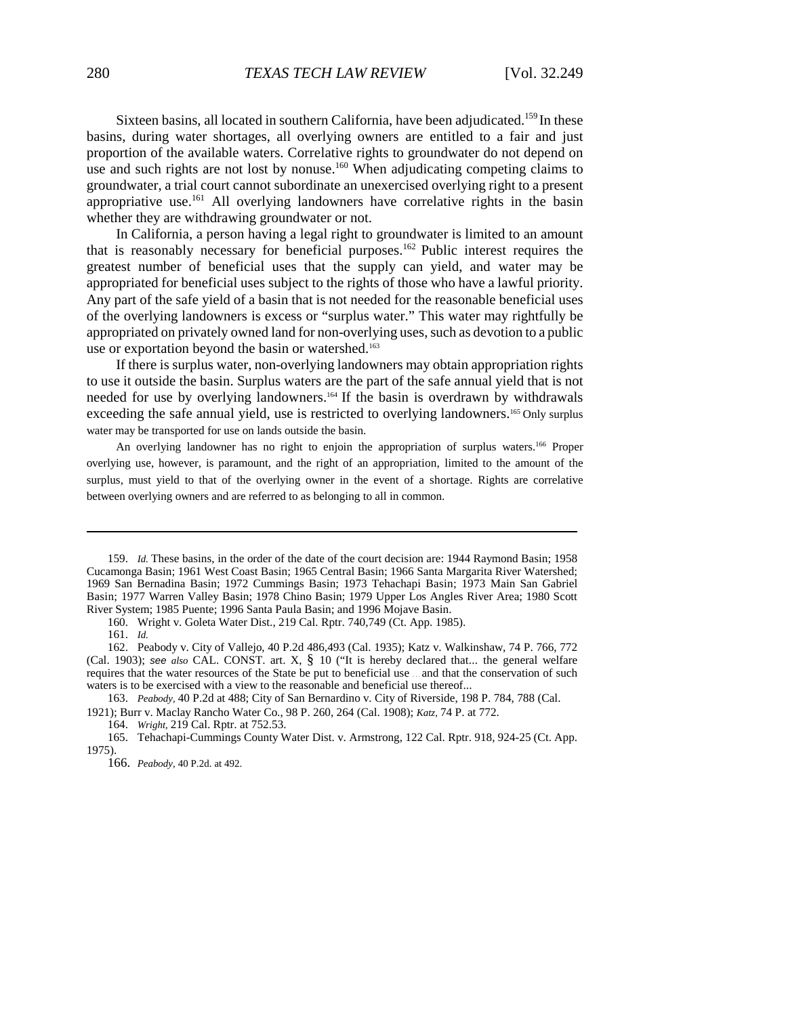Sixteen basins, all located in southern California, have been adjudicated.<sup>159</sup> In these basins, during water shortages, all overlying owners are entitled to a fair and just proportion of the available waters. Correlative rights to groundwater do not depend on use and such rights are not lost by nonuse.<sup>160</sup> When adjudicating competing claims to groundwater, a trial court cannot subordinate an unexercised overlying right to a present appropriative use.<sup>161</sup> All overlying landowners have correlative rights in the basin whether they are withdrawing groundwater or not.

In California, a person having a legal right to groundwater is limited to an amount that is reasonably necessary for beneficial purposes.<sup>162</sup> Public interest requires the greatest number of beneficial uses that the supply can yield, and water may be appropriated for beneficial uses subject to the rights of those who have a lawful priority. Any part of the safe yield of a basin that is not needed for the reasonable beneficial uses of the overlying landowners is excess or "surplus water." This water may rightfully be appropriated on privately owned land for non-overlying uses, such as devotion to a public use or exportation beyond the basin or watershed.<sup>163</sup>

If there is surplus water, non-overlying landowners may obtain appropriation rights to use it outside the basin. Surplus waters are the part of the safe annual yield that is not needed for use by overlying landowners.164 If the basin is overdrawn by withdrawals exceeding the safe annual yield, use is restricted to overlying landowners.<sup>165</sup> Only surplus water may be transported for use on lands outside the basin.

An overlying landowner has no right to enjoin the appropriation of surplus waters.<sup>166</sup> Proper overlying use, however, is paramount, and the right of an appropriation, limited to the amount of the surplus, must yield to that of the overlying owner in the event of a shortage. Rights are correlative between overlying owners and are referred to as belonging to all in common.

160. Wright v. Goleta Water Dist., 219 Cal. Rptr. 740,749 (Ct. App. 1985).

161. *Id.*

<sup>159.</sup> *Id.* These basins, in the order of the date of the court decision are: 1944 Raymond Basin; 1958 Cucamonga Basin; 1961 West Coast Basin; 1965 Central Basin; 1966 Santa Margarita River Watershed; 1969 San Bernadina Basin; 1972 Cummings Basin; 1973 Tehachapi Basin; 1973 Main San Gabriel Basin; 1977 Warren Valley Basin; 1978 Chino Basin; 1979 Upper Los Angles River Area; 1980 Scott River System; 1985 Puente; 1996 Santa Paula Basin; and 1996 Mojave Basin.

<sup>162.</sup> Peabody v. City of Vallejo, 40 P.2d 486,493 (Cal. 1935); Katz v. Walkinshaw, 74 P. 766, 772 (Cal. 1903); *see also* CAL. CONST. art. X, § 10 ("It is hereby declared that... the general welfare requires that the water resources of the State be put to beneficial use . . . and that the conservation of such waters is to be exercised with a view to the reasonable and beneficial use thereof...

<sup>163.</sup> *Peabody,* 40 P.2d at 488; City of San Bernardino v. City of Riverside, 198 P. 784, 788 (Cal. 1921); Burr v. Maclay Rancho Water Co., 98 P. 260, 264 (Cal. 1908); *Katz,* 74 P. at 772.

<sup>164.</sup> *Wright,* 219 Cal. Rptr. at 752.53.

<sup>165.</sup> Tehachapi-Cummings County Water Dist. v. Armstrong, 122 Cal. Rptr. 918, 924-25 (Ct. App. 1975).

<sup>166.</sup> *Peabody,* 40 P.2d. at 492.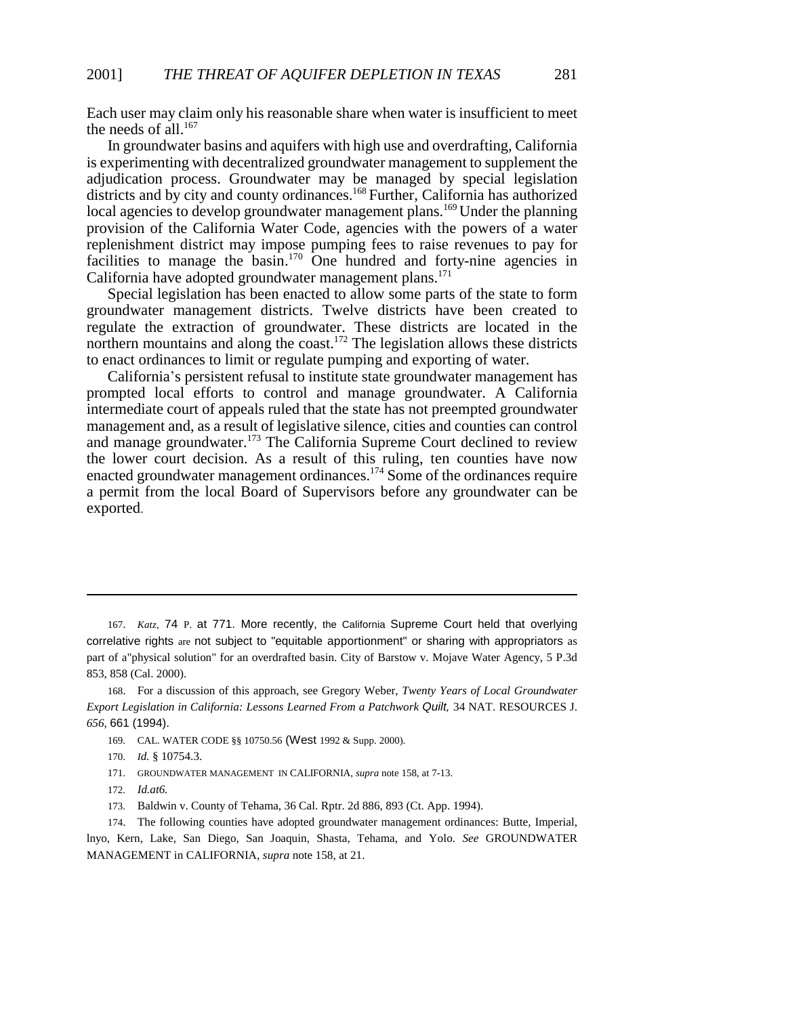Each user may claim only his reasonable share when water is insufficient to meet the needs of all. $167$ 

In groundwater basins and aquifers with high use and overdrafting, California is experimenting with decentralized groundwater management to supplement the adjudication process. Groundwater may be managed by special legislation districts and by city and county ordinances.<sup>168</sup> Further, California has authorized local agencies to develop groundwater management plans.<sup>169</sup> Under the planning provision of the California Water Code, agencies with the powers of a water replenishment district may impose pumping fees to raise revenues to pay for facilities to manage the basin.<sup>170</sup> One hundred and forty-nine agencies in California have adopted groundwater management plans.<sup>171</sup>

Special legislation has been enacted to allow some parts of the state to form groundwater management districts. Twelve districts have been created to regulate the extraction of groundwater. These districts are located in the northern mountains and along the coast.<sup>172</sup> The legislation allows these districts to enact ordinances to limit or regulate pumping and exporting of water.

California\*s persistent refusal to institute state groundwater management has prompted local efforts to control and manage groundwater. A California intermediate court of appeals ruled that the state has not preempted groundwater management and, as a result of legislative silence, cities and counties can control and manage groundwater.<sup>173</sup> The California Supreme Court declined to review the lower court decision. As a result of this ruling, ten counties have now enacted groundwater management ordinances.<sup>174</sup> Some of the ordinances require a permit from the local Board of Supervisors before any groundwater can be exported.

- 169. CAL. WATER CODE §§ 10750.56 (West 1992 & Supp. 2000).
- 170. *Id.* § 10754.3.
- 171. GROUNDWATER MANAGEMENT IN CALIFORNIA, *supra* note 158, at 7-13.
- 172. *Id.at6.*
- 173. Baldwin v. County of Tehama, 36 Cal. Rptr. 2d 886, 893 (Ct. App. 1994).

174. The following counties have adopted groundwater management ordinances: Butte, Imperial, lnyo, Kern, Lake, San Diego, San Joaquin, Shasta, Tehama, and Yolo. *See* GROUNDWATER MANAGEMENT in CALIFORNIA, *supra* note 158, at 21.

<sup>167.</sup> *Katz,* 74 P. at 771. More recently, the California Supreme Court held that overlying correlative rights are not subject to "equitable apportionment" or sharing with appropriators as part of a"physical solution" for an overdrafted basin. City of Barstow v. Mojave Water Agency, 5 P.3d 853, 858 (Cal. 2000).

<sup>168.</sup> For a discussion of this approach, see Gregory Weber, *Twenty Years of Local Groundwater Export Legislation in California: Lessons Learned From a Patchwork Quilt,* 34 NAT. RESOURCES J. *656,* 661 (1994).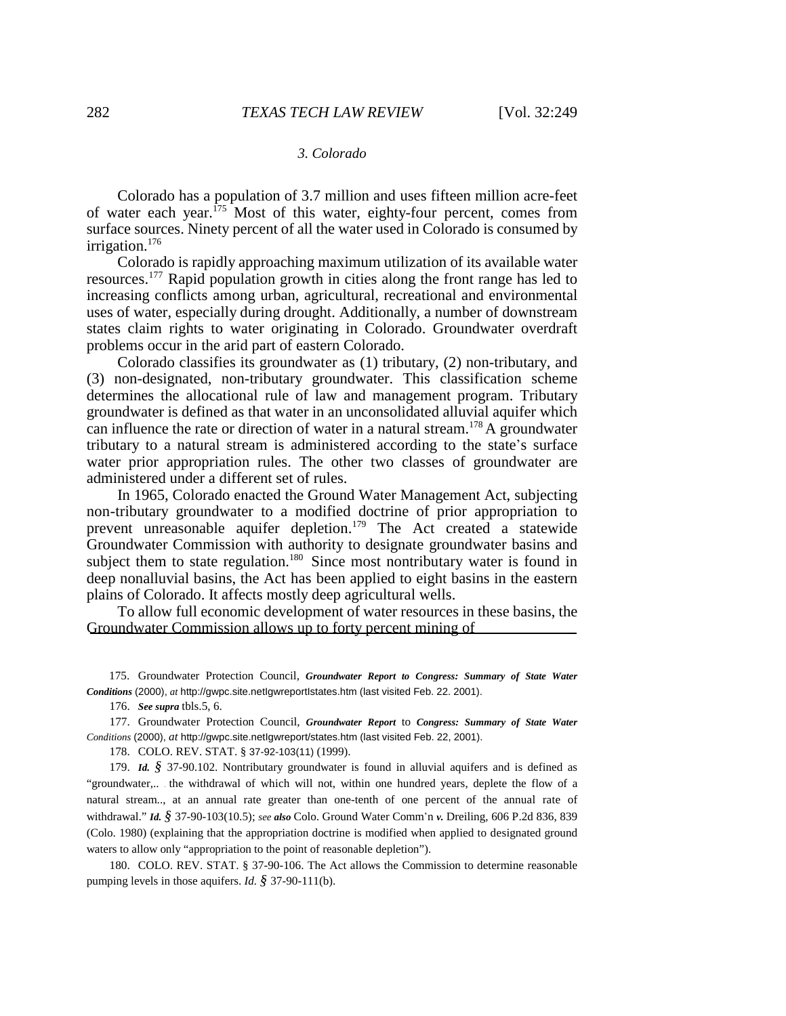#### *3. Colorado*

Colorado has a population of 3.7 million and uses fifteen million acre-feet of water each year.<sup>175</sup> Most of this water, eighty-four percent, comes from surface sources. Ninety percent of all the water used in Colorado is consumed by irrigation.<sup>176</sup>

Colorado is rapidly approaching maximum utilization of its available water resources.177 Rapid population growth in cities along the front range has led to increasing conflicts among urban, agricultural, recreational and environmental uses of water, especially during drought. Additionally, a number of downstream states claim rights to water originating in Colorado. Groundwater overdraft problems occur in the arid part of eastern Colorado.

Colorado classifies its groundwater as (1) tributary, (2) non-tributary, and (3) non-designated, non-tributary groundwater. This classification scheme determines the allocational rule of law and management program. Tributary groundwater is defined as that water in an unconsolidated alluvial aquifer which can influence the rate or direction of water in a natural stream.<sup>178</sup> A groundwater tributary to a natural stream is administered according to the state\*s surface water prior appropriation rules. The other two classes of groundwater are administered under a different set of rules.

In 1965, Colorado enacted the Ground Water Management Act, subjecting non-tributary groundwater to a modified doctrine of prior appropriation to prevent unreasonable aquifer depletion.<sup>179</sup> The Act created a statewide Groundwater Commission with authority to designate groundwater basins and subject them to state regulation.<sup>180</sup> Since most nontributary water is found in deep nonalluvial basins, the Act has been applied to eight basins in the eastern plains of Colorado. It affects mostly deep agricultural wells.

To allow full economic development of water resources in these basins, the Groundwater Commission allows up to forty percent mining of

175. Groundwater Protection Council, *Groundwater Report to Congress: Summary of State Water Conditions* (2000), *at* http://gwpc.site.netIgwreportIstates.htm (last visited Feb. 22. 2001).

176. *See supra* tbls.5, 6.

177. Groundwater Protection Council, *Groundwater Report* to *Congress: Summary of State Water Conditions* (2000), *at* http://gwpc.site.netIgwreport/states.htm (last visited Feb. 22, 2001).

178. COLO. REV. STAT. § 37-92-103(11) (1999).

179. *Id. §* 37-90.102. Nontributary groundwater is found in alluvial aquifers and is defined as "groundwater,.. . the withdrawal of which will not, within one hundred years, deplete the flow of a natural stream.., at an annual rate greater than one-tenth of one percent of the annual rate of withdrawal." *Id. §* 37-90-103(10.5); *see also* Colo. Ground Water Comm\*n *v.* Dreiling, 606 P.2d 836, 839 (Colo. 1980) (explaining that the appropriation doctrine is modified when applied to designated ground waters to allow only "appropriation to the point of reasonable depletion").

180. COLO. REV. STAT. § 37-90-106. The Act allows the Commission to determine reasonable pumping levels in those aquifers. *Id. §* 37-90-111(b).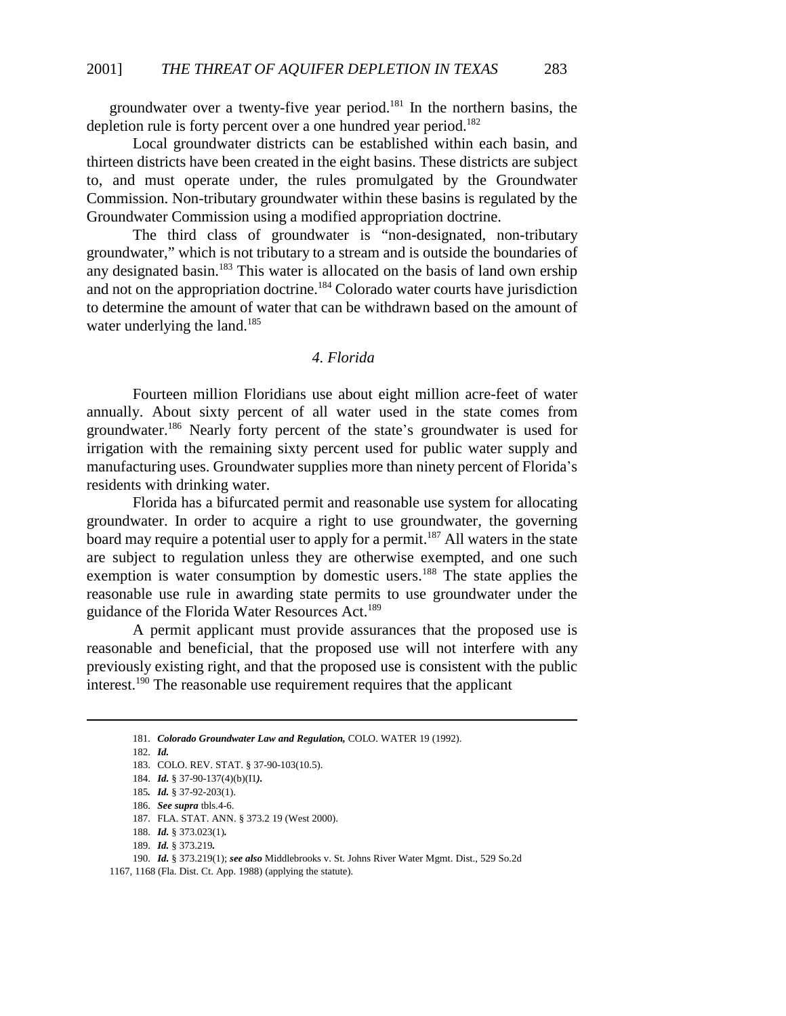groundwater over a twenty-five year period.<sup>181</sup> In the northern basins, the depletion rule is forty percent over a one hundred year period.<sup>182</sup>

Local groundwater districts can be established within each basin, and thirteen districts have been created in the eight basins. These districts are subject to, and must operate under, the rules promulgated by the Groundwater Commission. Non-tributary groundwater within these basins is regulated by the Groundwater Commission using a modified appropriation doctrine.

The third class of groundwater is "non-designated, non-tributary groundwater," which is not tributary to a stream and is outside the boundaries of any designated basin.<sup>183</sup> This water is allocated on the basis of land own ership and not on the appropriation doctrine.<sup>184</sup> Colorado water courts have jurisdiction to determine the amount of water that can be withdrawn based on the amount of water underlying the land.<sup>185</sup>

# *4. Florida*

Fourteen million Floridians use about eight million acre-feet of water annually. About sixty percent of all water used in the state comes from groundwater.<sup>186</sup> Nearly forty percent of the state's groundwater is used for irrigation with the remaining sixty percent used for public water supply and manufacturing uses. Groundwater supplies more than ninety percent of Florida's residents with drinking water.

Florida has a bifurcated permit and reasonable use system for allocating groundwater. In order to acquire a right to use groundwater, the governing board may require a potential user to apply for a permit.<sup>187</sup> All waters in the state are subject to regulation unless they are otherwise exempted, and one such exemption is water consumption by domestic users.<sup>188</sup> The state applies the reasonable use rule in awarding state permits to use groundwater under the guidance of the Florida Water Resources Act.<sup>189</sup>

A permit applicant must provide assurances that the proposed use is reasonable and beneficial, that the proposed use will not interfere with any previously existing right, and that the proposed use is consistent with the public interest.190 The reasonable use requirement requires that the applicant

182. *Id.*

185*. Id.* § 37-92-203(1).

189. *Id.* § 373.219*.*

190. *Id.* § 373.219(1); *see also* Middlebrooks v. St. Johns River Water Mgmt. Dist., 529 So.2d 1167, 1168 (Fla. Dist. Ct. App. 1988) (applying the statute).

<sup>181.</sup> *Colorado Groundwater Law and Regulation,* COLO. WATER 19 (1992).

<sup>183.</sup> COLO. REV. STAT. § 37-90-103(10.5).

<sup>184.</sup> *Id.* § 37-90-137(4)(b)(I1*).*

<sup>186.</sup> *See supra* tbls.4-6.

<sup>187.</sup> FLA. STAT. ANN. § 373.2 19 (West 2000).

<sup>188.</sup> *Id.* § 373.023(1)*.*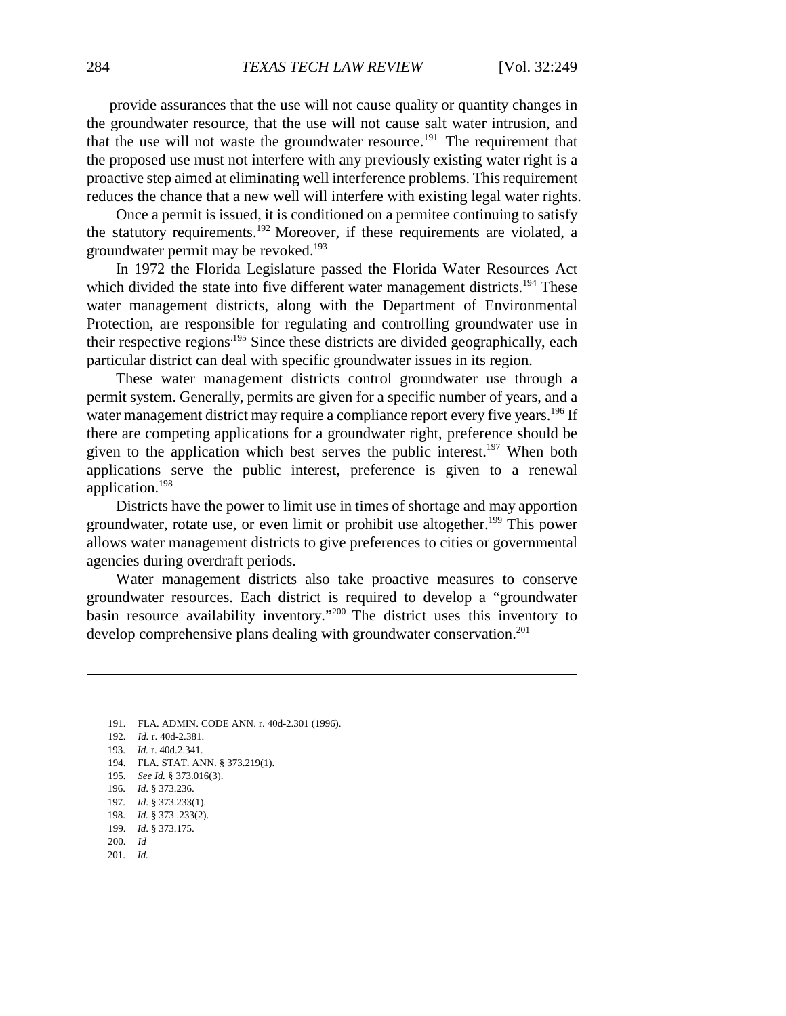provide assurances that the use will not cause quality or quantity changes in the groundwater resource, that the use will not cause salt water intrusion, and that the use will not waste the groundwater resource.<sup>191</sup> The requirement that the proposed use must not interfere with any previously existing water right is a proactive step aimed at eliminating well interference problems. This requirement reduces the chance that a new well will interfere with existing legal water rights.

Once a permit is issued, it is conditioned on a permitee continuing to satisfy the statutory requirements.<sup>192</sup> Moreover, if these requirements are violated, a groundwater permit may be revoked.<sup>193</sup>

In 1972 the Florida Legislature passed the Florida Water Resources Act which divided the state into five different water management districts.<sup>194</sup> These water management districts, along with the Department of Environmental Protection, are responsible for regulating and controlling groundwater use in their respective regions<sup>195</sup> Since these districts are divided geographically, each particular district can deal with specific groundwater issues in its region.

These water management districts control groundwater use through a permit system. Generally, permits are given for a specific number of years, and a water management district may require a compliance report every five years.<sup>196</sup> If there are competing applications for a groundwater right, preference should be given to the application which best serves the public interest.<sup>197</sup> When both applications serve the public interest, preference is given to a renewal application.198

Districts have the power to limit use in times of shortage and may apportion groundwater, rotate use, or even limit or prohibit use altogether.<sup>199</sup> This power allows water management districts to give preferences to cities or governmental agencies during overdraft periods.

Water management districts also take proactive measures to conserve groundwater resources. Each district is required to develop a "groundwater basin resource availability inventory."200 The district uses this inventory to develop comprehensive plans dealing with groundwater conservation.<sup>201</sup>

- 191. FLA. ADMIN. CODE ANN. r. 40d-2.301 (1996).
- 192. *Id.* r. 40d-2.381.
- 193. *Id.* r. 40d.2.341.
- 194. FLA. STAT. ANN. § 373.219(1).
- 195. *See Id.* § 373.016(3).
- 196. *Id*. § 373.236.
- 197. *Id*. § 373.233(1).
- 198. *Id.* § 373 .233(2).
- 199. *Id*. § 373.175.
- 200. *Id*
- 201. *Id.*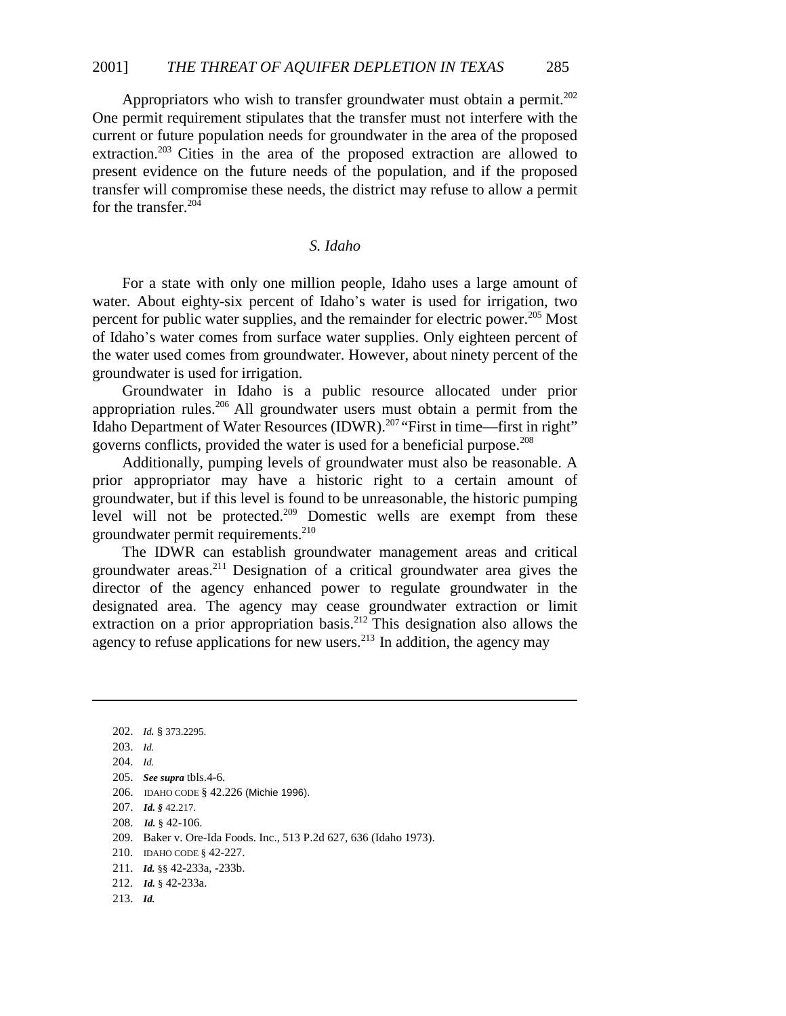Appropriators who wish to transfer groundwater must obtain a permit.<sup>202</sup> One permit requirement stipulates that the transfer must not interfere with the current or future population needs for groundwater in the area of the proposed extraction.<sup>203</sup> Cities in the area of the proposed extraction are allowed to present evidence on the future needs of the population, and if the proposed transfer will compromise these needs, the district may refuse to allow a permit for the transfer.<sup>204</sup>

# *S. Idaho*

For a state with only one million people, Idaho uses a large amount of water. About eighty-six percent of Idaho's water is used for irrigation, two percent for public water supplies, and the remainder for electric power.<sup>205</sup> Most of Idaho\*s water comes from surface water supplies. Only eighteen percent of the water used comes from groundwater. However, about ninety percent of the groundwater is used for irrigation.

Groundwater in Idaho is a public resource allocated under prior appropriation rules.206 All groundwater users must obtain a permit from the Idaho Department of Water Resources (IDWR).<sup>207</sup> "First in time—first in right" governs conflicts, provided the water is used for a beneficial purpose.208

Additionally, pumping levels of groundwater must also be reasonable. A prior appropriator may have a historic right to a certain amount of groundwater, but if this level is found to be unreasonable, the historic pumping level will not be protected.<sup>209</sup> Domestic wells are exempt from these groundwater permit requirements.<sup>210</sup>

The IDWR can establish groundwater management areas and critical groundwater areas.211 Designation of a critical groundwater area gives the director of the agency enhanced power to regulate groundwater in the designated area. The agency may cease groundwater extraction or limit extraction on a prior appropriation basis.<sup>212</sup> This designation also allows the agency to refuse applications for new users.<sup>213</sup> In addition, the agency may

213. *Id.*

<sup>202.</sup> *Id.* § 373.2295. 203. *Id.* 204. *Id.* 205. *See supra* tbls.4-6. 206. IDAHO CODE § 42.226 (Michie 1996). 207. *Id. §* 42.217. 208. *Id.* § 42-106. 209. Baker v. Ore-Ida Foods. Inc., 513 P.2d 627, 636 (Idaho 1973). 210. IDAHO CODE § 42-227. 211. *Id.* §§ 42-233a, -233b.

<sup>212.</sup> *Id.* § 42-233a.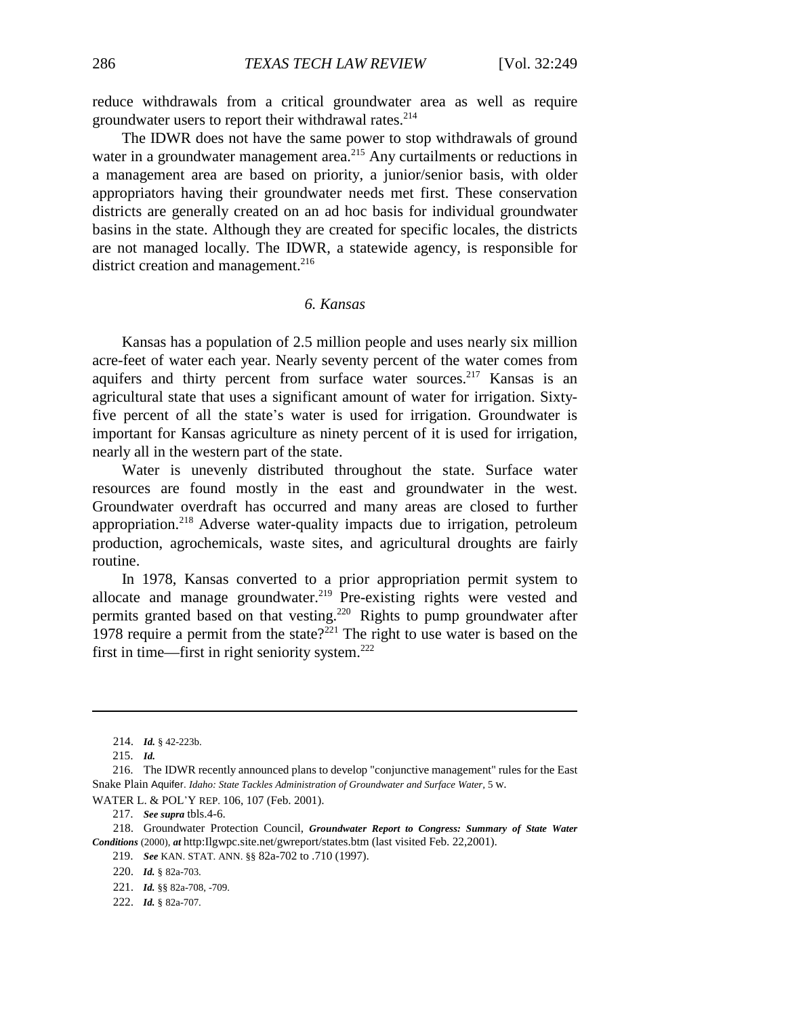reduce withdrawals from a critical groundwater area as well as require groundwater users to report their withdrawal rates.<sup>214</sup>

The IDWR does not have the same power to stop withdrawals of ground water in a groundwater management area.<sup>215</sup> Any curtailments or reductions in a management area are based on priority, a junior/senior basis, with older appropriators having their groundwater needs met first. These conservation districts are generally created on an ad hoc basis for individual groundwater basins in the state. Although they are created for specific locales, the districts are not managed locally. The IDWR, a statewide agency, is responsible for district creation and management. $216$ 

# *6. Kansas*

Kansas has a population of 2.5 million people and uses nearly six million acre-feet of water each year. Nearly seventy percent of the water comes from aquifers and thirty percent from surface water sources.<sup>217</sup> Kansas is an agricultural state that uses a significant amount of water for irrigation. Sixtyfive percent of all the state's water is used for irrigation. Groundwater is important for Kansas agriculture as ninety percent of it is used for irrigation, nearly all in the western part of the state.

Water is unevenly distributed throughout the state. Surface water resources are found mostly in the east and groundwater in the west. Groundwater overdraft has occurred and many areas are closed to further appropriation.218 Adverse water-quality impacts due to irrigation, petroleum production, agrochemicals, waste sites, and agricultural droughts are fairly routine.

In 1978, Kansas converted to a prior appropriation permit system to allocate and manage groundwater.<sup>219</sup> Pre-existing rights were vested and permits granted based on that vesting.220 Rights to pump groundwater after 1978 require a permit from the state?<sup>221</sup> The right to use water is based on the first in time—first in right seniority system. $222$ 

218. Groundwater Protection Council, *Groundwater Report to Congress: Summary of State Water Conditions* (2000), *at* http:Ilgwpc.site.net/gwreport/states.btm (last visited Feb. 22,2001).

222. *Id.* § 82a-707.

<sup>214.</sup> *Id.* § 42-223b.

<sup>215.</sup> *Id.*

<sup>216.</sup> The IDWR recently announced plans to develop "conjunctive management" rules for the East Snake Plain Aquifer. *Idaho: State Tackles Administration of Groundwater and Surface Water,* 5 w.

WATER L. & POL'Y REP. 106, 107 (Feb. 2001).

<sup>217.</sup> *See supra* tbls.4-6.

<sup>219.</sup> *See* KAN. STAT. ANN. §§ 82a-702 to .710 (1997).

<sup>220.</sup> *Id.* § 82a-703.

<sup>221.</sup> *Id.* §§ 82a-708, -709.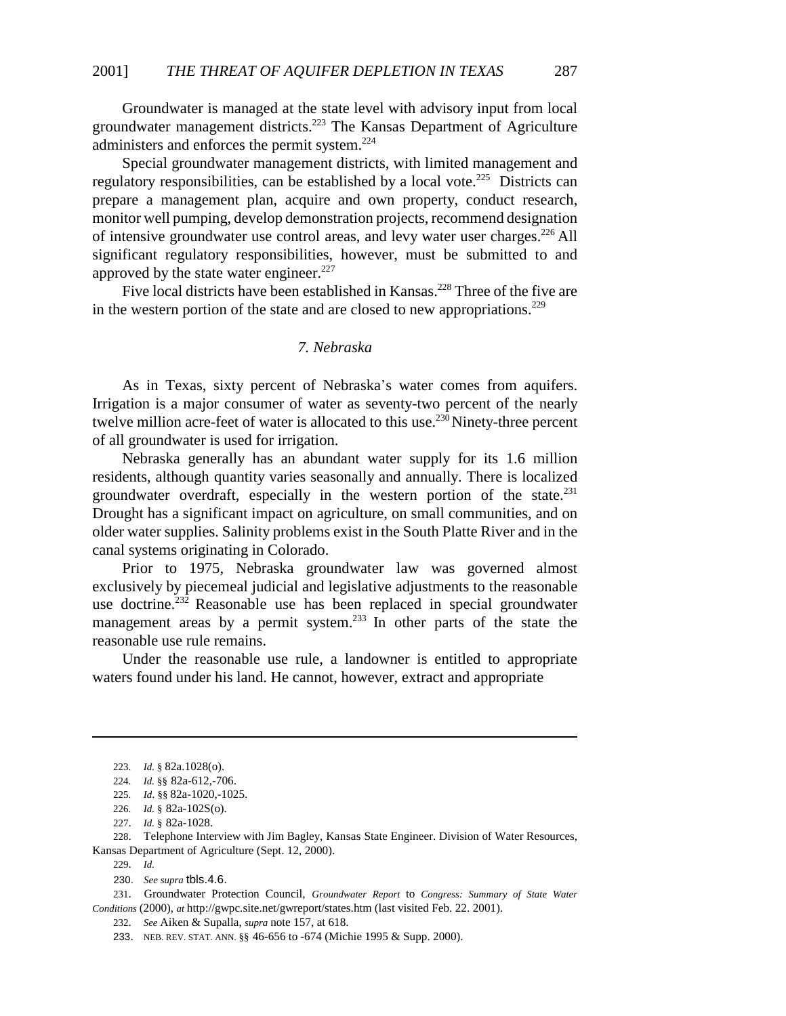Groundwater is managed at the state level with advisory input from local groundwater management districts.223 The Kansas Department of Agriculture administers and enforces the permit system.224

Special groundwater management districts, with limited management and regulatory responsibilities, can be established by a local vote.<sup>225</sup> Districts can prepare a management plan, acquire and own property, conduct research, monitor well pumping, develop demonstration projects, recommend designation of intensive groundwater use control areas, and levy water user charges.<sup>226</sup> All significant regulatory responsibilities, however, must be submitted to and approved by the state water engineer. $227$ 

Five local districts have been established in Kansas.<sup>228</sup> Three of the five are in the western portion of the state and are closed to new appropriations.<sup>229</sup>

# *7. Nebraska*

As in Texas, sixty percent of Nebraska's water comes from aquifers. Irrigation is a major consumer of water as seventy-two percent of the nearly twelve million acre-feet of water is allocated to this use.<sup>230</sup> Ninety-three percent of all groundwater is used for irrigation.

Nebraska generally has an abundant water supply for its 1.6 million residents, although quantity varies seasonally and annually. There is localized groundwater overdraft, especially in the western portion of the state. $^{231}$ Drought has a significant impact on agriculture, on small communities, and on older water supplies. Salinity problems exist in the South Platte River and in the canal systems originating in Colorado.

Prior to 1975, Nebraska groundwater law was governed almost exclusively by piecemeal judicial and legislative adjustments to the reasonable use doctrine.<sup>232</sup> Reasonable use has been replaced in special groundwater management areas by a permit system.<sup>233</sup> In other parts of the state the reasonable use rule remains.

Under the reasonable use rule, a landowner is entitled to appropriate waters found under his land. He cannot, however, extract and appropriate

228. Telephone Interview with Jim Bagley, Kansas State Engineer. Division of Water Resources, Kansas Department of Agriculture (Sept. 12, 2000).

<sup>223.</sup> *Id.* § 82a.1028(o).

<sup>224.</sup> *Id.* §§ 82a-612,-706.

<sup>225.</sup> *Id*. §§ 82a-1020,-1025.

<sup>226.</sup> *Id.* § 82a-102S(o).

<sup>227.</sup> *Id.* § 82a-1028.

<sup>229.</sup> *Id.*

<sup>230.</sup> *See supra* tbls.4.6.

<sup>231.</sup> Groundwater Protection Council, *Groundwater Report* to *Congress: Summary of State Water Conditions* (2000), *at* http://gwpc.site.net/gwreport/states.htm (last visited Feb. 22. 2001).

<sup>232.</sup> *See* Aiken & Supalla, *supra* note 157, at 618.

<sup>233.</sup> NEB. REV. STAT. ANN. §§ 46-656 to -674 (Michie 1995 & Supp. 2000).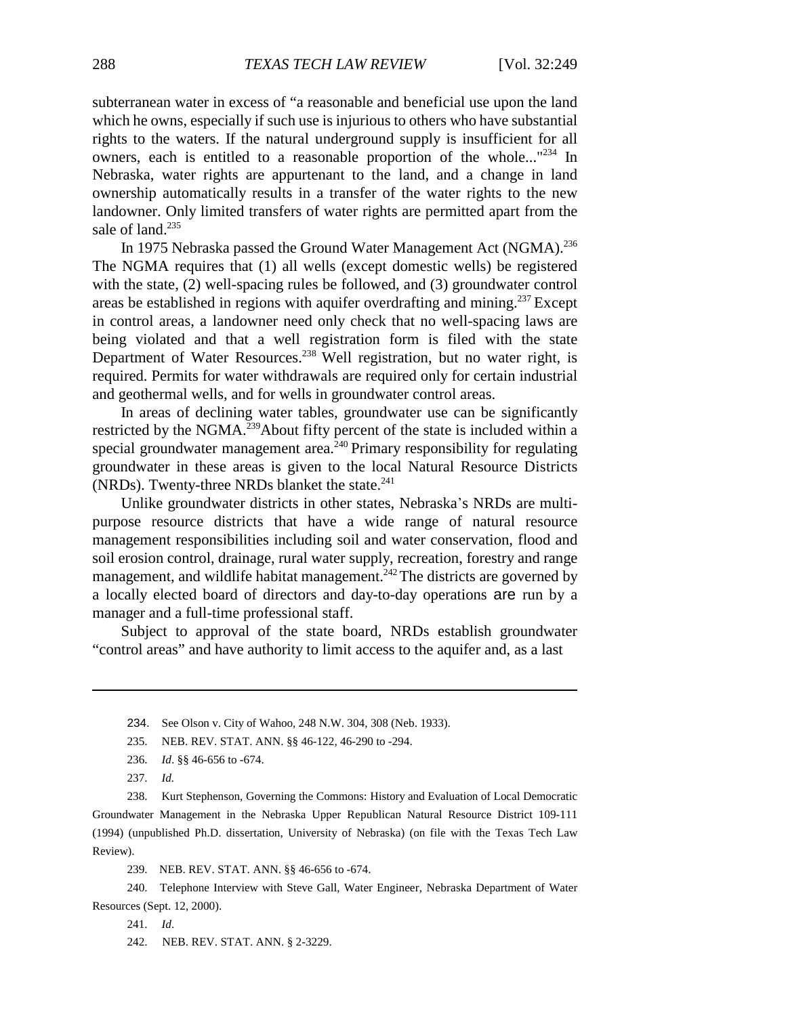subterranean water in excess of "a reasonable and beneficial use upon the land which he owns, especially if such use is injurious to others who have substantial rights to the waters. If the natural underground supply is insufficient for all owners, each is entitled to a reasonable proportion of the whole... $n_{234}$  In Nebraska, water rights are appurtenant to the land, and a change in land ownership automatically results in a transfer of the water rights to the new landowner. Only limited transfers of water rights are permitted apart from the sale of land.<sup>235</sup>

In 1975 Nebraska passed the Ground Water Management Act (NGMA).<sup>236</sup> The NGMA requires that (1) all wells (except domestic wells) be registered with the state, (2) well-spacing rules be followed, and (3) groundwater control areas be established in regions with aquifer overdrafting and mining.<sup>237</sup> Except in control areas, a landowner need only check that no well-spacing laws are being violated and that a well registration form is filed with the state Department of Water Resources.<sup>238</sup> Well registration, but no water right, is required. Permits for water withdrawals are required only for certain industrial and geothermal wells, and for wells in groundwater control areas.

In areas of declining water tables, groundwater use can be significantly restricted by the NGMA.<sup>239</sup>About fifty percent of the state is included within a special groundwater management area.<sup>240</sup> Primary responsibility for regulating groundwater in these areas is given to the local Natural Resource Districts (NRDs). Twenty-three NRDs blanket the state. $^{241}$ 

Unlike groundwater districts in other states, Nebraska's NRDs are multipurpose resource districts that have a wide range of natural resource management responsibilities including soil and water conservation, flood and soil erosion control, drainage, rural water supply, recreation, forestry and range management, and wildlife habitat management.<sup> $242$ </sup> The districts are governed by a locally elected board of directors and day-to-day operations are run by a manager and a full-time professional staff.

Subject to approval of the state board, NRDs establish groundwater "control areas" and have authority to limit access to the aquifer and, as a last

235. NEB. REV. STAT. ANN. §§ 46-122, 46-290 to -294.

237. *Id.*

238. Kurt Stephenson, Governing the Commons: History and Evaluation of Local Democratic Groundwater Management in the Nebraska Upper Republican Natural Resource District 109-111 (1994) (unpublished Ph.D. dissertation, University of Nebraska) (on file with the Texas Tech Law Review).

239. NEB. REV. STAT. ANN. §§ 46-656 to -674.

240. Telephone Interview with Steve Gall, Water Engineer, Nebraska Department of Water Resources (Sept. 12, 2000).

- 241. *Id*.
- 242. NEB. REV. STAT. ANN. § 2-3229.

<sup>234.</sup> See Olson v. City of Wahoo, 248 N.W. 304, 308 (Neb. 1933).

<sup>236.</sup> *Id*. §§ 46-656 to -674.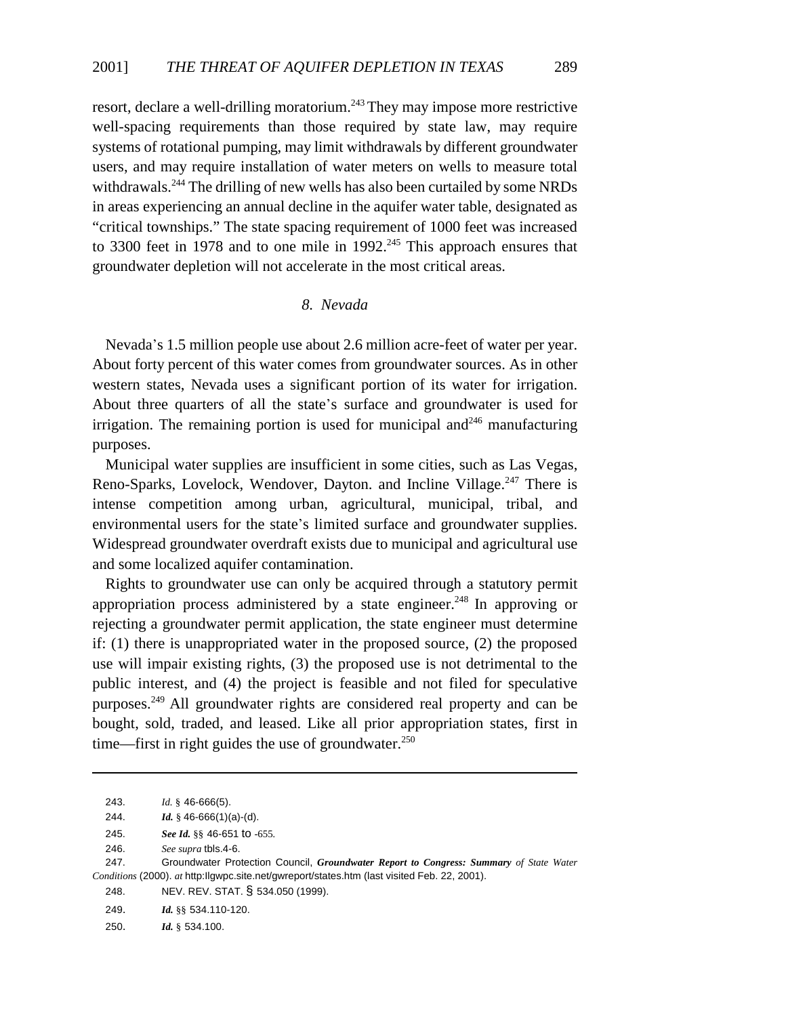resort, declare a well-drilling moratorium.<sup>243</sup> They may impose more restrictive well-spacing requirements than those required by state law, may require systems of rotational pumping, may limit withdrawals by different groundwater users, and may require installation of water meters on wells to measure total withdrawals.<sup>244</sup> The drilling of new wells has also been curtailed by some NRDs in areas experiencing an annual decline in the aquifer water table, designated as "critical townships." The state spacing requirement of 1000 feet was increased to 3300 feet in 1978 and to one mile in 1992.<sup>245</sup> This approach ensures that groundwater depletion will not accelerate in the most critical areas.

# *8. Nevada*

Nevada's 1.5 million people use about 2.6 million acre-feet of water per year. About forty percent of this water comes from groundwater sources. As in other western states, Nevada uses a significant portion of its water for irrigation. About three quarters of all the state's surface and groundwater is used for irrigation. The remaining portion is used for municipal and  $246$  manufacturing purposes.

Municipal water supplies are insufficient in some cities, such as Las Vegas, Reno-Sparks, Lovelock, Wendover, Dayton. and Incline Village.<sup>247</sup> There is intense competition among urban, agricultural, municipal, tribal, and environmental users for the state's limited surface and groundwater supplies. Widespread groundwater overdraft exists due to municipal and agricultural use and some localized aquifer contamination.

Rights to groundwater use can only be acquired through a statutory permit appropriation process administered by a state engineer.<sup>248</sup> In approving or rejecting a groundwater permit application, the state engineer must determine if: (1) there is unappropriated water in the proposed source, (2) the proposed use will impair existing rights, (3) the proposed use is not detrimental to the public interest, and (4) the project is feasible and not filed for speculative purposes.249 All groundwater rights are considered real property and can be bought, sold, traded, and leased. Like all prior appropriation states, first in time—first in right guides the use of groundwater. $250$ 

<sup>243.</sup> *Id.* § 46-666(5).

<sup>244.</sup> *Id.* § 46-666(1)(a)-(d).

<sup>245.</sup> *See Id.* §§ 46-651 to -655*.*

<sup>246.</sup> *See supra* tbls.4-6.

<sup>247.</sup> Groundwater Protection Council, *Groundwater Report to Congress: Summary of State Water Conditions* (2000). *at* http:Ilgwpc.site.net/gwreport/states.htm (last visited Feb. 22, 2001).

<sup>248.</sup> NEV. REV. STAT. § 534.050 (1999).

<sup>249.</sup> *Id.* §§ 534.110-120.

<sup>250.</sup> *Id.* § 534.100.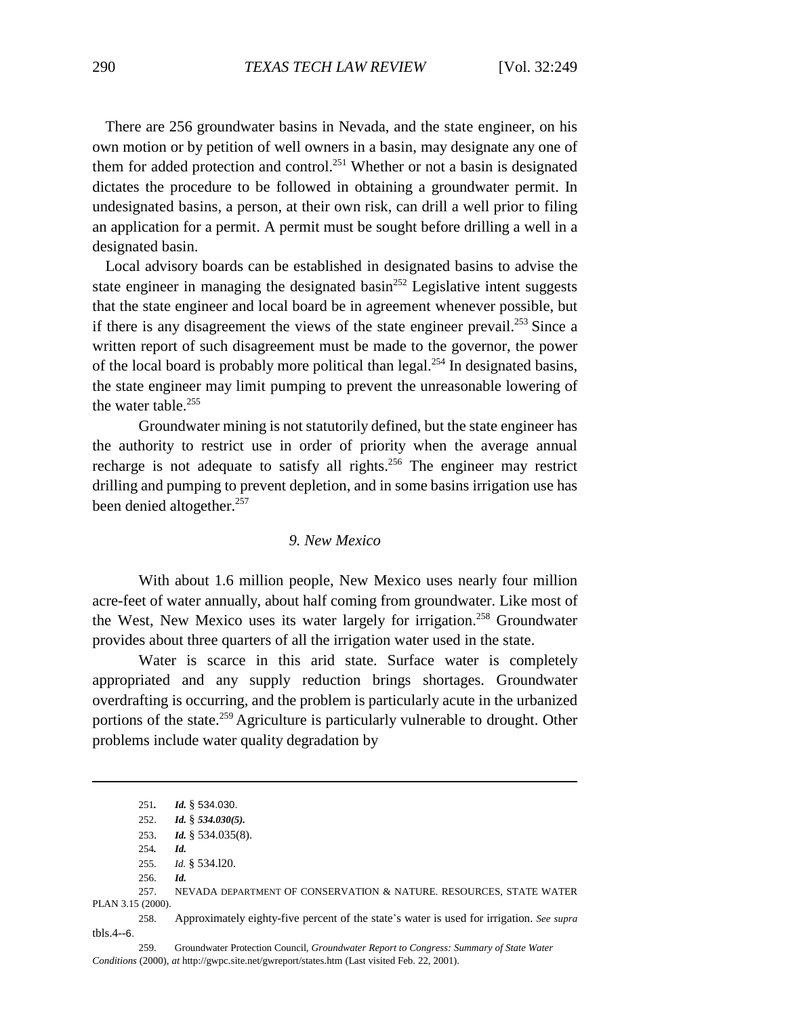There are 256 groundwater basins in Nevada, and the state engineer, on his own motion or by petition of well owners in a basin, may designate any one of them for added protection and control.251 Whether or not a basin is designated dictates the procedure to be followed in obtaining a groundwater permit. In undesignated basins, a person, at their own risk, can drill a well prior to filing an application for a permit. A permit must be sought before drilling a well in a designated basin.

Local advisory boards can be established in designated basins to advise the state engineer in managing the designated basin<sup>252</sup> Legislative intent suggests that the state engineer and local board be in agreement whenever possible, but if there is any disagreement the views of the state engineer prevail.<sup>253</sup> Since a written report of such disagreement must be made to the governor, the power of the local board is probably more political than legal.<sup>254</sup> In designated basins, the state engineer may limit pumping to prevent the unreasonable lowering of the water table.<sup>255</sup>

Groundwater mining is not statutorily defined, but the state engineer has the authority to restrict use in order of priority when the average annual recharge is not adequate to satisfy all rights.<sup>256</sup> The engineer may restrict drilling and pumping to prevent depletion, and in some basins irrigation use has been denied altogether.<sup>257</sup>

### *9. New Mexico*

With about 1.6 million people, New Mexico uses nearly four million acre-feet of water annually, about half coming from groundwater. Like most of the West, New Mexico uses its water largely for irrigation.<sup>258</sup> Groundwater provides about three quarters of all the irrigation water used in the state.

Water is scarce in this arid state. Surface water is completely appropriated and any supply reduction brings shortages. Groundwater overdrafting is occurring, and the problem is particularly acute in the urbanized portions of the state.<sup>259</sup> Agriculture is particularly vulnerable to drought. Other problems include water quality degradation by

259. Groundwater Protection Council, *Groundwater Report to Congress: Summary of State Water Conditions* (2000), *at* http://gwpc.site.net/gwreport/states.htm (Last visited Feb. 22, 2001).

<sup>251</sup>*. Id.* § 534.030.

<sup>252</sup>. *Id.* § *534.030(5).*

<sup>253.</sup> *Id.* § 534.035(8).

<sup>254</sup>*. Id.*

<sup>255.</sup> *Id.* § 534.l20.

<sup>256.</sup> *Id.*

<sup>257</sup>. NEVADA DEPARTMENT OF CONSERVATION & NATURE. RESOURCES, STATE WATER PLAN 3.15 (2000).

<sup>258.</sup> Approximately eighty-five percent of the state\*s water is used for irrigation. *See supra* tbls.4--6.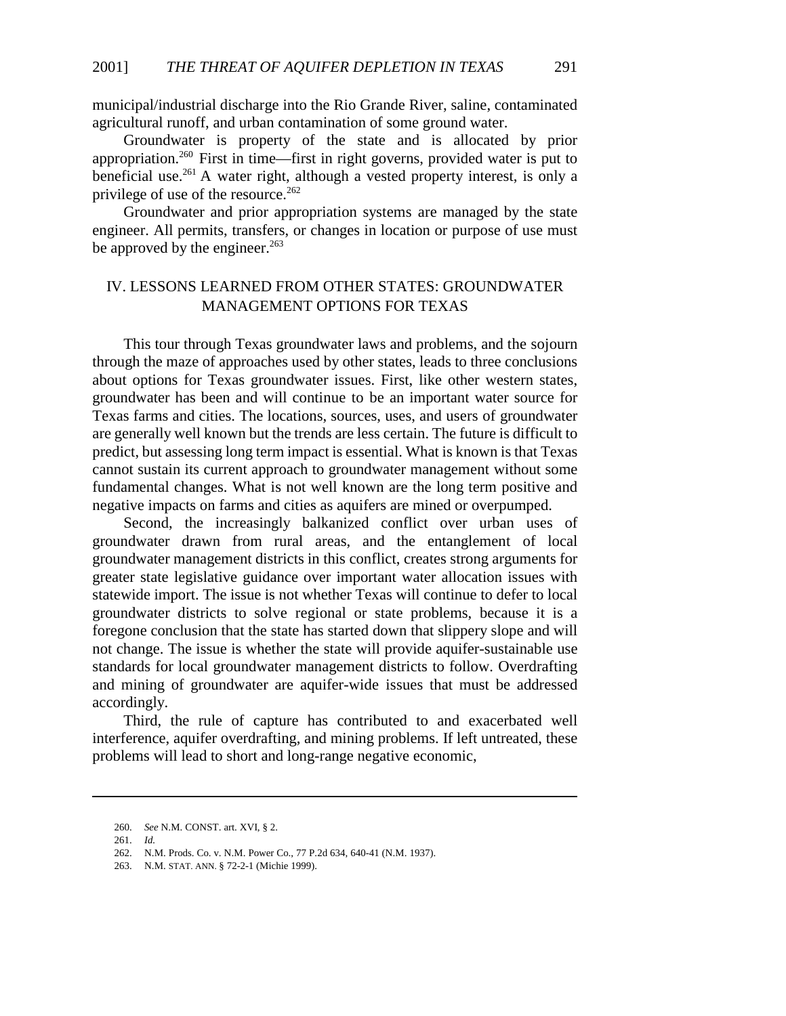municipal/industrial discharge into the Rio Grande River, saline, contaminated agricultural runoff, and urban contamination of some ground water.

Groundwater is property of the state and is allocated by prior appropriation.260 First in time—first in right governs, provided water is put to beneficial use.261 A water right, although a vested property interest, is only a privilege of use of the resource. $262$ 

Groundwater and prior appropriation systems are managed by the state engineer. All permits, transfers, or changes in location or purpose of use must be approved by the engineer. $^{263}$ 

# IV. LESSONS LEARNED FROM OTHER STATES: GROUNDWATER MANAGEMENT OPTIONS FOR TEXAS

This tour through Texas groundwater laws and problems, and the sojourn through the maze of approaches used by other states, leads to three conclusions about options for Texas groundwater issues. First, like other western states, groundwater has been and will continue to be an important water source for Texas farms and cities. The locations, sources, uses, and users of groundwater are generally well known but the trends are less certain. The future is difficult to predict, but assessing long term impact is essential. What is known is that Texas cannot sustain its current approach to groundwater management without some fundamental changes. What is not well known are the long term positive and negative impacts on farms and cities as aquifers are mined or overpumped.

Second, the increasingly balkanized conflict over urban uses of groundwater drawn from rural areas, and the entanglement of local groundwater management districts in this conflict, creates strong arguments for greater state legislative guidance over important water allocation issues with statewide import. The issue is not whether Texas will continue to defer to local groundwater districts to solve regional or state problems, because it is a foregone conclusion that the state has started down that slippery slope and will not change. The issue is whether the state will provide aquifer-sustainable use standards for local groundwater management districts to follow. Overdrafting and mining of groundwater are aquifer-wide issues that must be addressed accordingly.

Third, the rule of capture has contributed to and exacerbated well interference, aquifer overdrafting, and mining problems. If left untreated, these problems will lead to short and long-range negative economic,

<sup>260.</sup> *See* N.M. CONST. art. XVI, § 2.

<sup>261.</sup> *Id.*

<sup>262.</sup> N.M. Prods. Co. v. N.M. Power Co., 77 P.2d 634, 640-41 (N.M. 1937).

<sup>263.</sup> N.M. STAT. ANN. § 72-2-1 (Michie 1999).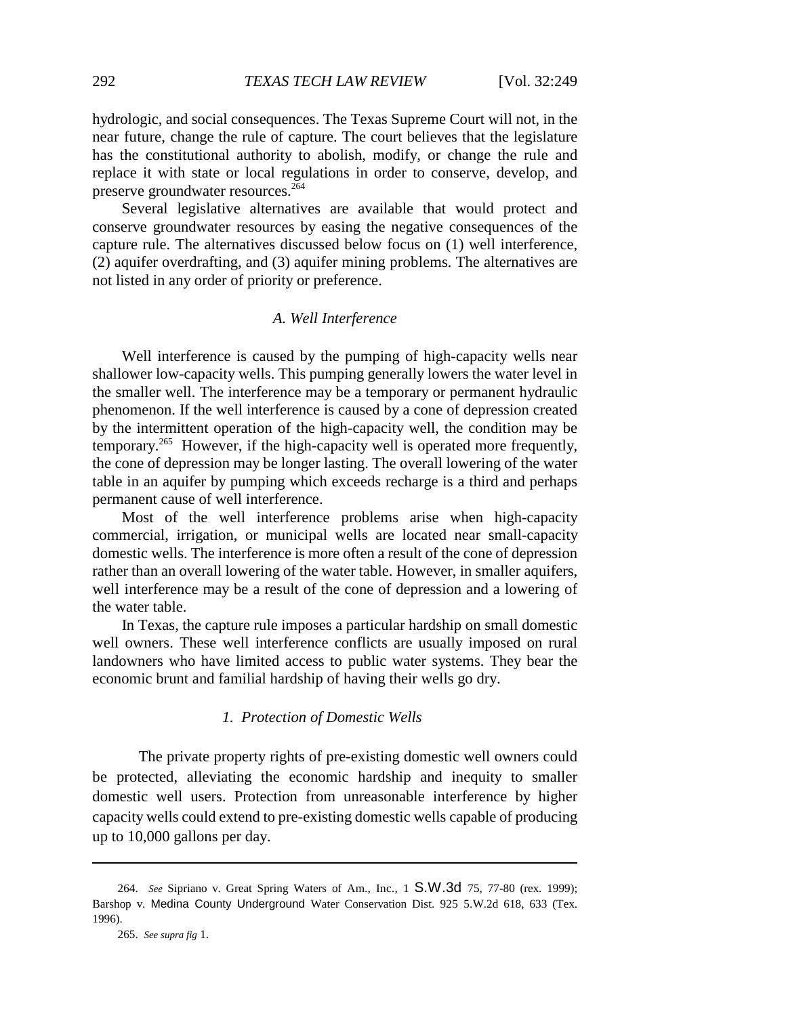hydrologic, and social consequences. The Texas Supreme Court will not, in the near future, change the rule of capture. The court believes that the legislature has the constitutional authority to abolish, modify, or change the rule and replace it with state or local regulations in order to conserve, develop, and preserve groundwater resources.<sup>264</sup>

Several legislative alternatives are available that would protect and conserve groundwater resources by easing the negative consequences of the capture rule. The alternatives discussed below focus on (1) well interference, (2) aquifer overdrafting, and (3) aquifer mining problems. The alternatives are not listed in any order of priority or preference.

# *A. Well Interference*

Well interference is caused by the pumping of high-capacity wells near shallower low-capacity wells. This pumping generally lowers the water level in the smaller well. The interference may be a temporary or permanent hydraulic phenomenon. If the well interference is caused by a cone of depression created by the intermittent operation of the high-capacity well, the condition may be temporary.265 However, if the high-capacity well is operated more frequently, the cone of depression may be longer lasting. The overall lowering of the water table in an aquifer by pumping which exceeds recharge is a third and perhaps permanent cause of well interference.

Most of the well interference problems arise when high-capacity commercial, irrigation, or municipal wells are located near small-capacity domestic wells. The interference is more often a result of the cone of depression rather than an overall lowering of the water table. However, in smaller aquifers, well interference may be a result of the cone of depression and a lowering of the water table.

In Texas, the capture rule imposes a particular hardship on small domestic well owners. These well interference conflicts are usually imposed on rural landowners who have limited access to public water systems. They bear the economic brunt and familial hardship of having their wells go dry.

### *1. Protection of Domestic Wells*

The private property rights of pre-existing domestic well owners could be protected, alleviating the economic hardship and inequity to smaller domestic well users. Protection from unreasonable interference by higher capacity wells could extend to pre-existing domestic wells capable of producing up to 10,000 gallons per day.

<sup>264.</sup> *See* Sipriano v. Great Spring Waters of Am., Inc., 1 S.W.3d 75, 77-80 (rex. 1999); Barshop v. Medina County Underground Water Conservation Dist. 925 5.W.2d 618, 633 (Tex. 1996).

<sup>265.</sup> *See supra fig* 1.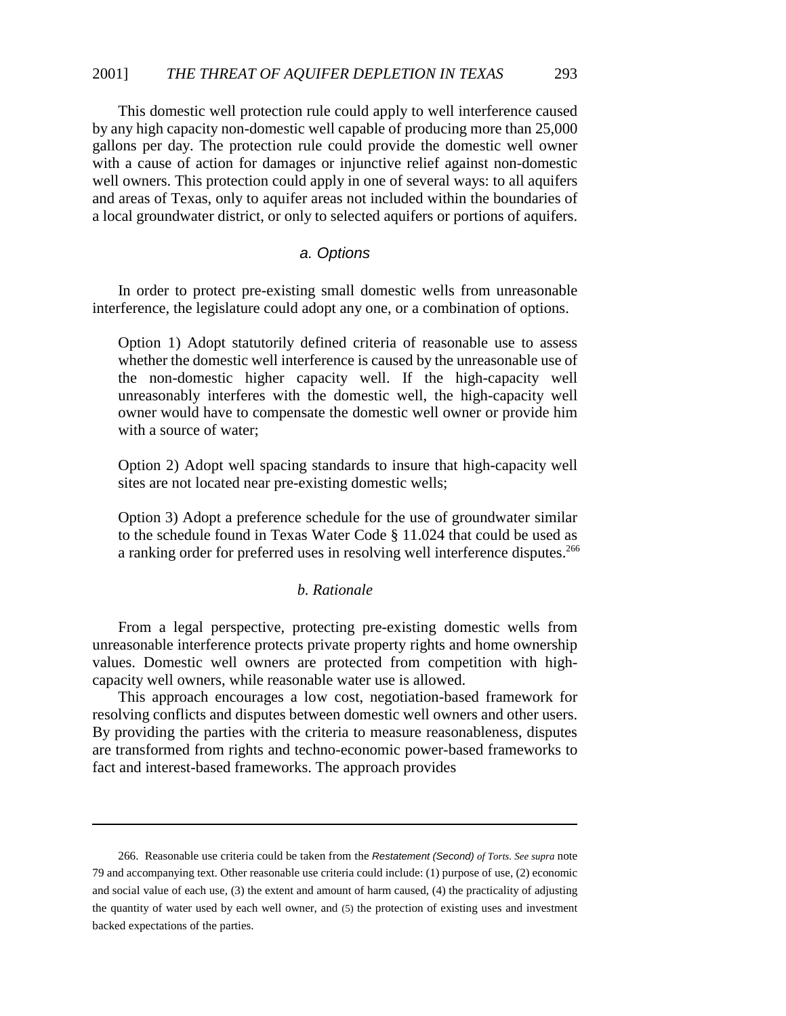This domestic well protection rule could apply to well interference caused by any high capacity non-domestic well capable of producing more than 25,000 gallons per day. The protection rule could provide the domestic well owner with a cause of action for damages or injunctive relief against non-domestic well owners. This protection could apply in one of several ways: to all aquifers and areas of Texas, only to aquifer areas not included within the boundaries of a local groundwater district, or only to selected aquifers or portions of aquifers.

# *a. Options*

In order to protect pre-existing small domestic wells from unreasonable interference, the legislature could adopt any one, or a combination of options.

Option 1) Adopt statutorily defined criteria of reasonable use to assess whether the domestic well interference is caused by the unreasonable use of the non-domestic higher capacity well. If the high-capacity well unreasonably interferes with the domestic well, the high-capacity well owner would have to compensate the domestic well owner or provide him with a source of water;

Option 2) Adopt well spacing standards to insure that high-capacity well sites are not located near pre-existing domestic wells;

Option 3) Adopt a preference schedule for the use of groundwater similar to the schedule found in Texas Water Code § 11.024 that could be used as a ranking order for preferred uses in resolving well interference disputes.<sup>266</sup>

### *b. Rationale*

From a legal perspective, protecting pre-existing domestic wells from unreasonable interference protects private property rights and home ownership values. Domestic well owners are protected from competition with highcapacity well owners, while reasonable water use is allowed.

This approach encourages a low cost, negotiation-based framework for resolving conflicts and disputes between domestic well owners and other users. By providing the parties with the criteria to measure reasonableness, disputes are transformed from rights and techno-economic power-based frameworks to fact and interest-based frameworks. The approach provides

<sup>266.</sup> Reasonable use criteria could be taken from the *Restatement (Second) of Torts. See supra* note 79 and accompanying text. Other reasonable use criteria could include: (1) purpose of use, (2) economic and social value of each use, (3) the extent and amount of harm caused, (4) the practicality of adjusting the quantity of water used by each well owner, and (5) the protection of existing uses and investment backed expectations of the parties.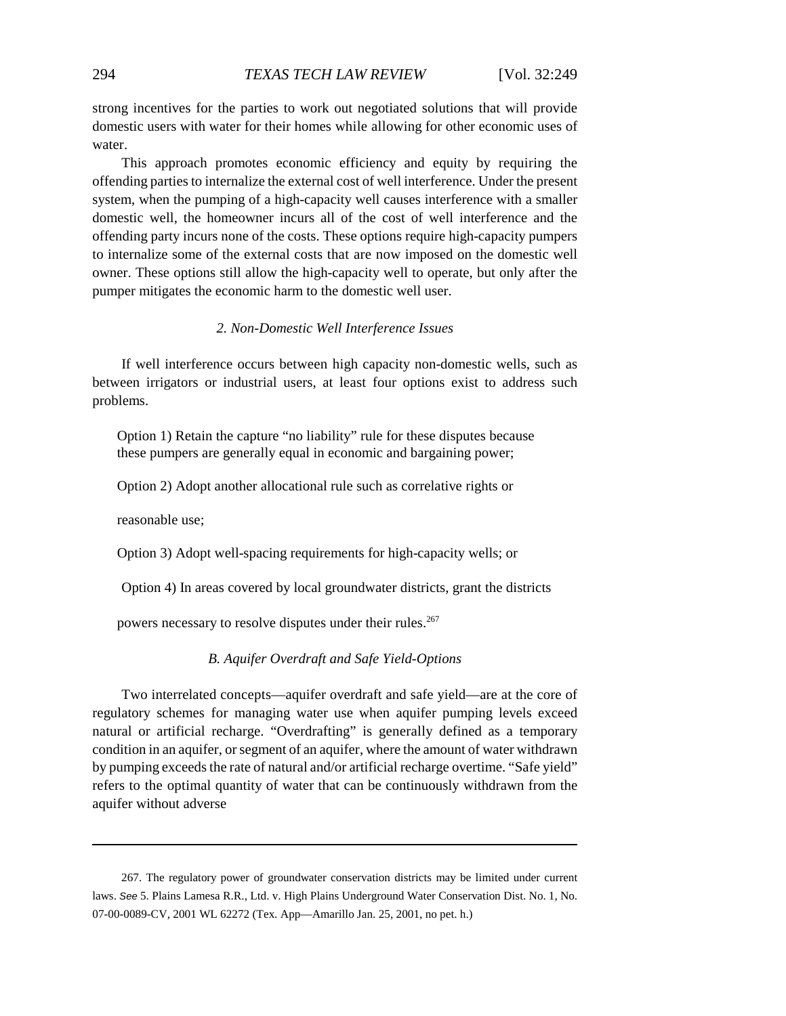strong incentives for the parties to work out negotiated solutions that will provide domestic users with water for their homes while allowing for other economic uses of water.

This approach promotes economic efficiency and equity by requiring the offending parties to internalize the external cost of well interference. Under the present system, when the pumping of a high-capacity well causes interference with a smaller domestic well, the homeowner incurs all of the cost of well interference and the offending party incurs none of the costs. These options require high-capacity pumpers to internalize some of the external costs that are now imposed on the domestic well owner. These options still allow the high-capacity well to operate, but only after the pumper mitigates the economic harm to the domestic well user.

#### *2. Non-Domestic Well Interference Issues*

If well interference occurs between high capacity non-domestic wells, such as between irrigators or industrial users, at least four options exist to address such problems.

Option 1) Retain the capture "no liability" rule for these disputes because these pumpers are generally equal in economic and bargaining power;

Option 2) Adopt another allocational rule such as correlative rights or

reasonable use;

Option 3) Adopt well-spacing requirements for high-capacity wells; or

Option 4) In areas covered by local groundwater districts, grant the districts

powers necessary to resolve disputes under their rules.<sup>267</sup>

### *B. Aquifer Overdraft and Safe Yield-Options*

Two interrelated concepts—aquifer overdraft and safe yield—are at the core of regulatory schemes for managing water use when aquifer pumping levels exceed natural or artificial recharge. "Overdrafting" is generally defined as a temporary condition in an aquifer, or segment of an aquifer, where the amount of water withdrawn by pumping exceeds the rate of natural and/or artificial recharge overtime. "Safe yield" refers to the optimal quantity of water that can be continuously withdrawn from the aquifer without adverse

<sup>267.</sup> The regulatory power of groundwater conservation districts may be limited under current laws. *See* 5. Plains Lamesa R.R., Ltd. v. High Plains Underground Water Conservation Dist. No. 1, No. 07-00-0089-CV, 2001 WL 62272 (Tex. App—Amarillo Jan. 25, 2001, no pet. h.)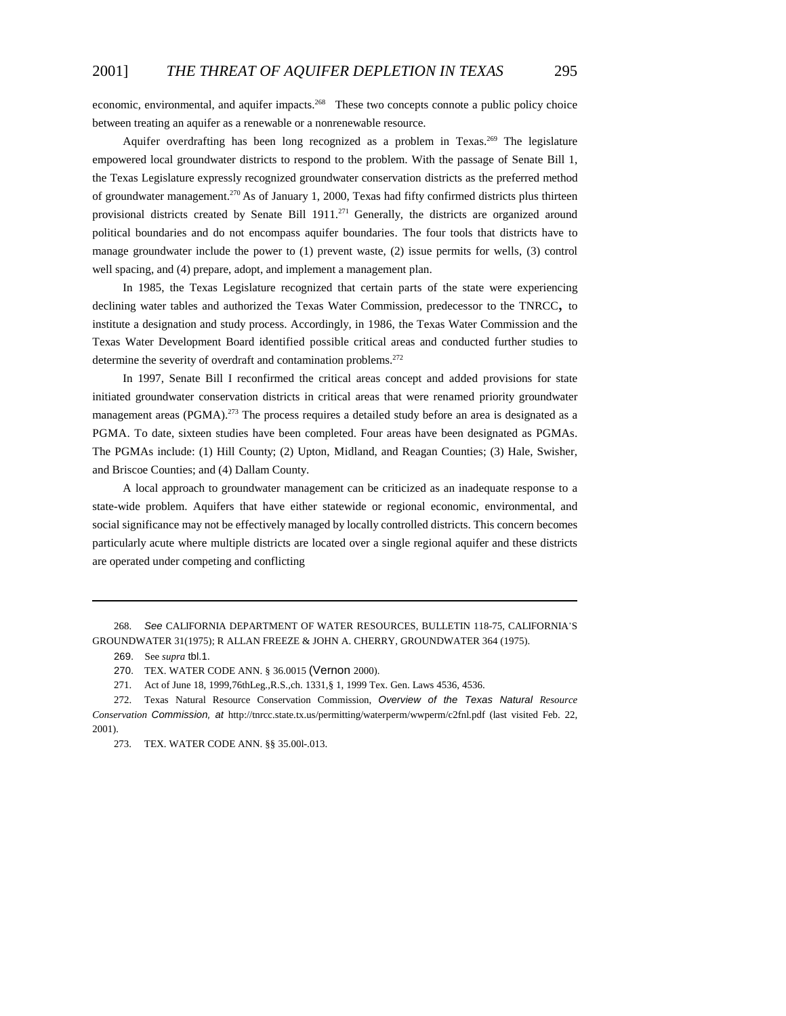economic, environmental, and aquifer impacts.<sup>268</sup> These two concepts connote a public policy choice between treating an aquifer as a renewable or a nonrenewable resource.

Aquifer overdrafting has been long recognized as a problem in Texas.<sup>269</sup> The legislature empowered local groundwater districts to respond to the problem. With the passage of Senate Bill 1, the Texas Legislature expressly recognized groundwater conservation districts as the preferred method of groundwater management.270 As of January 1, 2000, Texas had fifty confirmed districts plus thirteen provisional districts created by Senate Bill 1911.<sup>271</sup> Generally, the districts are organized around political boundaries and do not encompass aquifer boundaries. The four tools that districts have to manage groundwater include the power to (1) prevent waste, (2) issue permits for wells, (3) control well spacing, and (4) prepare, adopt, and implement a management plan.

In 1985, the Texas Legislature recognized that certain parts of the state were experiencing declining water tables and authorized the Texas Water Commission, predecessor to the TNRCC, to institute a designation and study process. Accordingly, in 1986, the Texas Water Commission and the Texas Water Development Board identified possible critical areas and conducted further studies to determine the severity of overdraft and contamination problems.<sup>272</sup>

In 1997, Senate Bill I reconfirmed the critical areas concept and added provisions for state initiated groundwater conservation districts in critical areas that were renamed priority groundwater management areas (PGMA).<sup>273</sup> The process requires a detailed study before an area is designated as a PGMA. To date, sixteen studies have been completed. Four areas have been designated as PGMAs. The PGMAs include: (1) Hill County; (2) Upton, Midland, and Reagan Counties; (3) Hale, Swisher, and Briscoe Counties; and (4) Dallam County.

A local approach to groundwater management can be criticized as an inadequate response to a state-wide problem. Aquifers that have either statewide or regional economic, environmental, and social significance may not be effectively managed by locally controlled districts. This concern becomes particularly acute where multiple districts are located over a single regional aquifer and these districts are operated under competing and conflicting

<sup>268.</sup> *See* CALIFORNIA DEPARTMENT OF WATER RESOURCES, BULLETIN 118-75, CALIFORNIA\*S GROUNDWATER 31(1975); R ALLAN FREEZE & JOHN A. CHERRY, GROUNDWATER 364 (1975).

<sup>269.</sup> See *supra* tbl.1.

<sup>270.</sup> TEX. WATER CODE ANN. § 36.0015 (Vernon 2000).

<sup>271.</sup> Act of June 18, 1999,76thLeg.,R.S.,ch. 1331,§ 1, 1999 Tex. Gen. Laws 4536, 4536.

<sup>272.</sup> Texas Natural Resource Conservation Commission, *Overview of the Texas Natural Resource Conservation Commission, at* http://tnrcc.state.tx.us/permitting/waterperm/wwperm/c2fnl.pdf (last visited Feb. 22, 2001).

<sup>273.</sup> TEX. WATER CODE ANN. §§ 35.00l-.013.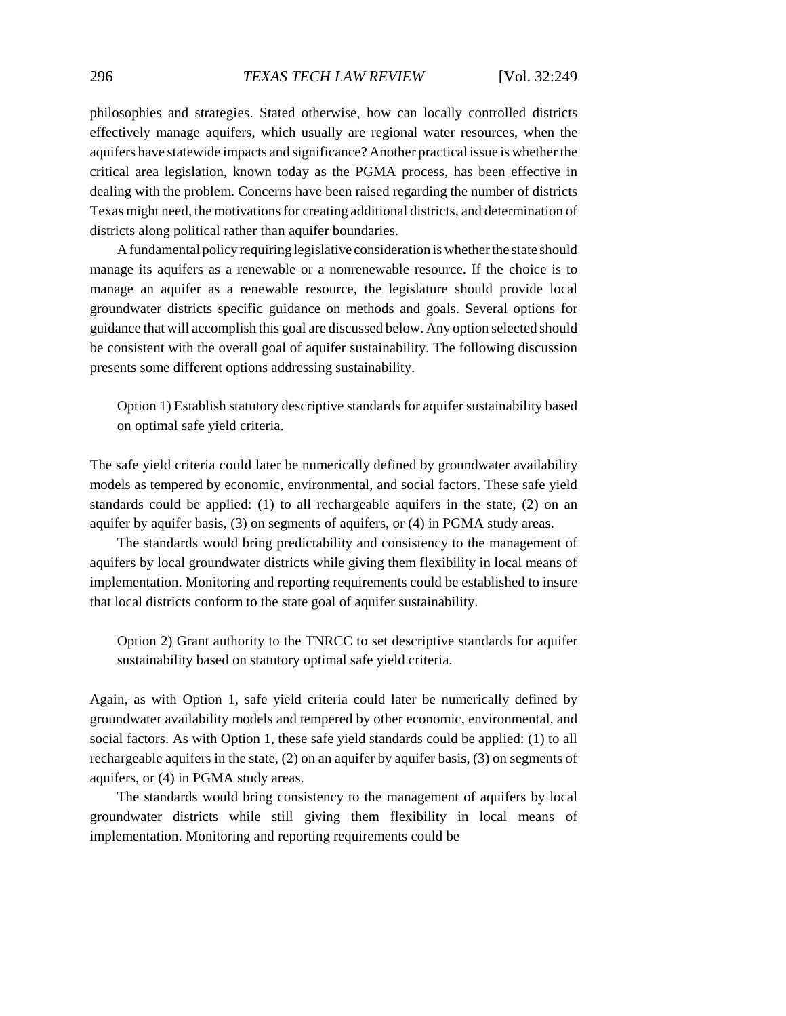philosophies and strategies. Stated otherwise, how can locally controlled districts effectively manage aquifers, which usually are regional water resources, when the aquifers have statewide impacts and significance? Another practical issue is whether the critical area legislation, known today as the PGMA process, has been effective in dealing with the problem. Concerns have been raised regarding the number of districts Texas might need, the motivations for creating additional districts, and determination of districts along political rather than aquifer boundaries.

A fundamental policy requiring legislative consideration is whether the state should manage its aquifers as a renewable or a nonrenewable resource. If the choice is to manage an aquifer as a renewable resource, the legislature should provide local groundwater districts specific guidance on methods and goals. Several options for guidance that will accomplish this goal are discussed below. Any option selected should be consistent with the overall goal of aquifer sustainability. The following discussion presents some different options addressing sustainability.

Option 1) Establish statutory descriptive standards for aquifer sustainability based on optimal safe yield criteria.

The safe yield criteria could later be numerically defined by groundwater availability models as tempered by economic, environmental, and social factors. These safe yield standards could be applied: (1) to all rechargeable aquifers in the state, (2) on an aquifer by aquifer basis, (3) on segments of aquifers, or (4) in PGMA study areas.

The standards would bring predictability and consistency to the management of aquifers by local groundwater districts while giving them flexibility in local means of implementation. Monitoring and reporting requirements could be established to insure that local districts conform to the state goal of aquifer sustainability.

Option 2) Grant authority to the TNRCC to set descriptive standards for aquifer sustainability based on statutory optimal safe yield criteria.

Again, as with Option 1, safe yield criteria could later be numerically defined by groundwater availability models and tempered by other economic, environmental, and social factors. As with Option 1, these safe yield standards could be applied: (1) to all rechargeable aquifers in the state, (2) on an aquifer by aquifer basis, (3) on segments of aquifers, or (4) in PGMA study areas.

The standards would bring consistency to the management of aquifers by local groundwater districts while still giving them flexibility in local means of implementation. Monitoring and reporting requirements could be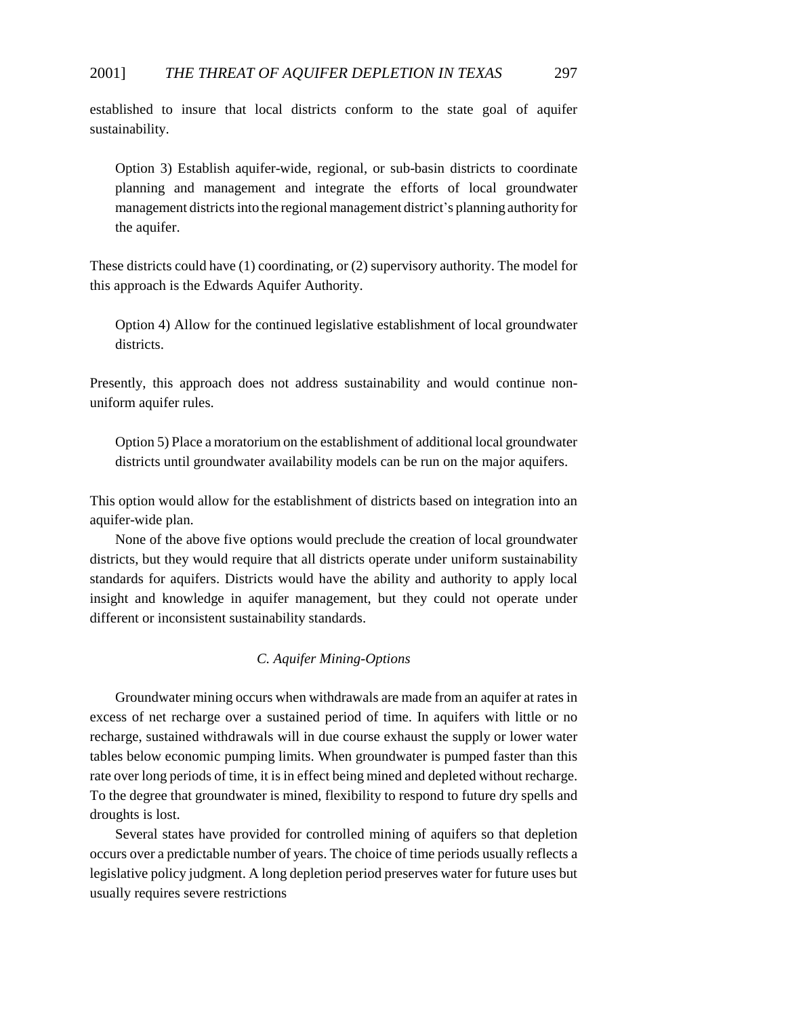established to insure that local districts conform to the state goal of aquifer sustainability.

Option 3) Establish aquifer-wide, regional, or sub-basin districts to coordinate planning and management and integrate the efforts of local groundwater management districts into the regional management district's planning authority for the aquifer.

These districts could have (1) coordinating, or (2) supervisory authority. The model for this approach is the Edwards Aquifer Authority.

Option 4) Allow for the continued legislative establishment of local groundwater districts.

Presently, this approach does not address sustainability and would continue nonuniform aquifer rules.

Option 5) Place a moratorium on the establishment of additional local groundwater districts until groundwater availability models can be run on the major aquifers.

This option would allow for the establishment of districts based on integration into an aquifer-wide plan.

None of the above five options would preclude the creation of local groundwater districts, but they would require that all districts operate under uniform sustainability standards for aquifers. Districts would have the ability and authority to apply local insight and knowledge in aquifer management, but they could not operate under different or inconsistent sustainability standards.

# *C. Aquifer Mining-Options*

Groundwater mining occurs when withdrawals are made from an aquifer at rates in excess of net recharge over a sustained period of time. In aquifers with little or no recharge, sustained withdrawals will in due course exhaust the supply or lower water tables below economic pumping limits. When groundwater is pumped faster than this rate over long periods of time, it is in effect being mined and depleted without recharge. To the degree that groundwater is mined, flexibility to respond to future dry spells and droughts is lost.

Several states have provided for controlled mining of aquifers so that depletion occurs over a predictable number of years. The choice of time periods usually reflects a legislative policy judgment. A long depletion period preserves water for future uses but usually requires severe restrictions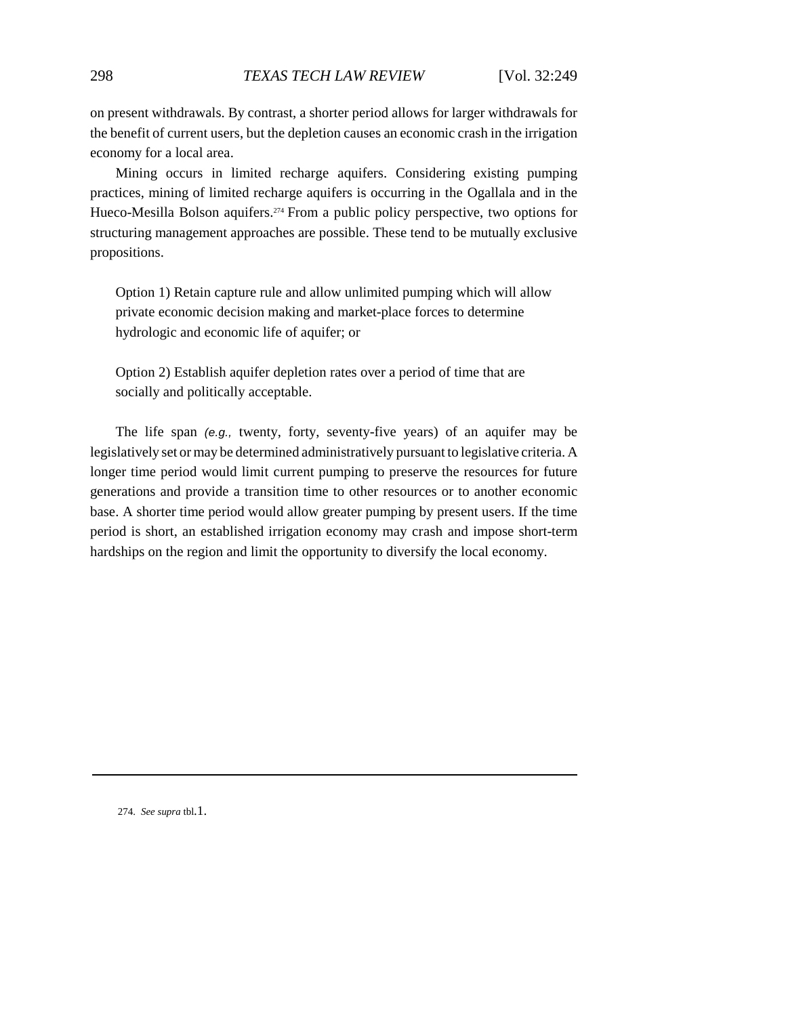on present withdrawals. By contrast, a shorter period allows for larger withdrawals for the benefit of current users, but the depletion causes an economic crash in the irrigation economy for a local area.

Mining occurs in limited recharge aquifers. Considering existing pumping practices, mining of limited recharge aquifers is occurring in the Ogallala and in the Hueco-Mesilla Bolson aquifers.<sup>274</sup> From a public policy perspective, two options for structuring management approaches are possible. These tend to be mutually exclusive propositions.

Option 1) Retain capture rule and allow unlimited pumping which will allow private economic decision making and market-place forces to determine hydrologic and economic life of aquifer; or

Option 2) Establish aquifer depletion rates over a period of time that are socially and politically acceptable.

The life span *(e.g.,* twenty, forty, seventy-five years) of an aquifer may be legislatively set or may be determined administratively pursuant to legislative criteria. A longer time period would limit current pumping to preserve the resources for future generations and provide a transition time to other resources or to another economic base. A shorter time period would allow greater pumping by present users. If the time period is short, an established irrigation economy may crash and impose short-term hardships on the region and limit the opportunity to diversify the local economy.

274. *See supra* tbl.1.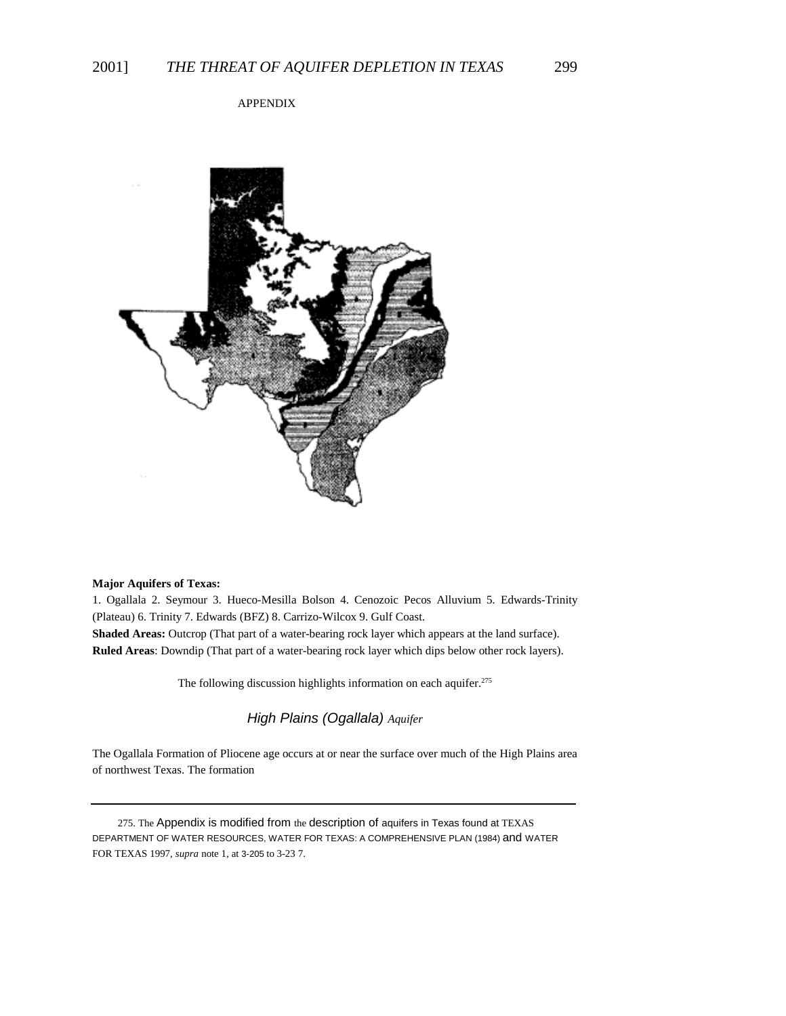### APPENDIX



#### **Major Aquifers of Texas:**

1. Ogallala 2. Seymour 3. Hueco-Mesilla Bolson 4. Cenozoic Pecos Alluvium 5*.* Edwards-Trinity (Plateau) 6. Trinity 7. Edwards (BFZ) 8. Carrizo-Wilcox 9. Gulf Coast.

**Shaded Areas:** Outcrop (That part of a water-bearing rock layer which appears at the land surface). **Ruled Areas**: Downdip (That part of a water-bearing rock layer which dips below other rock layers).

The following discussion highlights information on each aquifer.<sup>275</sup>

*High Plains (Ogallala) Aquifer*

The Ogallala Formation of Pliocene age occurs at or near the surface over much of the High Plains area of northwest Texas. The formation

275. The Appendix is modified from the description of aquifers in Texas found at TEXAS DEPARTMENT OF WATER RESOURCES, WATER FOR TEXAS: A COMPREHENSIVE PLAN (1984) and WATER FOR TEXAS 1997, *supra* note 1, at 3-205 to 3-23 7.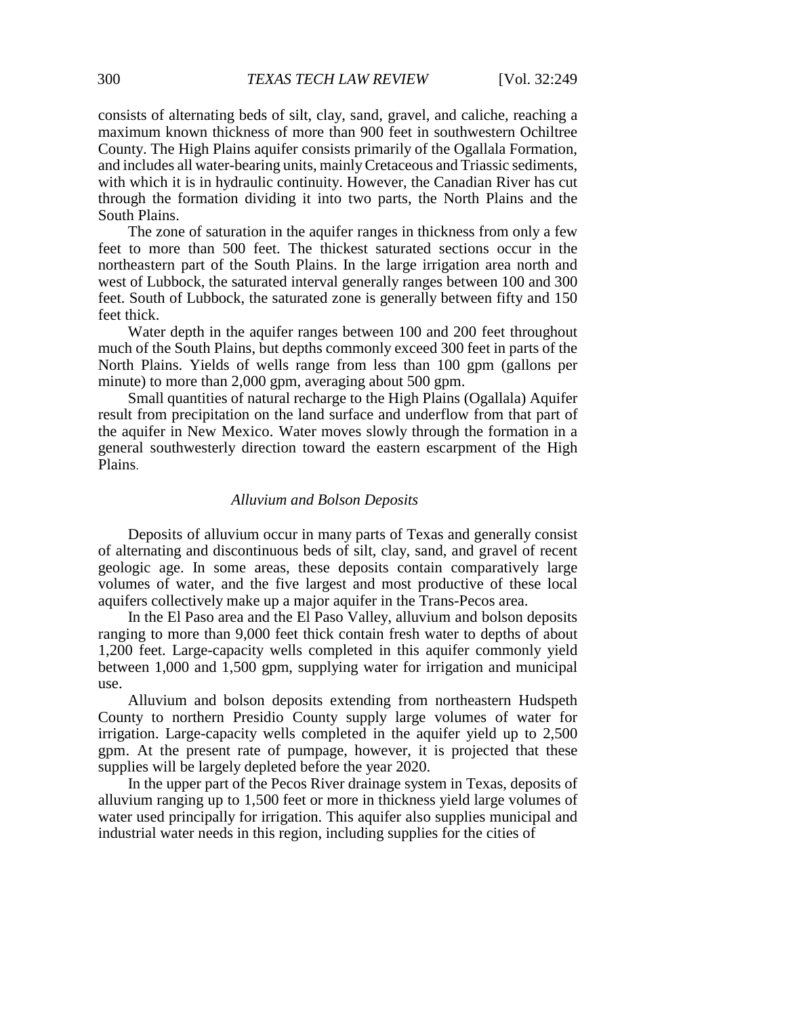consists of alternating beds of silt, clay, sand, gravel, and caliche, reaching a maximum known thickness of more than 900 feet in southwestern Ochiltree County. The High Plains aquifer consists primarily of the Ogallala Formation, and includes all water-bearing units, mainly Cretaceous and Triassic sediments, with which it is in hydraulic continuity. However, the Canadian River has cut through the formation dividing it into two parts, the North Plains and the South Plains.

The zone of saturation in the aquifer ranges in thickness from only a few feet to more than 500 feet. The thickest saturated sections occur in the northeastern part of the South Plains. In the large irrigation area north and west of Lubbock, the saturated interval generally ranges between 100 and 300 feet. South of Lubbock, the saturated zone is generally between fifty and 150 feet thick.

Water depth in the aquifer ranges between 100 and 200 feet throughout much of the South Plains, but depths commonly exceed 300 feet in parts of the North Plains. Yields of wells range from less than 100 gpm (gallons per minute) to more than 2,000 gpm, averaging about 500 gpm.

Small quantities of natural recharge to the High Plains (Ogallala) Aquifer result from precipitation on the land surface and underflow from that part of the aquifer in New Mexico. Water moves slowly through the formation in a general southwesterly direction toward the eastern escarpment of the High Plains.

# *Alluvium and Bolson Deposits*

Deposits of alluvium occur in many parts of Texas and generally consist of alternating and discontinuous beds of silt, clay, sand, and gravel of recent geologic age. In some areas, these deposits contain comparatively large volumes of water, and the five largest and most productive of these local aquifers collectively make up a major aquifer in the Trans-Pecos area.

In the El Paso area and the El Paso Valley, alluvium and bolson deposits ranging to more than 9,000 feet thick contain fresh water to depths of about 1,200 feet. Large-capacity wells completed in this aquifer commonly yield between 1,000 and 1,500 gpm, supplying water for irrigation and municipal use.

Alluvium and bolson deposits extending from northeastern Hudspeth County to northern Presidio County supply large volumes of water for irrigation. Large-capacity wells completed in the aquifer yield up to 2,500 gpm. At the present rate of pumpage, however, it is projected that these supplies will be largely depleted before the year 2020.

In the upper part of the Pecos River drainage system in Texas, deposits of alluvium ranging up to 1,500 feet or more in thickness yield large volumes of water used principally for irrigation. This aquifer also supplies municipal and industrial water needs in this region, including supplies for the cities of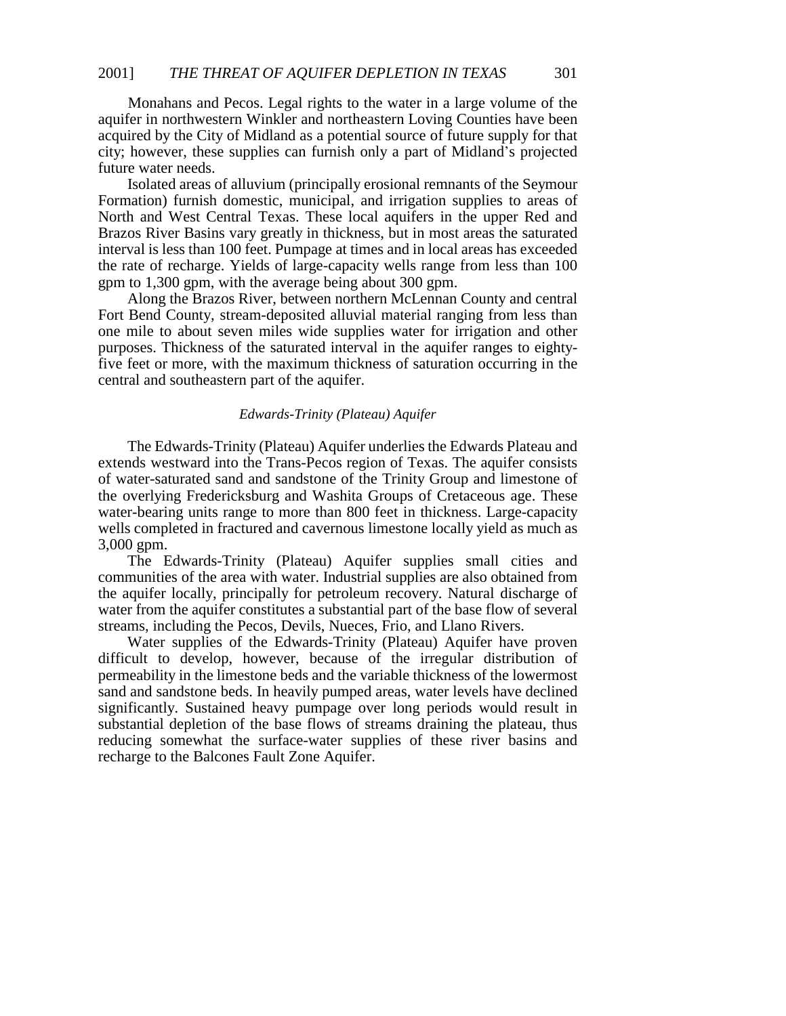Monahans and Pecos. Legal rights to the water in a large volume of the aquifer in northwestern Winkler and northeastern Loving Counties have been acquired by the City of Midland as a potential source of future supply for that city; however, these supplies can furnish only a part of Midland\*s projected future water needs.

Isolated areas of alluvium (principally erosional remnants of the Seymour Formation) furnish domestic, municipal, and irrigation supplies to areas of North and West Central Texas. These local aquifers in the upper Red and Brazos River Basins vary greatly in thickness, but in most areas the saturated interval is less than 100 feet. Pumpage at times and in local areas has exceeded the rate of recharge. Yields of large-capacity wells range from less than 100 gpm to 1,300 gpm, with the average being about 300 gpm.

Along the Brazos River, between northern McLennan County and central Fort Bend County, stream-deposited alluvial material ranging from less than one mile to about seven miles wide supplies water for irrigation and other purposes. Thickness of the saturated interval in the aquifer ranges to eightyfive feet or more, with the maximum thickness of saturation occurring in the central and southeastern part of the aquifer.

#### *Edwards-Trinity (Plateau) Aquifer*

The Edwards-Trinity (Plateau) Aquifer underlies the Edwards Plateau and extends westward into the Trans-Pecos region of Texas. The aquifer consists of water-saturated sand and sandstone of the Trinity Group and limestone of the overlying Fredericksburg and Washita Groups of Cretaceous age. These water-bearing units range to more than 800 feet in thickness. Large-capacity wells completed in fractured and cavernous limestone locally yield as much as 3,000 gpm.

The Edwards-Trinity (Plateau) Aquifer supplies small cities and communities of the area with water. Industrial supplies are also obtained from the aquifer locally, principally for petroleum recovery. Natural discharge of water from the aquifer constitutes a substantial part of the base flow of several streams, including the Pecos, Devils, Nueces, Frio, and Llano Rivers.

Water supplies of the Edwards-Trinity (Plateau) Aquifer have proven difficult to develop, however, because of the irregular distribution of permeability in the limestone beds and the variable thickness of the lowermost sand and sandstone beds. In heavily pumped areas, water levels have declined significantly. Sustained heavy pumpage over long periods would result in substantial depletion of the base flows of streams draining the plateau, thus reducing somewhat the surface-water supplies of these river basins and recharge to the Balcones Fault Zone Aquifer.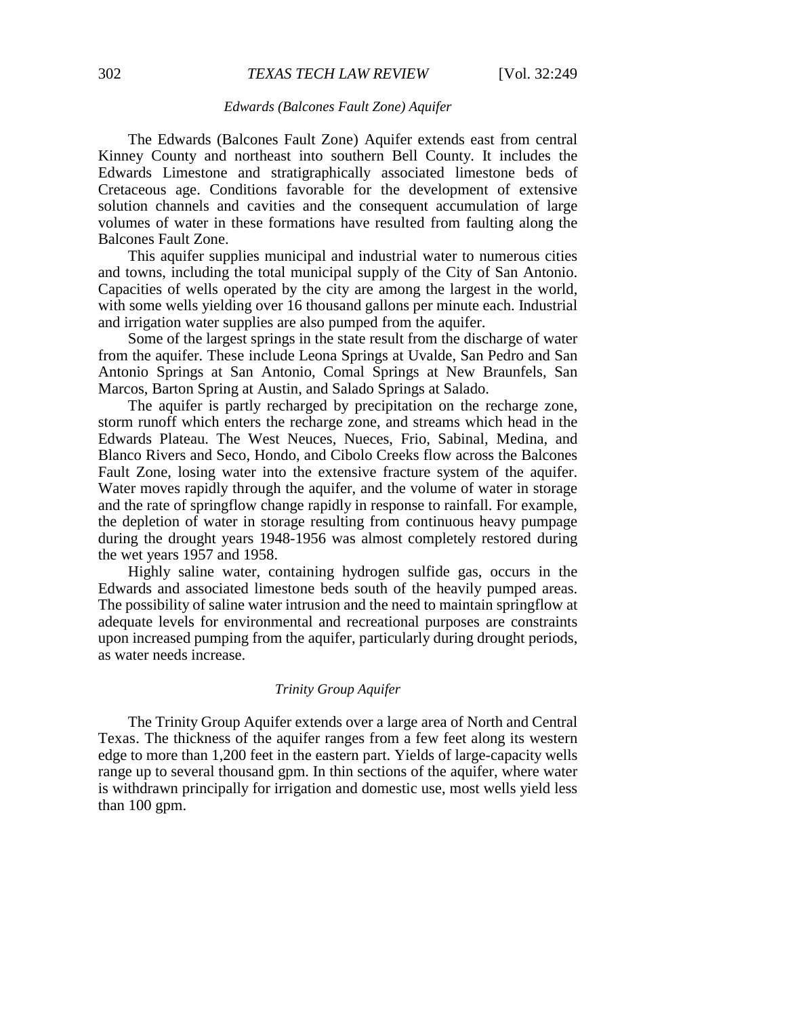### *Edwards (Balcones Fault Zone) Aquifer*

The Edwards (Balcones Fault Zone) Aquifer extends east from central Kinney County and northeast into southern Bell County. It includes the Edwards Limestone and stratigraphically associated limestone beds of Cretaceous age. Conditions favorable for the development of extensive solution channels and cavities and the consequent accumulation of large volumes of water in these formations have resulted from faulting along the Balcones Fault Zone.

This aquifer supplies municipal and industrial water to numerous cities and towns, including the total municipal supply of the City of San Antonio. Capacities of wells operated by the city are among the largest in the world, with some wells yielding over 16 thousand gallons per minute each. Industrial and irrigation water supplies are also pumped from the aquifer.

Some of the largest springs in the state result from the discharge of water from the aquifer. These include Leona Springs at Uvalde, San Pedro and San Antonio Springs at San Antonio, Comal Springs at New Braunfels, San Marcos, Barton Spring at Austin, and Salado Springs at Salado.

The aquifer is partly recharged by precipitation on the recharge zone, storm runoff which enters the recharge zone, and streams which head in the Edwards Plateau. The West Neuces, Nueces, Frio, Sabinal, Medina, and Blanco Rivers and Seco, Hondo, and Cibolo Creeks flow across the Balcones Fault Zone, losing water into the extensive fracture system of the aquifer. Water moves rapidly through the aquifer, and the volume of water in storage and the rate of springflow change rapidly in response to rainfall. For example, the depletion of water in storage resulting from continuous heavy pumpage during the drought years 1948-1956 was almost completely restored during the wet years 1957 and 1958.

Highly saline water, containing hydrogen sulfide gas, occurs in the Edwards and associated limestone beds south of the heavily pumped areas. The possibility of saline water intrusion and the need to maintain springflow at adequate levels for environmental and recreational purposes are constraints upon increased pumping from the aquifer, particularly during drought periods, as water needs increase.

### *Trinity Group Aquifer*

The Trinity Group Aquifer extends over a large area of North and Central Texas. The thickness of the aquifer ranges from a few feet along its western edge to more than 1,200 feet in the eastern part. Yields of large-capacity wells range up to several thousand gpm. In thin sections of the aquifer, where water is withdrawn principally for irrigation and domestic use, most wells yield less than 100 gpm.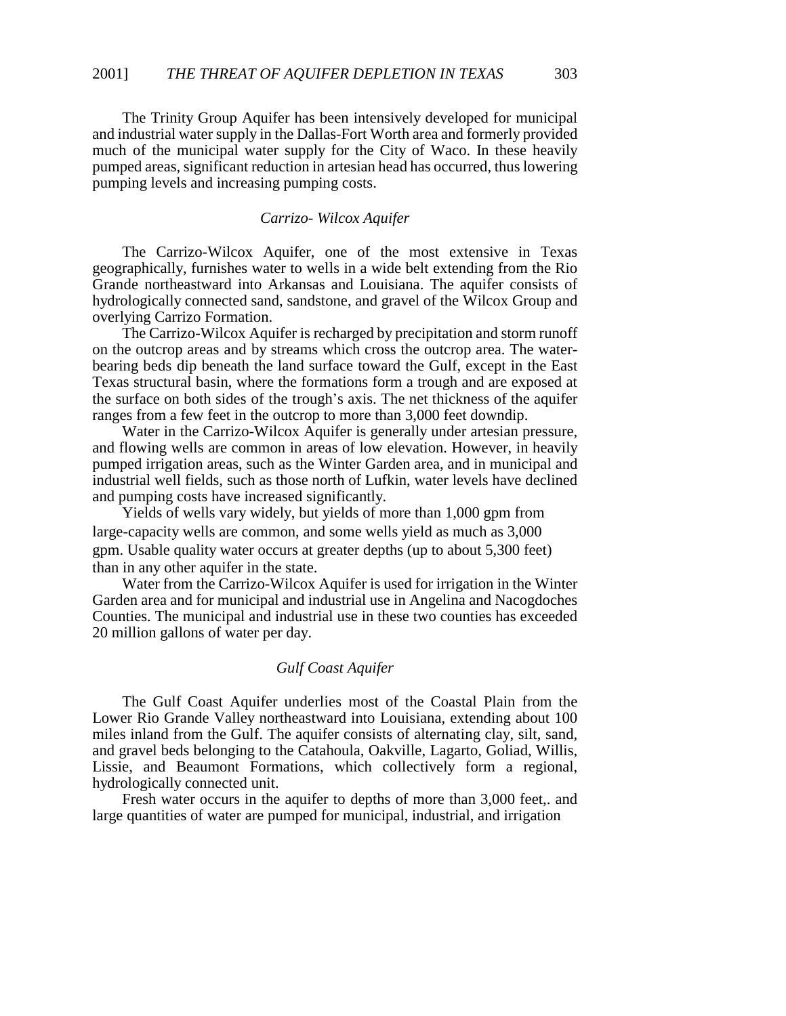The Trinity Group Aquifer has been intensively developed for municipal and industrial water supply in the Dallas-Fort Worth area and formerly provided much of the municipal water supply for the City of Waco. In these heavily pumped areas, significant reduction in artesian head has occurred, thus lowering pumping levels and increasing pumping costs.

# *Carrizo- Wilcox Aquifer*

The Carrizo-Wilcox Aquifer, one of the most extensive in Texas geographically, furnishes water to wells in a wide belt extending from the Rio Grande northeastward into Arkansas and Louisiana. The aquifer consists of hydrologically connected sand, sandstone, and gravel of the Wilcox Group and overlying Carrizo Formation.

The Carrizo-Wilcox Aquifer is recharged by precipitation and storm runoff on the outcrop areas and by streams which cross the outcrop area. The waterbearing beds dip beneath the land surface toward the Gulf, except in the East Texas structural basin, where the formations form a trough and are exposed at the surface on both sides of the trough's axis. The net thickness of the aquifer ranges from a few feet in the outcrop to more than 3,000 feet downdip.

Water in the Carrizo-Wilcox Aquifer is generally under artesian pressure, and flowing wells are common in areas of low elevation. However, in heavily pumped irrigation areas, such as the Winter Garden area, and in municipal and industrial well fields, such as those north of Lufkin, water levels have declined and pumping costs have increased significantly.

Yields of wells vary widely, but yields of more than 1,000 gpm from large-capacity wells are common, and some wells yield as much as 3,000 gpm. Usable quality water occurs at greater depths (up to about 5,300 feet) than in any other aquifer in the state.

Water from the Carrizo-Wilcox Aquifer is used for irrigation in the Winter Garden area and for municipal and industrial use in Angelina and Nacogdoches Counties. The municipal and industrial use in these two counties has exceeded 20 million gallons of water per day.

# *Gulf Coast Aquifer*

The Gulf Coast Aquifer underlies most of the Coastal Plain from the Lower Rio Grande Valley northeastward into Louisiana, extending about 100 miles inland from the Gulf. The aquifer consists of alternating clay, silt, sand, and gravel beds belonging to the Catahoula, Oakville, Lagarto, Goliad, Willis, Lissie, and Beaumont Formations, which collectively form a regional, hydrologically connected unit.

Fresh water occurs in the aquifer to depths of more than 3,000 feet, and large quantities of water are pumped for municipal, industrial, and irrigation